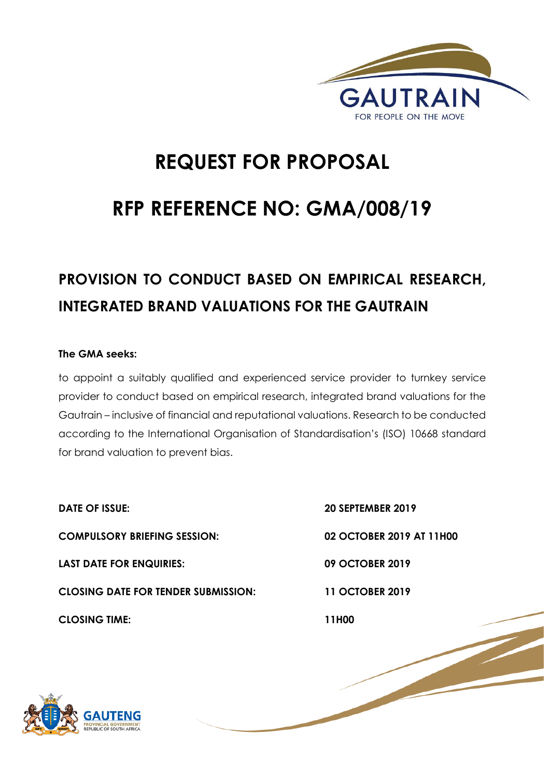

# **REQUEST FOR PROPOSAL**

# **RFP REFERENCE NO: GMA/008/19**

# **PROVISION TO CONDUCT BASED ON EMPIRICAL RESEARCH, INTEGRATED BRAND VALUATIONS FOR THE GAUTRAIN**

#### **The GMA seeks:**

to appoint a suitably qualified and experienced service provider to turnkey service provider to conduct based on empirical research, integrated brand valuations for the Gautrain – inclusive of financial and reputational valuations. Research to be conducted according to the International Organisation of Standardisation's (ISO) 10668 standard for brand valuation to prevent bias.

**DATE OF ISSUE: 20 SEPTEMBER 2019 COMPULSORY BRIEFING SESSION: 02 OCTOBER 2019 AT 11H00 LAST DATE FOR ENQUIRIES: 09 OCTOBER 2019 CLOSING DATE FOR TENDER SUBMISSION: 11 OCTOBER 2019 CLOSING TIME: 11H00** 

1 | P a g e

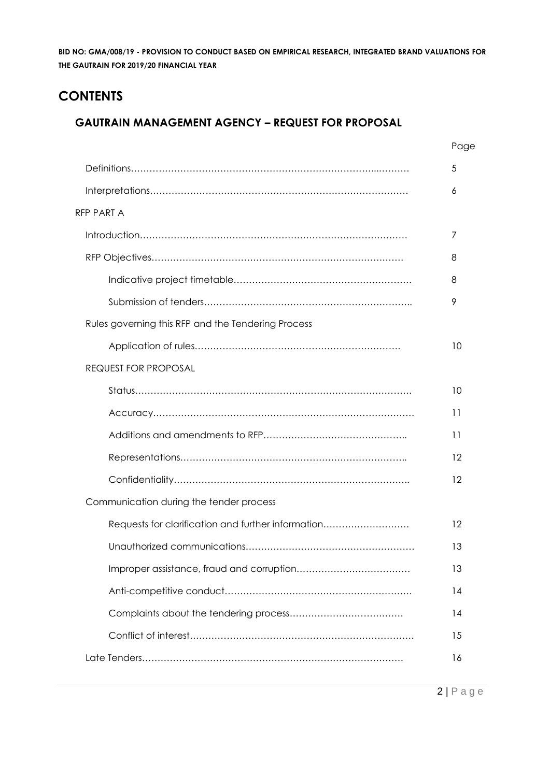# **CONTENTS**

## **GAUTRAIN MANAGEMENT AGENCY – REQUEST FOR PROPOSAL**

|                                                    | Page |
|----------------------------------------------------|------|
|                                                    | 5    |
|                                                    | 6    |
| RFP PART A                                         |      |
|                                                    | 7    |
|                                                    | 8    |
|                                                    | 8    |
|                                                    | 9    |
| Rules governing this RFP and the Tendering Process |      |
|                                                    | 10   |
| <b>REQUEST FOR PROPOSAL</b>                        |      |
|                                                    | 10   |
|                                                    | 11   |
|                                                    | 11   |
|                                                    | 12   |
|                                                    | 12   |
| Communication during the tender process            |      |
| Requests for clarification and further information | 12   |
|                                                    | 13   |
|                                                    | 13   |
|                                                    | 14   |
|                                                    | 14   |
|                                                    | 15   |
|                                                    | 16   |
|                                                    |      |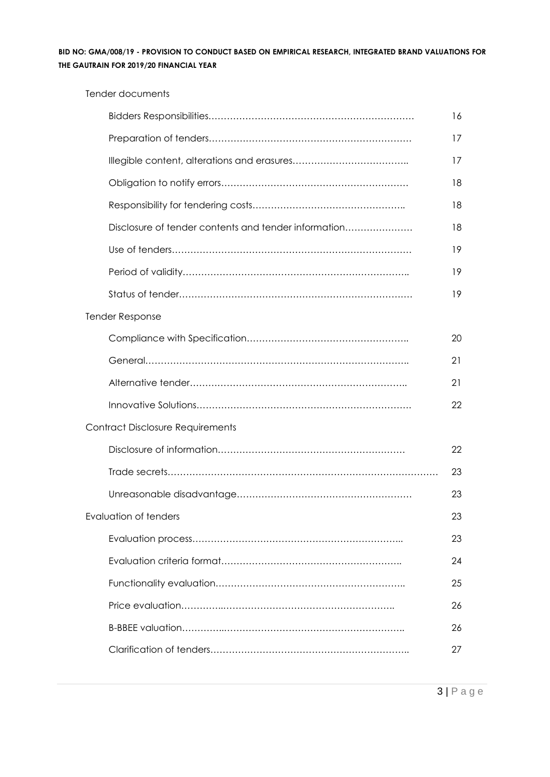| Tender documents                                     |    |
|------------------------------------------------------|----|
|                                                      | 16 |
|                                                      | 17 |
|                                                      | 17 |
|                                                      | 18 |
|                                                      | 18 |
| Disclosure of tender contents and tender information | 18 |
|                                                      | 19 |
|                                                      | 19 |
|                                                      | 19 |
| <b>Tender Response</b>                               |    |
|                                                      | 20 |
|                                                      | 21 |
|                                                      | 21 |
|                                                      | 22 |
| <b>Contract Disclosure Requirements</b>              |    |
|                                                      | 22 |
|                                                      | 23 |
|                                                      | 23 |
| <b>Evaluation of tenders</b>                         | 23 |
|                                                      | 23 |
|                                                      | 24 |
|                                                      | 25 |
|                                                      | 26 |
|                                                      | 26 |
|                                                      | 27 |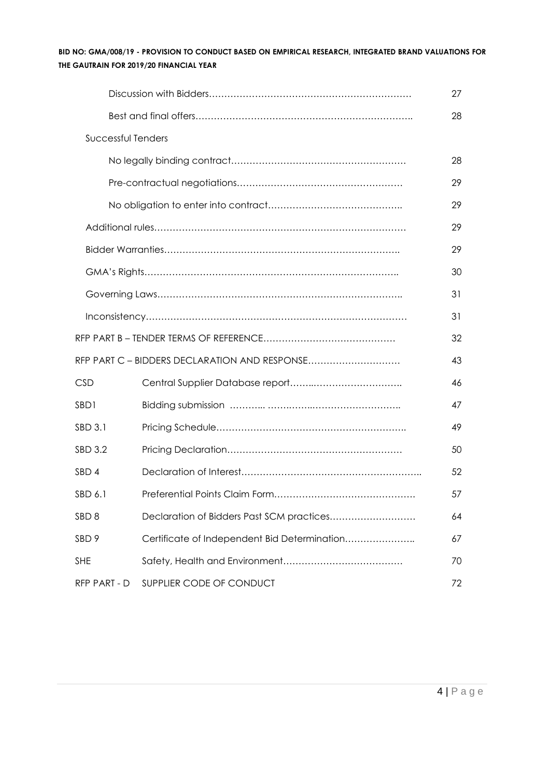|                    |                                               | 27 |
|--------------------|-----------------------------------------------|----|
|                    |                                               | 28 |
| Successful Tenders |                                               |    |
|                    |                                               | 28 |
|                    |                                               | 29 |
|                    |                                               | 29 |
|                    |                                               | 29 |
|                    |                                               | 29 |
|                    |                                               | 30 |
|                    |                                               | 31 |
|                    |                                               | 31 |
|                    |                                               | 32 |
|                    | RFP PART C - BIDDERS DECLARATION AND RESPONSE | 43 |
| <b>CSD</b>         |                                               | 46 |
| SBD1               |                                               | 47 |
| SBD 3.1            |                                               | 49 |
| SBD 3.2            |                                               | 50 |
| SBD 4              |                                               | 52 |
| SBD 6.1            |                                               | 57 |
| SBD <sub>8</sub>   | Declaration of Bidders Past SCM practices     | 64 |
| SBD <sub>9</sub>   | Certificate of Independent Bid Determination  | 67 |
| <b>SHE</b>         |                                               | 70 |
| RFP PART - D       | SUPPLIER CODE OF CONDUCT                      | 72 |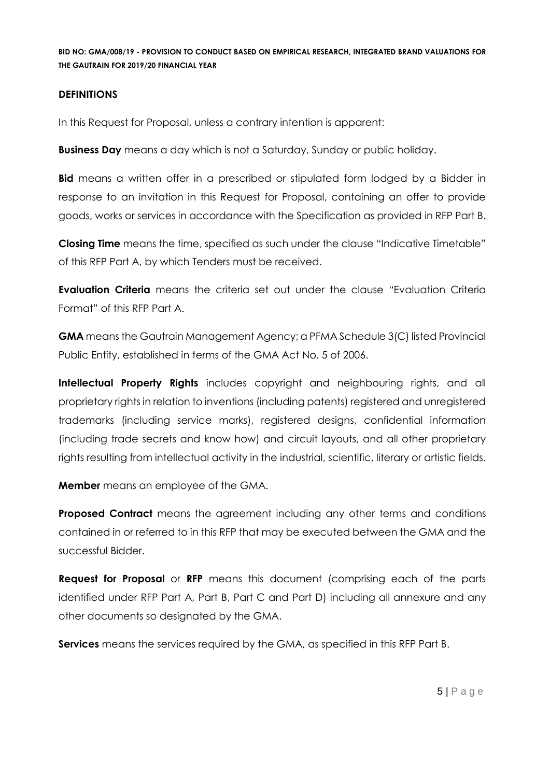#### **DEFINITIONS**

In this Request for Proposal, unless a contrary intention is apparent:

**Business Day** means a day which is not a Saturday, Sunday or public holiday.

**Bid** means a written offer in a prescribed or stipulated form lodged by a Bidder in response to an invitation in this Request for Proposal, containing an offer to provide goods, works or services in accordance with the Specification as provided in RFP Part B.

**Closing Time** means the time, specified as such under the clause "Indicative Timetable" of this RFP Part A, by which Tenders must be received.

**Evaluation Criteria** means the criteria set out under the clause "Evaluation Criteria Format" of this RFP Part A.

**GMA** means the Gautrain Management Agency; a PFMA Schedule 3(C) listed Provincial Public Entity, established in terms of the GMA Act No. 5 of 2006.

**Intellectual Property Rights** includes copyright and neighbouring rights, and all proprietary rights in relation to inventions (including patents) registered and unregistered trademarks (including service marks), registered designs, confidential information (including trade secrets and know how) and circuit layouts, and all other proprietary rights resulting from intellectual activity in the industrial, scientific, literary or artistic fields.

**Member** means an employee of the GMA.

**Proposed Contract** means the agreement including any other terms and conditions contained in or referred to in this RFP that may be executed between the GMA and the successful Bidder.

**Request for Proposal** or **RFP** means this document (comprising each of the parts identified under RFP Part A, Part B, Part C and Part D) including all annexure and any other documents so designated by the GMA.

**Services** means the services required by the GMA, as specified in this RFP Part B.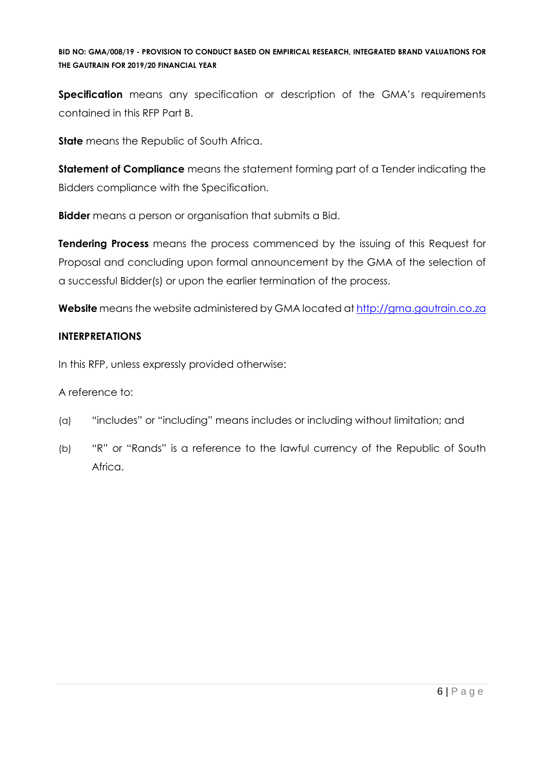**Specification** means any specification or description of the GMA's requirements contained in this RFP Part B.

**State** means the Republic of South Africa.

**Statement of Compliance** means the statement forming part of a Tender indicating the Bidders compliance with the Specification.

**Bidder** means a person or organisation that submits a Bid.

**Tendering Process** means the process commenced by the issuing of this Request for Proposal and concluding upon formal announcement by the GMA of the selection of a successful Bidder(s) or upon the earlier termination of the process.

**Website** means the website administered by GMA located at [http://gma.gautrain.co.za](http://gma.gautrain.co.za/)

### **INTERPRETATIONS**

In this RFP, unless expressly provided otherwise:

A reference to:

- (a) "includes" or "including" means includes or including without limitation; and
- (b) "R" or "Rands" is a reference to the lawful currency of the Republic of South Africa.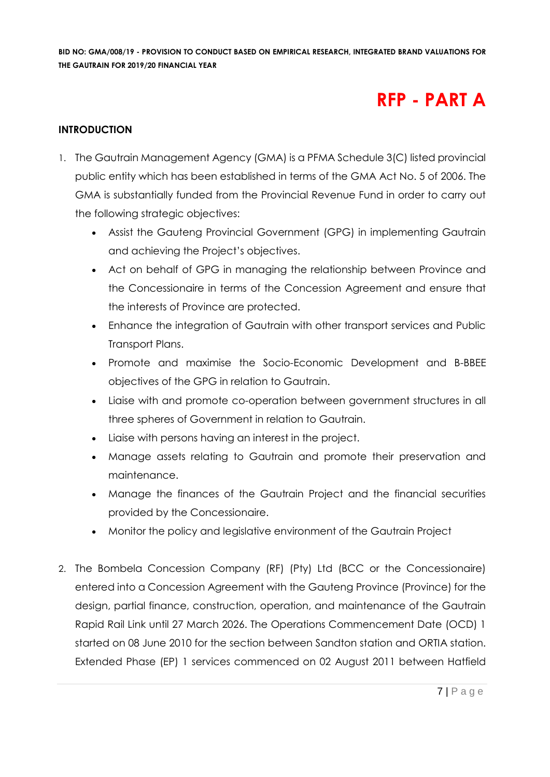# **RFP - PART A**

#### **INTRODUCTION**

- 1. The Gautrain Management Agency (GMA) is a PFMA Schedule 3(C) listed provincial public entity which has been established in terms of the GMA Act No. 5 of 2006. The GMA is substantially funded from the Provincial Revenue Fund in order to carry out the following strategic objectives:
	- Assist the Gauteng Provincial Government (GPG) in implementing Gautrain and achieving the Project's objectives.
	- Act on behalf of GPG in managing the relationship between Province and the Concessionaire in terms of the Concession Agreement and ensure that the interests of Province are protected.
	- Enhance the integration of Gautrain with other transport services and Public Transport Plans.
	- Promote and maximise the Socio-Economic Development and B-BBEE objectives of the GPG in relation to Gautrain.
	- Liaise with and promote co-operation between government structures in all three spheres of Government in relation to Gautrain.
	- Liaise with persons having an interest in the project.
	- Manage assets relating to Gautrain and promote their preservation and maintenance.
	- Manage the finances of the Gautrain Project and the financial securities provided by the Concessionaire.
	- Monitor the policy and legislative environment of the Gautrain Project
- 2. The Bombela Concession Company (RF) (Pty) Ltd (BCC or the Concessionaire) entered into a Concession Agreement with the Gauteng Province (Province) for the design, partial finance, construction, operation, and maintenance of the Gautrain Rapid Rail Link until 27 March 2026. The Operations Commencement Date (OCD) 1 started on 08 June 2010 for the section between Sandton station and ORTIA station. Extended Phase (EP) 1 services commenced on 02 August 2011 between Hatfield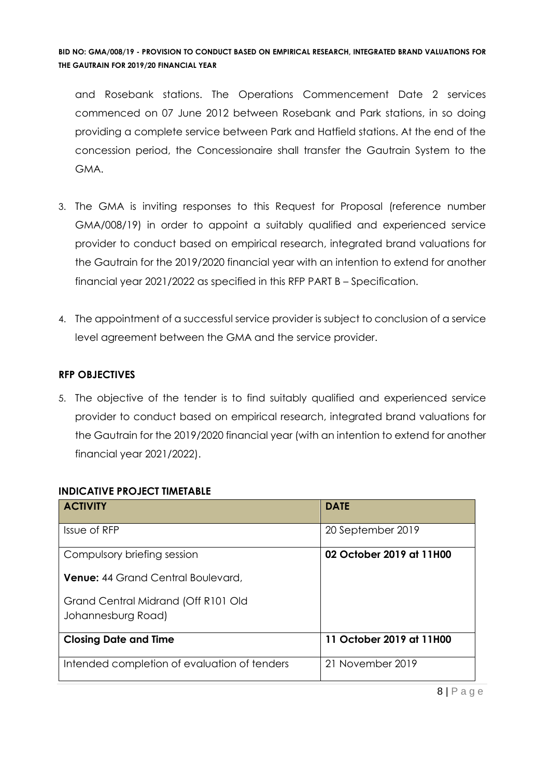and Rosebank stations. The Operations Commencement Date 2 services commenced on 07 June 2012 between Rosebank and Park stations, in so doing providing a complete service between Park and Hatfield stations. At the end of the concession period, the Concessionaire shall transfer the Gautrain System to the GMA.

- 3. The GMA is inviting responses to this Request for Proposal (reference number GMA/008/19) in order to appoint a suitably qualified and experienced service provider to conduct based on empirical research, integrated brand valuations for the Gautrain for the 2019/2020 financial year with an intention to extend for another financial year 2021/2022 as specified in this RFP PART B – Specification.
- 4. The appointment of a successful service provider is subject to conclusion of a service level agreement between the GMA and the service provider.

#### **RFP OBJECTIVES**

5. The objective of the tender is to find suitably qualified and experienced service provider to conduct based on empirical research, integrated brand valuations for the Gautrain for the 2019/2020 financial year (with an intention to extend for another financial year 2021/2022).

| <b>ACTIVITY</b>                                           | <b>DATE</b>              |
|-----------------------------------------------------------|--------------------------|
| Issue of RFP                                              | 20 September 2019        |
| Compulsory briefing session                               | 02 October 2019 at 11H00 |
| <b>Venue:</b> 44 Grand Central Boulevard.                 |                          |
| Grand Central Midrand (Off R101 Old<br>Johannesburg Road) |                          |
| <b>Closing Date and Time</b>                              | 11 October 2019 at 11H00 |
| Intended completion of evaluation of tenders              | 21 November 2019         |

# **INDICATIVE PROJECT TIMETABLE**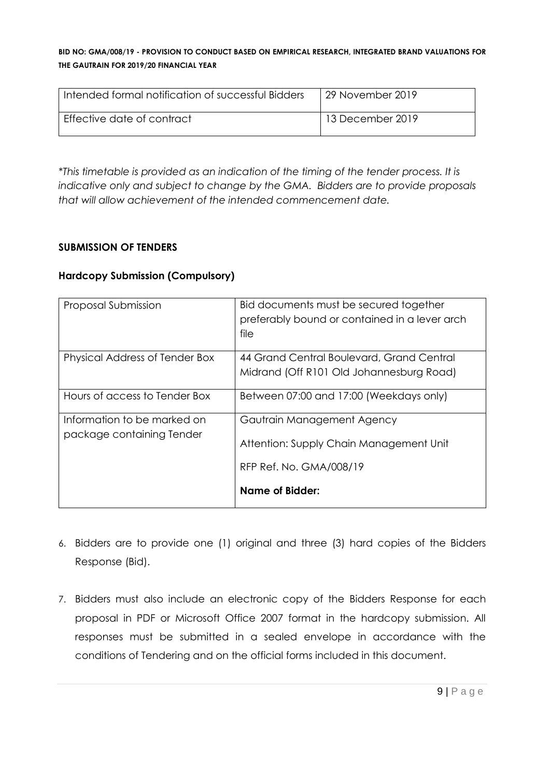| Intended formal notification of successful Bidders | 29 November 2019 |
|----------------------------------------------------|------------------|
| Effective date of contract                         | 13 December 2019 |

*\*This timetable is provided as an indication of the timing of the tender process. It is indicative only and subject to change by the GMA. Bidders are to provide proposals that will allow achievement of the intended commencement date.*

#### **SUBMISSION OF TENDERS**

#### **Hardcopy Submission (Compulsory)**

| Proposal Submission                                      | Bid documents must be secured together<br>preferably bound or contained in a lever arch<br>file  |
|----------------------------------------------------------|--------------------------------------------------------------------------------------------------|
| Physical Address of Tender Box                           | 44 Grand Central Boulevard, Grand Central<br>Midrand (Off R101 Old Johannesburg Road)            |
| Hours of access to Tender Box                            | Between 07:00 and 17:00 (Weekdays only)                                                          |
| Information to be marked on<br>package containing Tender | Gautrain Management Agency<br>Attention: Supply Chain Management Unit<br>RFP Ref. No. GMA/008/19 |
|                                                          | Name of Bidder:                                                                                  |

- 6. Bidders are to provide one (1) original and three (3) hard copies of the Bidders Response (Bid).
- 7. Bidders must also include an electronic copy of the Bidders Response for each proposal in PDF or Microsoft Office 2007 format in the hardcopy submission. All responses must be submitted in a sealed envelope in accordance with the conditions of Tendering and on the official forms included in this document.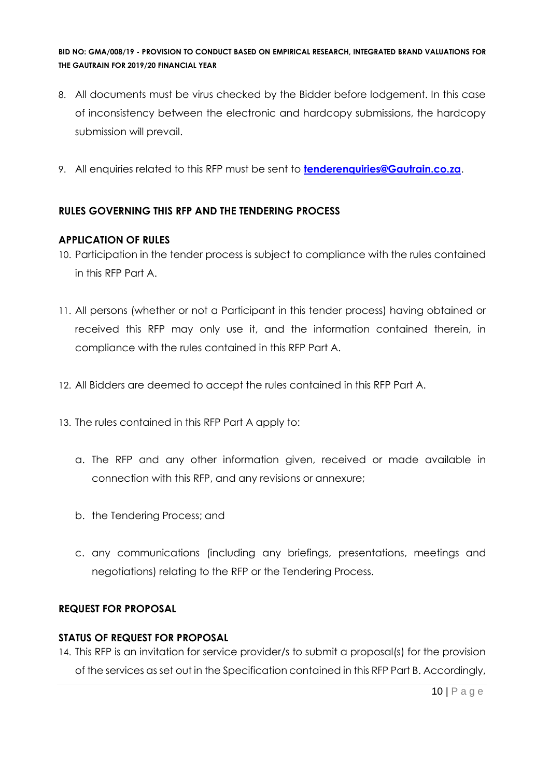- 8. All documents must be virus checked by the Bidder before lodgement. In this case of inconsistency between the electronic and hardcopy submissions, the hardcopy submission will prevail.
- 9. All enquiries related to this RFP must be sent to **[tenderenquiries@Gautrain.co.za](mailto:tenderenquiries@Gautrain.co.za)**.

### **RULES GOVERNING THIS RFP AND THE TENDERING PROCESS**

#### **APPLICATION OF RULES**

- 10. Participation in the tender process is subject to compliance with the rules contained in this RFP Part A.
- 11. All persons (whether or not a Participant in this tender process) having obtained or received this RFP may only use it, and the information contained therein, in compliance with the rules contained in this RFP Part A.
- 12. All Bidders are deemed to accept the rules contained in this RFP Part A.
- 13. The rules contained in this RFP Part A apply to:
	- a. The RFP and any other information given, received or made available in connection with this RFP, and any revisions or annexure;
	- b. the Tendering Process; and
	- c. any communications (including any briefings, presentations, meetings and negotiations) relating to the RFP or the Tendering Process.

#### **REQUEST FOR PROPOSAL**

#### **STATUS OF REQUEST FOR PROPOSAL**

14. This RFP is an invitation for service provider/s to submit a proposal(s) for the provision of the services as set out in the Specification contained in this RFP Part B. Accordingly,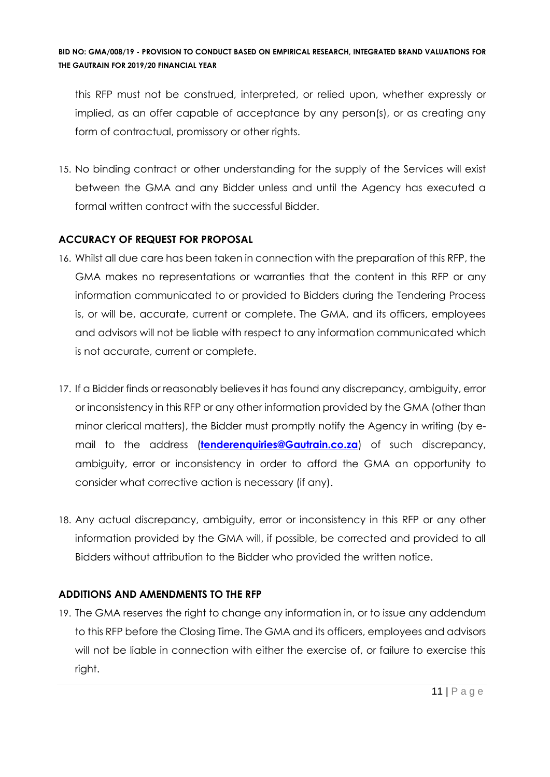this RFP must not be construed, interpreted, or relied upon, whether expressly or implied, as an offer capable of acceptance by any person(s), or as creating any form of contractual, promissory or other rights.

15. No binding contract or other understanding for the supply of the Services will exist between the GMA and any Bidder unless and until the Agency has executed a formal written contract with the successful Bidder.

## **ACCURACY OF REQUEST FOR PROPOSAL**

- 16. Whilst all due care has been taken in connection with the preparation of this RFP, the GMA makes no representations or warranties that the content in this RFP or any information communicated to or provided to Bidders during the Tendering Process is, or will be, accurate, current or complete. The GMA, and its officers, employees and advisors will not be liable with respect to any information communicated which is not accurate, current or complete.
- 17. If a Bidder finds or reasonably believes it has found any discrepancy, ambiguity, error or inconsistency in this RFP or any other information provided by the GMA (other than minor clerical matters), the Bidder must promptly notify the Agency in writing (by email to the address (**[tenderenquiries@Gautrain.co.za](mailto:tenderenquiries@Gautrain.co.za)**) of such discrepancy, ambiguity, error or inconsistency in order to afford the GMA an opportunity to consider what corrective action is necessary (if any).
- 18. Any actual discrepancy, ambiguity, error or inconsistency in this RFP or any other information provided by the GMA will, if possible, be corrected and provided to all Bidders without attribution to the Bidder who provided the written notice.

# **ADDITIONS AND AMENDMENTS TO THE RFP**

19. The GMA reserves the right to change any information in, or to issue any addendum to this RFP before the Closing Time. The GMA and its officers, employees and advisors will not be liable in connection with either the exercise of, or failure to exercise this right.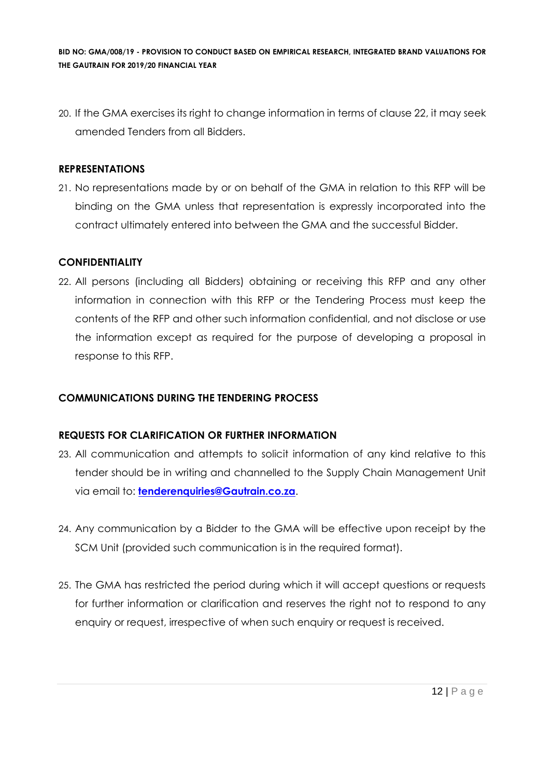20. If the GMA exercises its right to change information in terms of clause 22, it may seek amended Tenders from all Bidders.

#### **REPRESENTATIONS**

21. No representations made by or on behalf of the GMA in relation to this RFP will be binding on the GMA unless that representation is expressly incorporated into the contract ultimately entered into between the GMA and the successful Bidder.

#### **CONFIDENTIALITY**

22. All persons (including all Bidders) obtaining or receiving this RFP and any other information in connection with this RFP or the Tendering Process must keep the contents of the RFP and other such information confidential, and not disclose or use the information except as required for the purpose of developing a proposal in response to this RFP.

#### **COMMUNICATIONS DURING THE TENDERING PROCESS**

#### **REQUESTS FOR CLARIFICATION OR FURTHER INFORMATION**

- 23. All communication and attempts to solicit information of any kind relative to this tender should be in writing and channelled to the Supply Chain Management Unit via email to: **[tenderenquiries@Gautrain.co.za](mailto:tenderenquiries@gautrainpo.co.za)**.
- 24. Any communication by a Bidder to the GMA will be effective upon receipt by the SCM Unit (provided such communication is in the required format).
- 25. The GMA has restricted the period during which it will accept questions or requests for further information or clarification and reserves the right not to respond to any enquiry or request, irrespective of when such enquiry or request is received.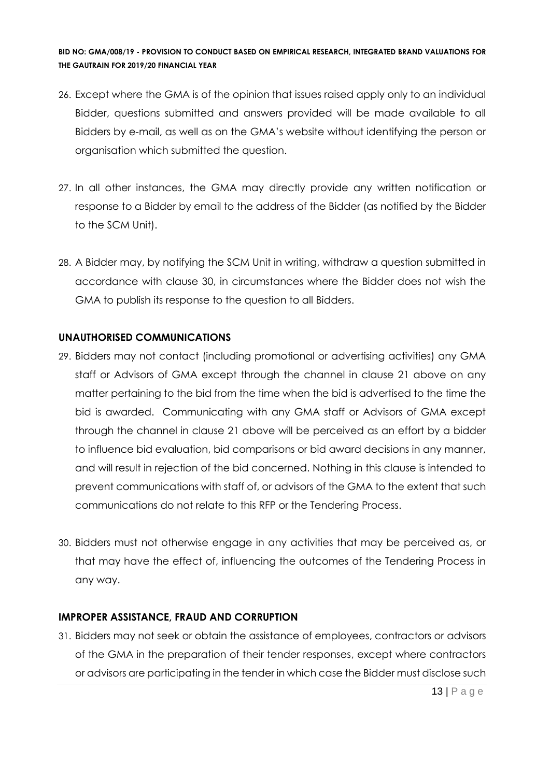- 26. Except where the GMA is of the opinion that issues raised apply only to an individual Bidder, questions submitted and answers provided will be made available to all Bidders by e-mail, as well as on the GMA's website without identifying the person or organisation which submitted the question.
- 27. In all other instances, the GMA may directly provide any written notification or response to a Bidder by email to the address of the Bidder (as notified by the Bidder to the SCM Unit).
- 28. A Bidder may, by notifying the SCM Unit in writing, withdraw a question submitted in accordance with clause 30, in circumstances where the Bidder does not wish the GMA to publish its response to the question to all Bidders.

#### **UNAUTHORISED COMMUNICATIONS**

- 29. Bidders may not contact (including promotional or advertising activities) any GMA staff or Advisors of GMA except through the channel in clause 21 above on any matter pertaining to the bid from the time when the bid is advertised to the time the bid is awarded. Communicating with any GMA staff or Advisors of GMA except through the channel in clause 21 above will be perceived as an effort by a bidder to influence bid evaluation, bid comparisons or bid award decisions in any manner, and will result in rejection of the bid concerned. Nothing in this clause is intended to prevent communications with staff of, or advisors of the GMA to the extent that such communications do not relate to this RFP or the Tendering Process.
- 30. Bidders must not otherwise engage in any activities that may be perceived as, or that may have the effect of, influencing the outcomes of the Tendering Process in any way.

#### **IMPROPER ASSISTANCE, FRAUD AND CORRUPTION**

31. Bidders may not seek or obtain the assistance of employees, contractors or advisors of the GMA in the preparation of their tender responses, except where contractors or advisors are participating in the tender in which case the Bidder must disclose such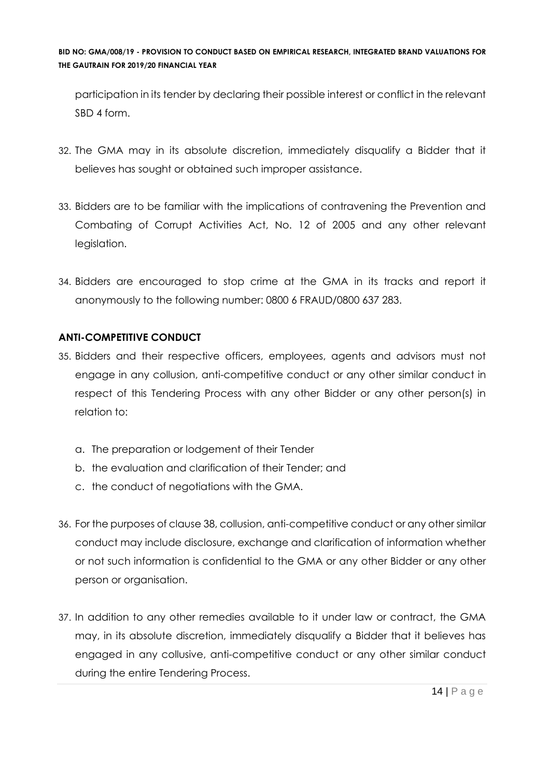participation in its tender by declaring their possible interest or conflict in the relevant SBD 4 form.

- 32. The GMA may in its absolute discretion, immediately disqualify a Bidder that it believes has sought or obtained such improper assistance.
- 33. Bidders are to be familiar with the implications of contravening the Prevention and Combating of Corrupt Activities Act, No. 12 of 2005 and any other relevant legislation.
- 34. Bidders are encouraged to stop crime at the GMA in its tracks and report it anonymously to the following number: 0800 6 FRAUD/0800 637 283.

## **ANTI-COMPETITIVE CONDUCT**

- 35. Bidders and their respective officers, employees, agents and advisors must not engage in any collusion, anti-competitive conduct or any other similar conduct in respect of this Tendering Process with any other Bidder or any other person(s) in relation to:
	- a. The preparation or lodgement of their Tender
	- b. the evaluation and clarification of their Tender; and
	- c. the conduct of negotiations with the GMA.
- 36. For the purposes of clause 38, collusion, anti-competitive conduct or any other similar conduct may include disclosure, exchange and clarification of information whether or not such information is confidential to the GMA or any other Bidder or any other person or organisation.
- 37. In addition to any other remedies available to it under law or contract, the GMA may, in its absolute discretion, immediately disqualify a Bidder that it believes has engaged in any collusive, anti-competitive conduct or any other similar conduct during the entire Tendering Process.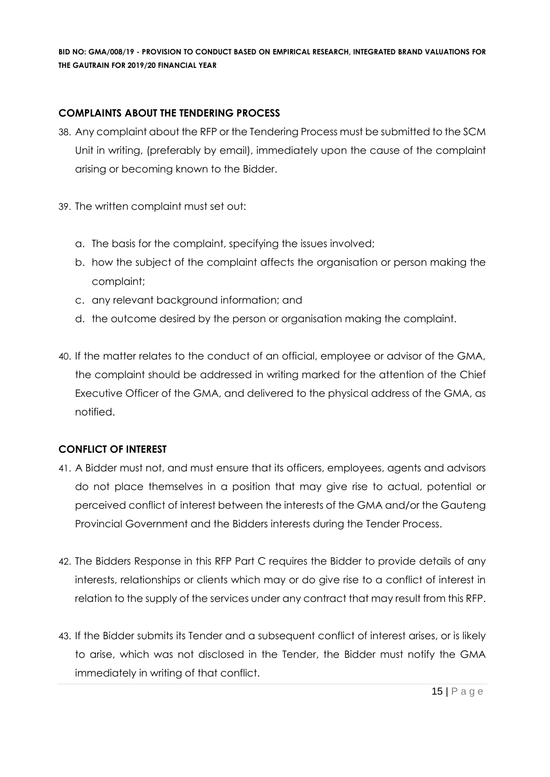#### **COMPLAINTS ABOUT THE TENDERING PROCESS**

- 38. Any complaint about the RFP or the Tendering Process must be submitted to the SCM Unit in writing, (preferably by email), immediately upon the cause of the complaint arising or becoming known to the Bidder.
- 39. The written complaint must set out:
	- a. The basis for the complaint, specifying the issues involved;
	- b. how the subject of the complaint affects the organisation or person making the complaint;
	- c. any relevant background information; and
	- d. the outcome desired by the person or organisation making the complaint.
- 40. If the matter relates to the conduct of an official, employee or advisor of the GMA, the complaint should be addressed in writing marked for the attention of the Chief Executive Officer of the GMA, and delivered to the physical address of the GMA, as notified.

### **CONFLICT OF INTEREST**

- 41. A Bidder must not, and must ensure that its officers, employees, agents and advisors do not place themselves in a position that may give rise to actual, potential or perceived conflict of interest between the interests of the GMA and/or the Gauteng Provincial Government and the Bidders interests during the Tender Process.
- 42. The Bidders Response in this RFP Part C requires the Bidder to provide details of any interests, relationships or clients which may or do give rise to a conflict of interest in relation to the supply of the services under any contract that may result from this RFP.
- 43. If the Bidder submits its Tender and a subsequent conflict of interest arises, or is likely to arise, which was not disclosed in the Tender, the Bidder must notify the GMA immediately in writing of that conflict.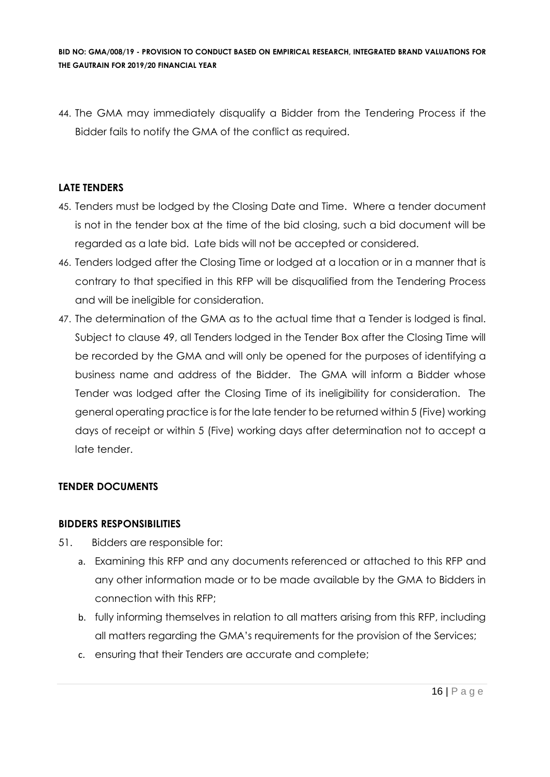44. The GMA may immediately disqualify a Bidder from the Tendering Process if the Bidder fails to notify the GMA of the conflict as required.

#### **LATE TENDERS**

- 45. Tenders must be lodged by the Closing Date and Time. Where a tender document is not in the tender box at the time of the bid closing, such a bid document will be regarded as a late bid. Late bids will not be accepted or considered.
- 46. Tenders lodged after the Closing Time or lodged at a location or in a manner that is contrary to that specified in this RFP will be disqualified from the Tendering Process and will be ineligible for consideration.
- 47. The determination of the GMA as to the actual time that a Tender is lodged is final. Subject to clause 49, all Tenders lodged in the Tender Box after the Closing Time will be recorded by the GMA and will only be opened for the purposes of identifying a business name and address of the Bidder. The GMA will inform a Bidder whose Tender was lodged after the Closing Time of its ineligibility for consideration. The general operating practice is for the late tender to be returned within 5 (Five) working days of receipt or within 5 (Five) working days after determination not to accept a late tender.

#### **TENDER DOCUMENTS**

#### **BIDDERS RESPONSIBILITIES**

- 51. Bidders are responsible for:
	- a. Examining this RFP and any documents referenced or attached to this RFP and any other information made or to be made available by the GMA to Bidders in connection with this RFP;
	- b. fully informing themselves in relation to all matters arising from this RFP, including all matters regarding the GMA's requirements for the provision of the Services;
	- c. ensuring that their Tenders are accurate and complete;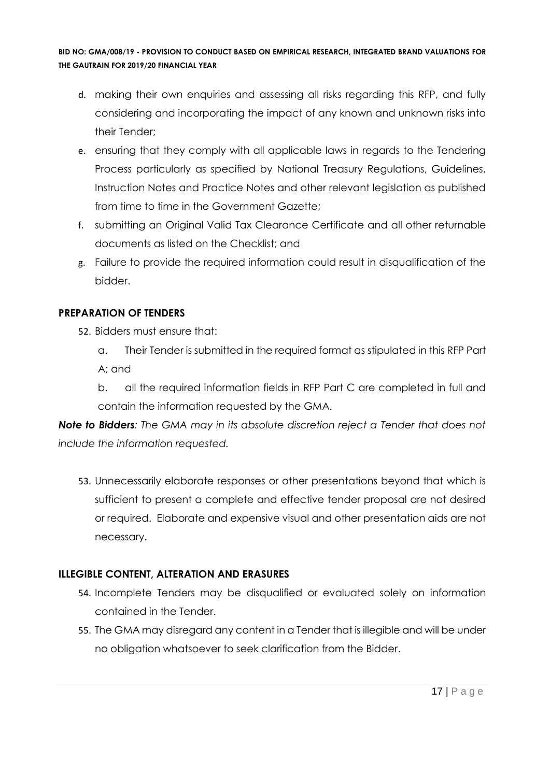- d. making their own enquiries and assessing all risks regarding this RFP, and fully considering and incorporating the impact of any known and unknown risks into their Tender;
- e. ensuring that they comply with all applicable laws in regards to the Tendering Process particularly as specified by National Treasury Regulations, Guidelines, Instruction Notes and Practice Notes and other relevant legislation as published from time to time in the Government Gazette;
- f. submitting an Original Valid Tax Clearance Certificate and all other returnable documents as listed on the Checklist; and
- g. Failure to provide the required information could result in disqualification of the bidder.

#### **PREPARATION OF TENDERS**

- 52. Bidders must ensure that:
	- a. Their Tender is submitted in the required format as stipulated in this RFP Part A; and
	- b. all the required information fields in RFP Part C are completed in full and contain the information requested by the GMA.

*Note to Bidders: The GMA may in its absolute discretion reject a Tender that does not include the information requested.*

53. Unnecessarily elaborate responses or other presentations beyond that which is sufficient to present a complete and effective tender proposal are not desired or required. Elaborate and expensive visual and other presentation aids are not necessary.

### **ILLEGIBLE CONTENT, ALTERATION AND ERASURES**

- 54. Incomplete Tenders may be disqualified or evaluated solely on information contained in the Tender.
- 55. The GMA may disregard any content in a Tender that is illegible and will be under no obligation whatsoever to seek clarification from the Bidder.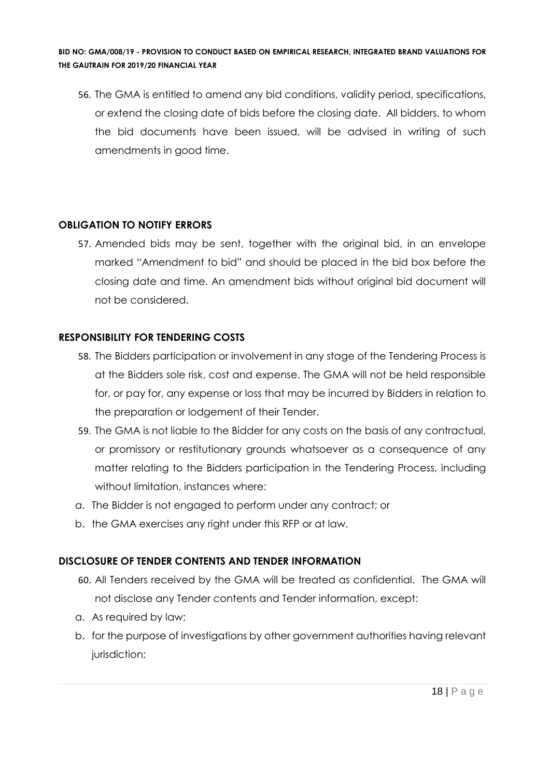56. The GMA is entitled to amend any bid conditions, validity period, specifications, or extend the closing date of bids before the closing date. All bidders, to whom the bid documents have been issued, will be advised in writing of such amendments in good time.

#### **OBLIGATION TO NOTIFY ERRORS**

57. Amended bids may be sent, together with the original bid, in an envelope marked "Amendment to bid" and should be placed in the bid box before the closing date and time. An amendment bids without original bid document will not be considered.

#### **RESPONSIBILITY FOR TENDERING COSTS**

- 58. The Bidders participation or involvement in any stage of the Tendering Process is at the Bidders sole risk, cost and expense. The GMA will not be held responsible for, or pay for, any expense or loss that may be incurred by Bidders in relation to the preparation or lodgement of their Tender.
- 59. The GMA is not liable to the Bidder for any costs on the basis of any contractual, or promissory or restitutionary grounds whatsoever as a consequence of any matter relating to the Bidders participation in the Tendering Process, including without limitation, instances where:
- a. The Bidder is not engaged to perform under any contract; or
- b. the GMA exercises any right under this RFP or at law.

#### **DISCLOSURE OF TENDER CONTENTS AND TENDER INFORMATION**

- 60. All Tenders received by the GMA will be treated as confidential. The GMA will not disclose any Tender contents and Tender information, except:
- a. As required by law;
- b. for the purpose of investigations by other government authorities having relevant jurisdiction;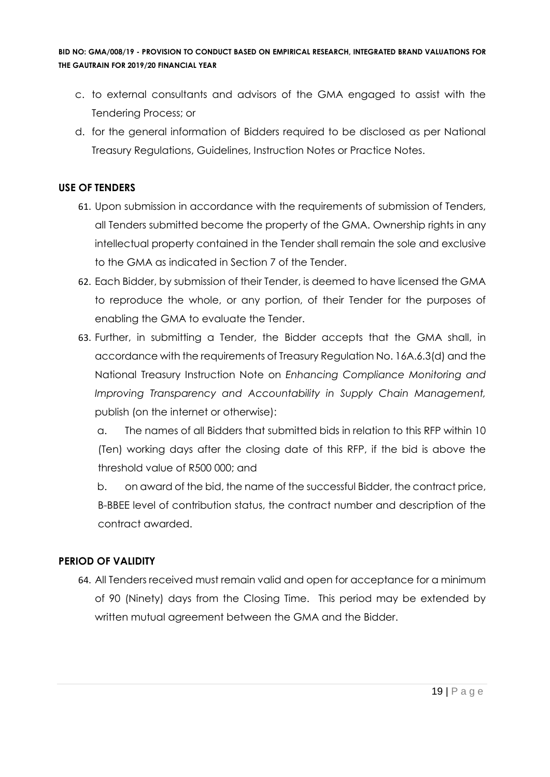- c. to external consultants and advisors of the GMA engaged to assist with the Tendering Process; or
- d. for the general information of Bidders required to be disclosed as per National Treasury Regulations, Guidelines, Instruction Notes or Practice Notes.

#### **USE OF TENDERS**

- 61. Upon submission in accordance with the requirements of submission of Tenders, all Tenders submitted become the property of the GMA. Ownership rights in any intellectual property contained in the Tender shall remain the sole and exclusive to the GMA as indicated in Section 7 of the Tender.
- 62. Each Bidder, by submission of their Tender, is deemed to have licensed the GMA to reproduce the whole, or any portion, of their Tender for the purposes of enabling the GMA to evaluate the Tender.
- 63. Further, in submitting a Tender, the Bidder accepts that the GMA shall, in accordance with the requirements of Treasury Regulation No. 16A.6.3(d) and the National Treasury Instruction Note on *Enhancing Compliance Monitoring and Improving Transparency and Accountability in Supply Chain Management,*  publish (on the internet or otherwise):

a. The names of all Bidders that submitted bids in relation to this RFP within 10 (Ten) working days after the closing date of this RFP, if the bid is above the threshold value of R500 000; and

b. on award of the bid, the name of the successful Bidder, the contract price, B-BBEE level of contribution status, the contract number and description of the contract awarded.

### **PERIOD OF VALIDITY**

64. All Tenders received must remain valid and open for acceptance for a minimum of 90 (Ninety) days from the Closing Time. This period may be extended by written mutual agreement between the GMA and the Bidder.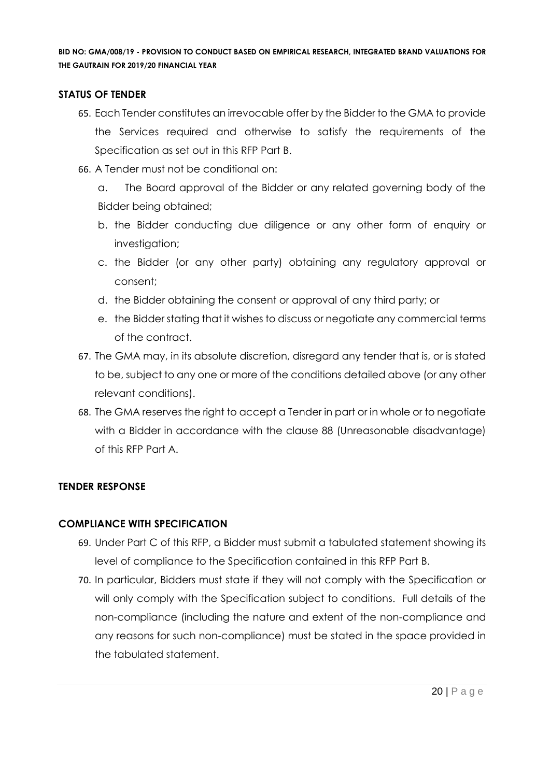#### **STATUS OF TENDER**

- 65. Each Tender constitutes an irrevocable offer by the Bidder to the GMA to provide the Services required and otherwise to satisfy the requirements of the Specification as set out in this RFP Part B.
- 66. A Tender must not be conditional on:
	- a. The Board approval of the Bidder or any related governing body of the Bidder being obtained;
	- b. the Bidder conducting due diligence or any other form of enquiry or investigation;
	- c. the Bidder (or any other party) obtaining any regulatory approval or consent;
	- d. the Bidder obtaining the consent or approval of any third party; or
	- e. the Bidder stating that it wishes to discuss or negotiate any commercial terms of the contract.
- 67. The GMA may, in its absolute discretion, disregard any tender that is, or is stated to be, subject to any one or more of the conditions detailed above (or any other relevant conditions).
- 68. The GMA reserves the right to accept a Tender in part or in whole or to negotiate with a Bidder in accordance with the clause 88 (Unreasonable disadvantage) of this RFP Part A.

#### **TENDER RESPONSE**

#### **COMPLIANCE WITH SPECIFICATION**

- 69. Under Part C of this RFP, a Bidder must submit a tabulated statement showing its level of compliance to the Specification contained in this RFP Part B.
- 70. In particular, Bidders must state if they will not comply with the Specification or will only comply with the Specification subject to conditions. Full details of the non-compliance (including the nature and extent of the non-compliance and any reasons for such non-compliance) must be stated in the space provided in the tabulated statement.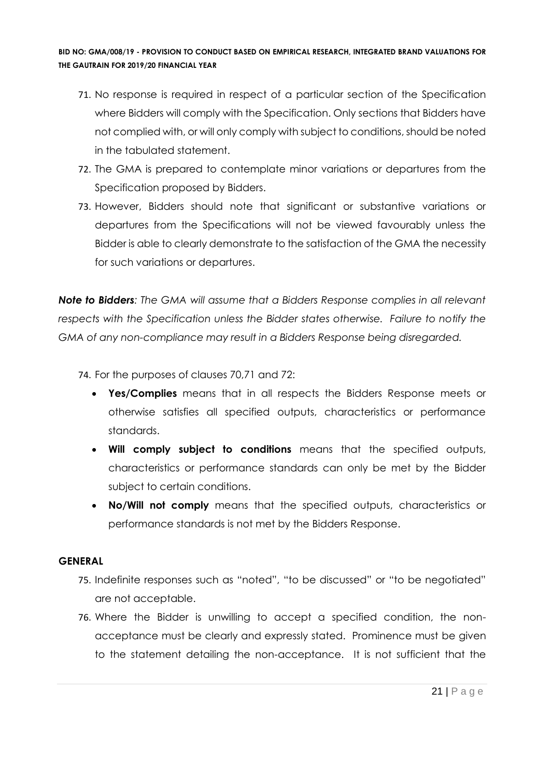- 71. No response is required in respect of a particular section of the Specification where Bidders will comply with the Specification. Only sections that Bidders have not complied with, or will only comply with subject to conditions, should be noted in the tabulated statement.
- 72. The GMA is prepared to contemplate minor variations or departures from the Specification proposed by Bidders.
- 73. However, Bidders should note that significant or substantive variations or departures from the Specifications will not be viewed favourably unless the Bidder is able to clearly demonstrate to the satisfaction of the GMA the necessity for such variations or departures.

*Note to Bidders: The GMA will assume that a Bidders Response complies in all relevant respects with the Specification unless the Bidder states otherwise. Failure to notify the GMA of any non-compliance may result in a Bidders Response being disregarded.*

74. For the purposes of clauses 70,71 and 72:

- **Yes/Complies** means that in all respects the Bidders Response meets or otherwise satisfies all specified outputs, characteristics or performance standards.
- **Will comply subject to conditions** means that the specified outputs, characteristics or performance standards can only be met by the Bidder subject to certain conditions.
- **No/Will not comply** means that the specified outputs, characteristics or performance standards is not met by the Bidders Response.

#### **GENERAL**

- 75. Indefinite responses such as "noted", "to be discussed" or "to be negotiated" are not acceptable.
- 76. Where the Bidder is unwilling to accept a specified condition, the nonacceptance must be clearly and expressly stated. Prominence must be given to the statement detailing the non-acceptance. It is not sufficient that the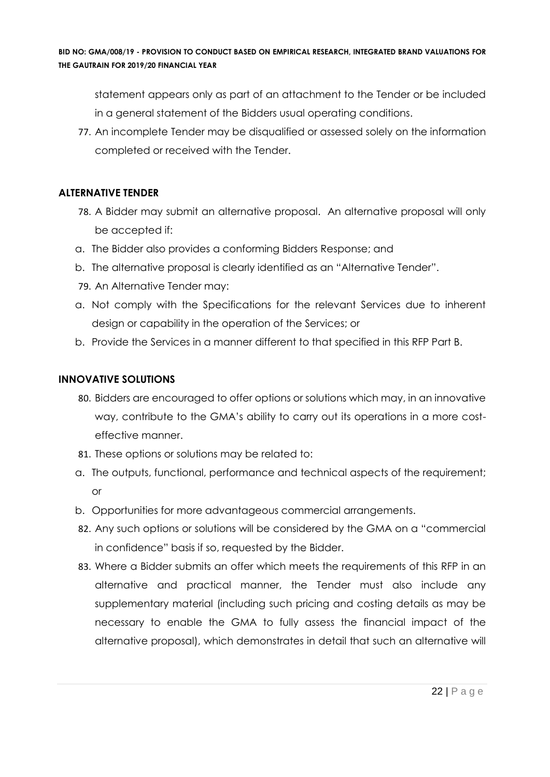statement appears only as part of an attachment to the Tender or be included in a general statement of the Bidders usual operating conditions.

77. An incomplete Tender may be disqualified or assessed solely on the information completed or received with the Tender.

#### **ALTERNATIVE TENDER**

- 78. A Bidder may submit an alternative proposal. An alternative proposal will only be accepted if:
- a. The Bidder also provides a conforming Bidders Response; and
- b. The alternative proposal is clearly identified as an "Alternative Tender".
- 79. An Alternative Tender may:
- a. Not comply with the Specifications for the relevant Services due to inherent design or capability in the operation of the Services; or
- b. Provide the Services in a manner different to that specified in this RFP Part B.

#### **INNOVATIVE SOLUTIONS**

- 80. Bidders are encouraged to offer options or solutions which may, in an innovative way, contribute to the GMA's ability to carry out its operations in a more costeffective manner.
- 81. These options or solutions may be related to:
- a. The outputs, functional, performance and technical aspects of the requirement; or
- b. Opportunities for more advantageous commercial arrangements.
- 82. Any such options or solutions will be considered by the GMA on a "commercial in confidence" basis if so, requested by the Bidder.
- 83. Where a Bidder submits an offer which meets the requirements of this RFP in an alternative and practical manner, the Tender must also include any supplementary material (including such pricing and costing details as may be necessary to enable the GMA to fully assess the financial impact of the alternative proposal), which demonstrates in detail that such an alternative will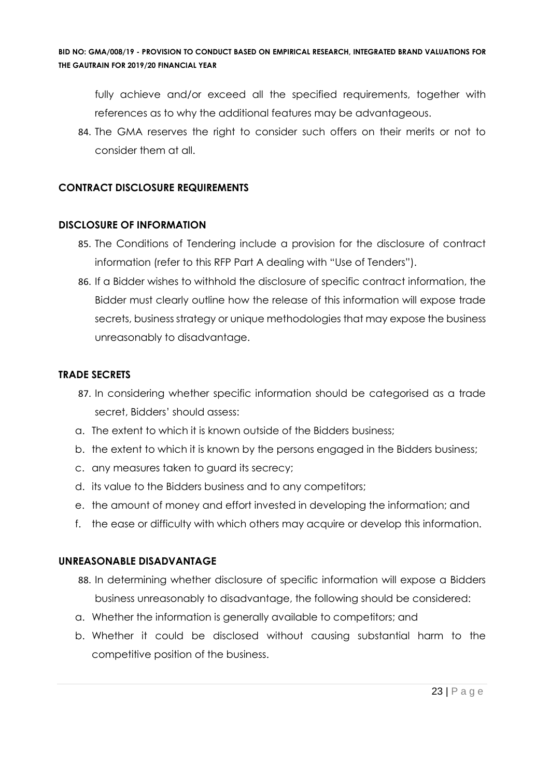fully achieve and/or exceed all the specified requirements, together with references as to why the additional features may be advantageous.

84. The GMA reserves the right to consider such offers on their merits or not to consider them at all.

#### **CONTRACT DISCLOSURE REQUIREMENTS**

#### **DISCLOSURE OF INFORMATION**

- 85. The Conditions of Tendering include a provision for the disclosure of contract information (refer to this RFP Part A dealing with "Use of Tenders").
- 86. If a Bidder wishes to withhold the disclosure of specific contract information, the Bidder must clearly outline how the release of this information will expose trade secrets, business strategy or unique methodologies that may expose the business unreasonably to disadvantage.

#### **TRADE SECRETS**

- 87. In considering whether specific information should be categorised as a trade secret, Bidders' should assess:
- a. The extent to which it is known outside of the Bidders business;
- b. the extent to which it is known by the persons engaged in the Bidders business;
- c. any measures taken to guard its secrecy;
- d. its value to the Bidders business and to any competitors;
- e. the amount of money and effort invested in developing the information; and
- f. the ease or difficulty with which others may acquire or develop this information.

#### **UNREASONABLE DISADVANTAGE**

- 88. In determining whether disclosure of specific information will expose a Bidders business unreasonably to disadvantage, the following should be considered:
- a. Whether the information is generally available to competitors; and
- b. Whether it could be disclosed without causing substantial harm to the competitive position of the business.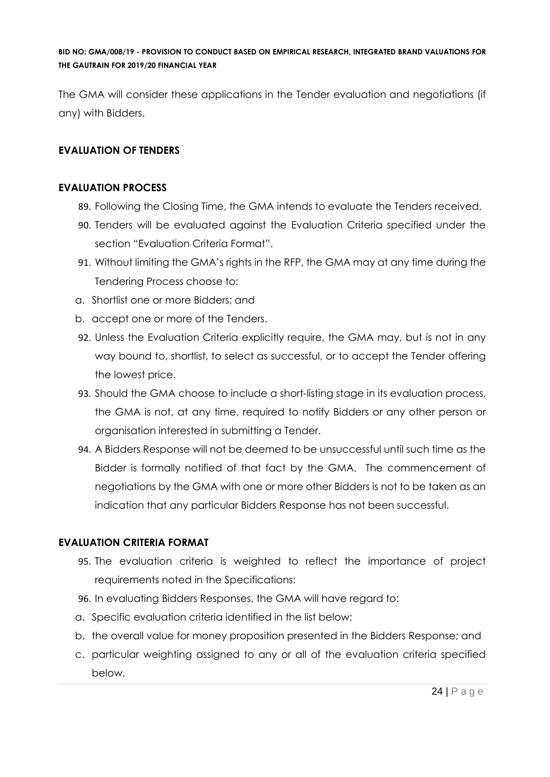The GMA will consider these applications in the Tender evaluation and negotiations (if any) with Bidders.

#### **EVALUATION OF TENDERS**

#### **EVALUATION PROCESS**

- 89. Following the Closing Time, the GMA intends to evaluate the Tenders received.
- 90. Tenders will be evaluated against the Evaluation Criteria specified under the section "Evaluation Criteria Format".
- 91. Without limiting the GMA's rights in the RFP, the GMA may at any time during the Tendering Process choose to:
- a. Shortlist one or more Bidders; and
- b. accept one or more of the Tenders.
- 92. Unless the Evaluation Criteria explicitly require, the GMA may, but is not in any way bound to, shortlist, to select as successful, or to accept the Tender offering the lowest price.
- 93. Should the GMA choose to include a short-listing stage in its evaluation process, the GMA is not, at any time, required to notify Bidders or any other person or organisation interested in submitting a Tender.
- 94. A Bidders Response will not be deemed to be unsuccessful until such time as the Bidder is formally notified of that fact by the GMA. The commencement of negotiations by the GMA with one or more other Bidders is not to be taken as an indication that any particular Bidders Response has not been successful.

#### **EVALUATION CRITERIA FORMAT**

- 95. The evaluation criteria is weighted to reflect the importance of project requirements noted in the Specifications:
- 96. In evaluating Bidders Responses, the GMA will have regard to:
- a. Specific evaluation criteria identified in the list below;
- b. the overall value for money proposition presented in the Bidders Response; and
- c. particular weighting assigned to any or all of the evaluation criteria specified below.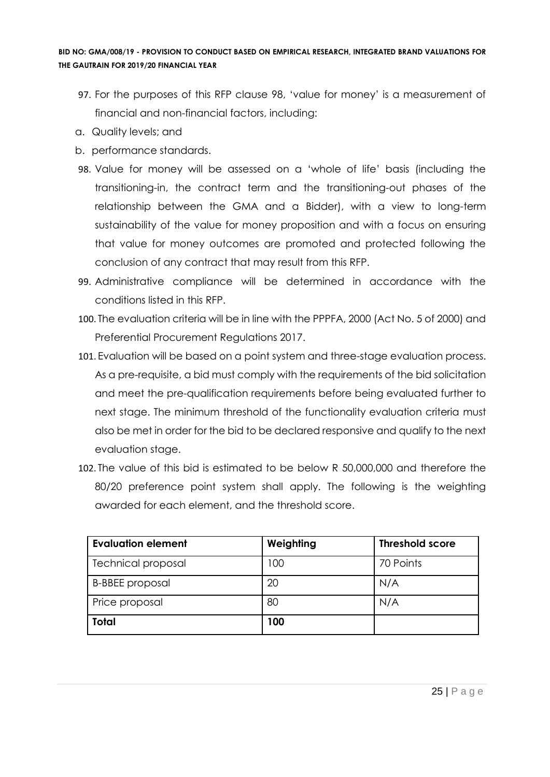- 97. For the purposes of this RFP clause 98, 'value for money' is a measurement of financial and non-financial factors, including:
- a. Quality levels; and
- b. performance standards.
- 98. Value for money will be assessed on a 'whole of life' basis (including the transitioning-in, the contract term and the transitioning-out phases of the relationship between the GMA and a Bidder), with a view to long-term sustainability of the value for money proposition and with a focus on ensuring that value for money outcomes are promoted and protected following the conclusion of any contract that may result from this RFP.
- 99. Administrative compliance will be determined in accordance with the conditions listed in this RFP.
- 100. The evaluation criteria will be in line with the PPPFA, 2000 (Act No. 5 of 2000) and Preferential Procurement Regulations 2017.
- 101. Evaluation will be based on a point system and three-stage evaluation process. As a pre-requisite, a bid must comply with the requirements of the bid solicitation and meet the pre-qualification requirements before being evaluated further to next stage. The minimum threshold of the functionality evaluation criteria must also be met in order for the bid to be declared responsive and qualify to the next evaluation stage.
- 102. The value of this bid is estimated to be below R 50,000,000 and therefore the 80/20 preference point system shall apply. The following is the weighting awarded for each element, and the threshold score.

| <b>Evaluation element</b> | Weighting | <b>Threshold score</b> |
|---------------------------|-----------|------------------------|
| <b>Technical proposal</b> | 100       | 70 Points              |
| <b>B-BBEE</b> proposal    | 20        | N/A                    |
| Price proposal            | 80        | N/A                    |
| <b>Total</b>              | 100       |                        |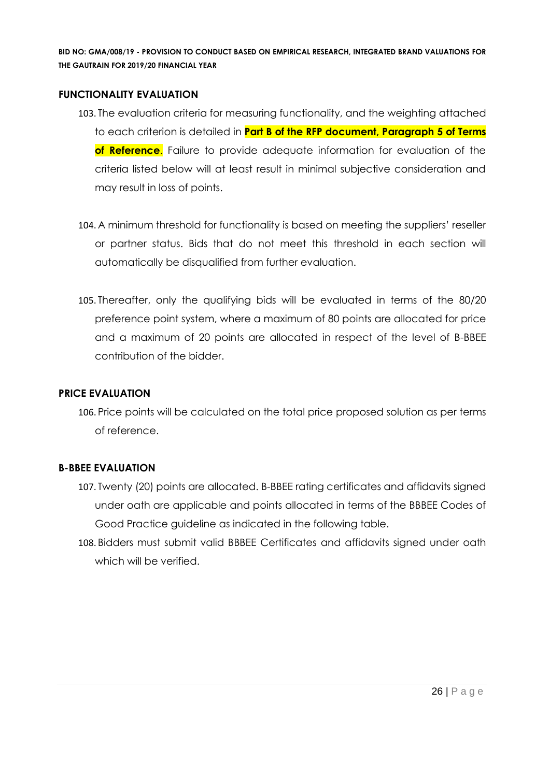#### **FUNCTIONALITY EVALUATION**

- 103. The evaluation criteria for measuring functionality, and the weighting attached to each criterion is detailed in **Part B of the RFP document, Paragraph 5 of Terms of Reference**. Failure to provide adequate information for evaluation of the criteria listed below will at least result in minimal subjective consideration and may result in loss of points.
- 104. A minimum threshold for functionality is based on meeting the suppliers' reseller or partner status. Bids that do not meet this threshold in each section will automatically be disqualified from further evaluation.
- 105. Thereafter, only the qualifying bids will be evaluated in terms of the 80/20 preference point system, where a maximum of 80 points are allocated for price and a maximum of 20 points are allocated in respect of the level of B-BBEE contribution of the bidder.

#### **PRICE EVALUATION**

106. Price points will be calculated on the total price proposed solution as per terms of reference.

#### **B-BBEE EVALUATION**

- 107. Twenty (20) points are allocated. B-BBEE rating certificates and affidavits signed under oath are applicable and points allocated in terms of the BBBEE Codes of Good Practice guideline as indicated in the following table.
- 108. Bidders must submit valid BBBEE Certificates and affidavits signed under oath which will be verified.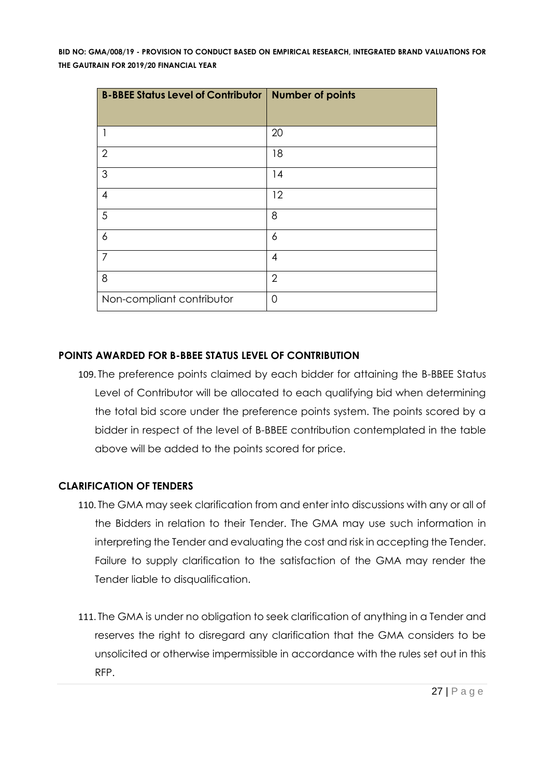| <b>B-BBEE Status Level of Contributor</b> | <b>Number of points</b> |
|-------------------------------------------|-------------------------|
|                                           | 20                      |
|                                           |                         |
| $\overline{2}$                            | 18                      |
| 3                                         | 14                      |
| 4                                         | 12                      |
| 5                                         | 8                       |
| 6                                         | 6                       |
| 7                                         | 4                       |
| 8                                         | $\overline{2}$          |
| Non-compliant contributor                 | $\Omega$                |

### **POINTS AWARDED FOR B-BBEE STATUS LEVEL OF CONTRIBUTION**

109. The preference points claimed by each bidder for attaining the B-BBEE Status Level of Contributor will be allocated to each qualifying bid when determining the total bid score under the preference points system. The points scored by a bidder in respect of the level of B-BBEE contribution contemplated in the table above will be added to the points scored for price.

#### **CLARIFICATION OF TENDERS**

- 110. The GMA may seek clarification from and enter into discussions with any or all of the Bidders in relation to their Tender. The GMA may use such information in interpreting the Tender and evaluating the cost and risk in accepting the Tender. Failure to supply clarification to the satisfaction of the GMA may render the Tender liable to disqualification.
- 111. The GMA is under no obligation to seek clarification of anything in a Tender and reserves the right to disregard any clarification that the GMA considers to be unsolicited or otherwise impermissible in accordance with the rules set out in this RFP.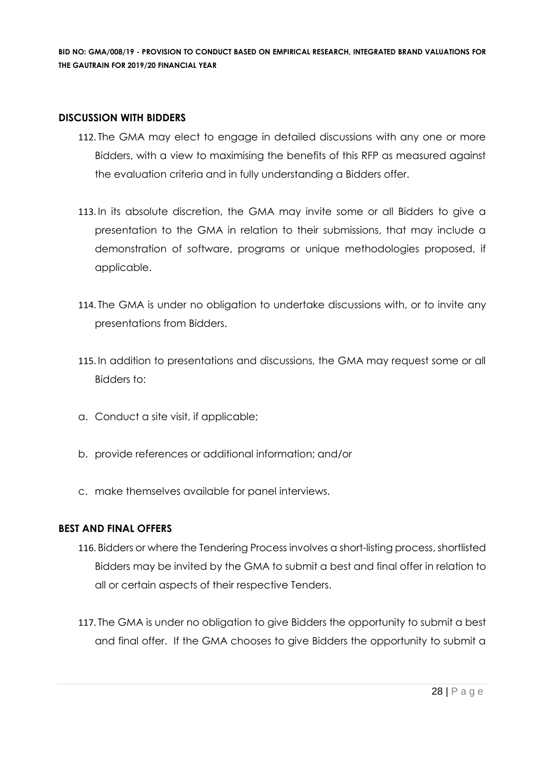#### **DISCUSSION WITH BIDDERS**

- 112. The GMA may elect to engage in detailed discussions with any one or more Bidders, with a view to maximising the benefits of this RFP as measured against the evaluation criteria and in fully understanding a Bidders offer.
- 113. In its absolute discretion, the GMA may invite some or all Bidders to give a presentation to the GMA in relation to their submissions, that may include a demonstration of software, programs or unique methodologies proposed, if applicable.
- 114. The GMA is under no obligation to undertake discussions with, or to invite any presentations from Bidders.
- 115. In addition to presentations and discussions, the GMA may request some or all Bidders to:
- a. Conduct a site visit, if applicable;
- b. provide references or additional information; and/or
- c. make themselves available for panel interviews.

#### **BEST AND FINAL OFFERS**

- 116. Bidders or where the Tendering Process involves a short-listing process, shortlisted Bidders may be invited by the GMA to submit a best and final offer in relation to all or certain aspects of their respective Tenders.
- 117. The GMA is under no obligation to give Bidders the opportunity to submit a best and final offer. If the GMA chooses to give Bidders the opportunity to submit a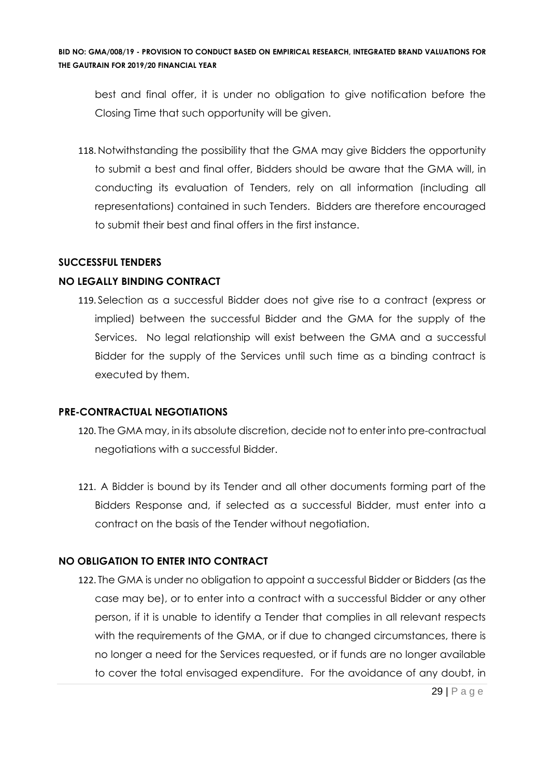best and final offer, it is under no obligation to give notification before the Closing Time that such opportunity will be given.

118. Notwithstanding the possibility that the GMA may give Bidders the opportunity to submit a best and final offer, Bidders should be aware that the GMA will, in conducting its evaluation of Tenders, rely on all information (including all representations) contained in such Tenders. Bidders are therefore encouraged to submit their best and final offers in the first instance.

#### **SUCCESSFUL TENDERS**

#### **NO LEGALLY BINDING CONTRACT**

119. Selection as a successful Bidder does not give rise to a contract (express or implied) between the successful Bidder and the GMA for the supply of the Services. No legal relationship will exist between the GMA and a successful Bidder for the supply of the Services until such time as a binding contract is executed by them.

#### **PRE-CONTRACTUAL NEGOTIATIONS**

- 120. The GMA may, in its absolute discretion, decide not to enter into pre-contractual negotiations with a successful Bidder.
- 121. A Bidder is bound by its Tender and all other documents forming part of the Bidders Response and, if selected as a successful Bidder, must enter into a contract on the basis of the Tender without negotiation.

### **NO OBLIGATION TO ENTER INTO CONTRACT**

122. The GMA is under no obligation to appoint a successful Bidder or Bidders (as the case may be), or to enter into a contract with a successful Bidder or any other person, if it is unable to identify a Tender that complies in all relevant respects with the requirements of the GMA, or if due to changed circumstances, there is no longer a need for the Services requested, or if funds are no longer available to cover the total envisaged expenditure. For the avoidance of any doubt, in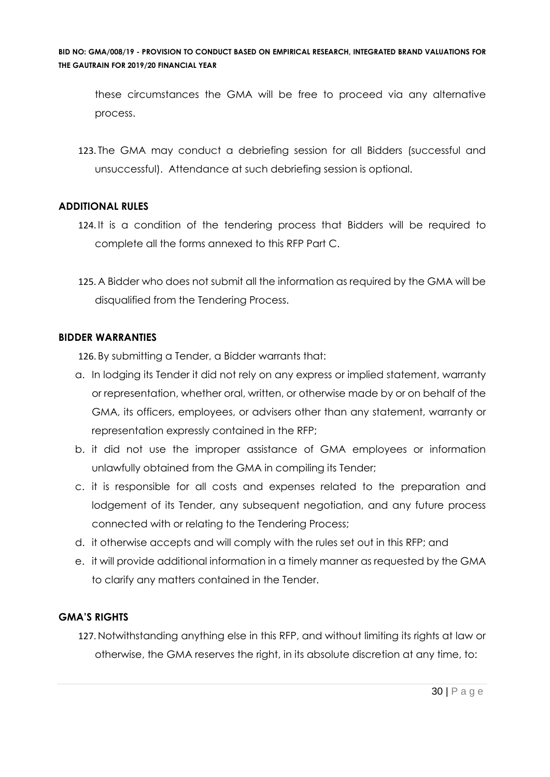these circumstances the GMA will be free to proceed via any alternative process.

123. The GMA may conduct a debriefing session for all Bidders (successful and unsuccessful). Attendance at such debriefing session is optional.

### **ADDITIONAL RULES**

- 124. It is a condition of the tendering process that Bidders will be required to complete all the forms annexed to this RFP Part C.
- 125. A Bidder who does not submit all the information as required by the GMA will be disqualified from the Tendering Process.

#### **BIDDER WARRANTIES**

126. By submitting a Tender, a Bidder warrants that:

- a. In lodging its Tender it did not rely on any express or implied statement, warranty or representation, whether oral, written, or otherwise made by or on behalf of the GMA, its officers, employees, or advisers other than any statement, warranty or representation expressly contained in the RFP;
- b. it did not use the improper assistance of GMA employees or information unlawfully obtained from the GMA in compiling its Tender;
- c. it is responsible for all costs and expenses related to the preparation and lodgement of its Tender, any subsequent negotiation, and any future process connected with or relating to the Tendering Process;
- d. it otherwise accepts and will comply with the rules set out in this RFP; and
- e. it will provide additional information in a timely manner as requested by the GMA to clarify any matters contained in the Tender.

### **GMA'S RIGHTS**

127. Notwithstanding anything else in this RFP, and without limiting its rights at law or otherwise, the GMA reserves the right, in its absolute discretion at any time, to: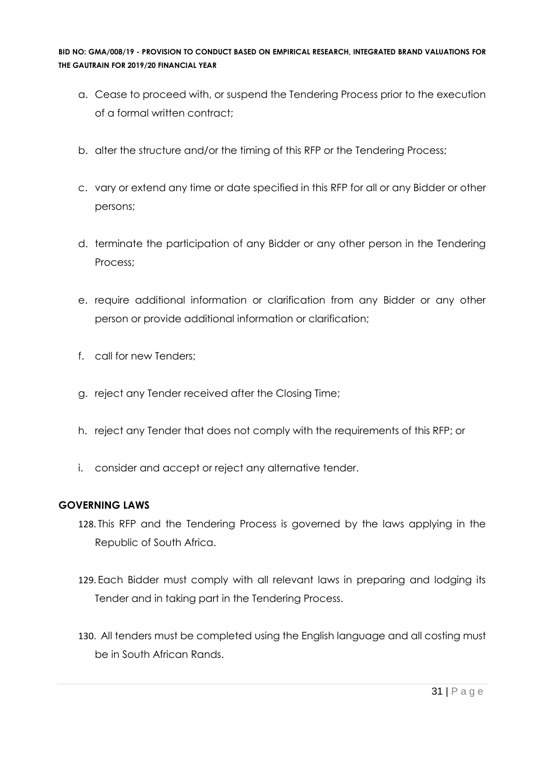- a. Cease to proceed with, or suspend the Tendering Process prior to the execution of a formal written contract;
- b. alter the structure and/or the timing of this RFP or the Tendering Process;
- c. vary or extend any time or date specified in this RFP for all or any Bidder or other persons;
- d. terminate the participation of any Bidder or any other person in the Tendering Process;
- e. require additional information or clarification from any Bidder or any other person or provide additional information or clarification;
- f. call for new Tenders;
- g. reject any Tender received after the Closing Time;
- h. reject any Tender that does not comply with the requirements of this RFP; or
- i. consider and accept or reject any alternative tender.

#### **GOVERNING LAWS**

- 128. This RFP and the Tendering Process is governed by the laws applying in the Republic of South Africa.
- 129. Each Bidder must comply with all relevant laws in preparing and lodging its Tender and in taking part in the Tendering Process.
- 130. All tenders must be completed using the English language and all costing must be in South African Rands.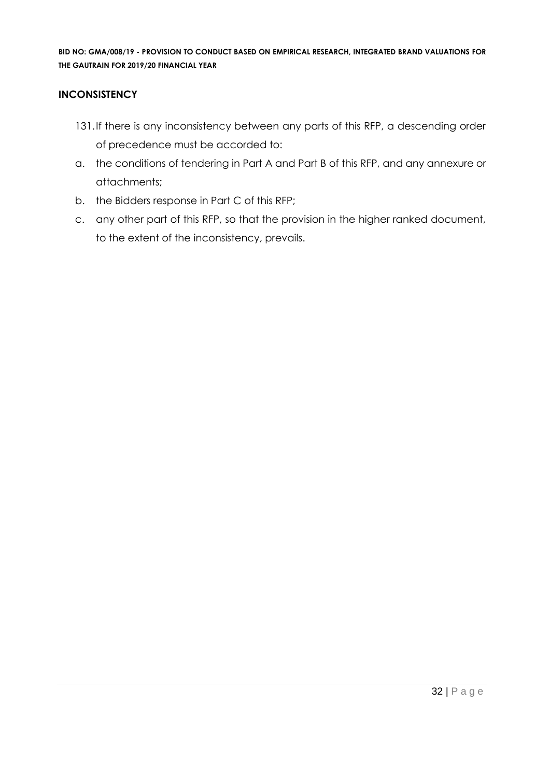#### **INCONSISTENCY**

- 131.If there is any inconsistency between any parts of this RFP, a descending order of precedence must be accorded to:
- a. the conditions of tendering in Part A and Part B of this RFP, and any annexure or attachments;
- b. the Bidders response in Part C of this RFP;
- c. any other part of this RFP, so that the provision in the higher ranked document, to the extent of the inconsistency, prevails.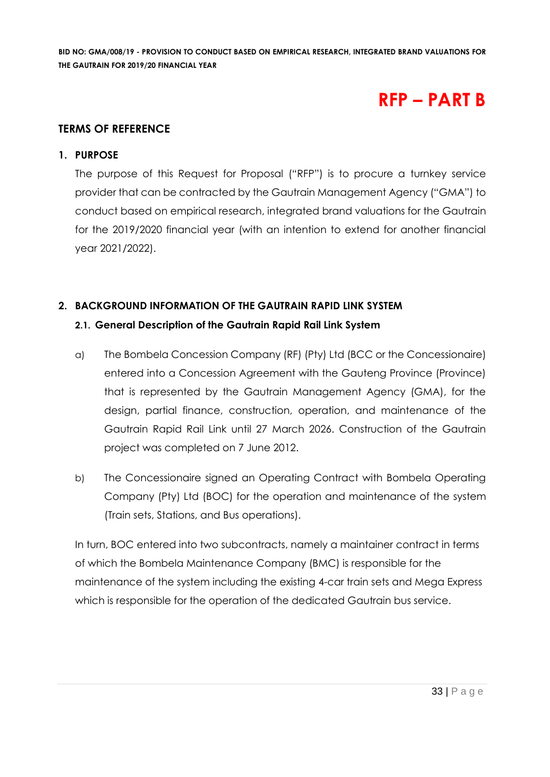# **RFP – PART B**

#### **TERMS OF REFERENCE**

#### **1. PURPOSE**

The purpose of this Request for Proposal ("RFP") is to procure a turnkey service provider that can be contracted by the Gautrain Management Agency ("GMA") to conduct based on empirical research, integrated brand valuations for the Gautrain for the 2019/2020 financial year (with an intention to extend for another financial year 2021/2022).

# **2. BACKGROUND INFORMATION OF THE GAUTRAIN RAPID LINK SYSTEM**

#### **2.1. General Description of the Gautrain Rapid Rail Link System**

- a) The Bombela Concession Company (RF) (Pty) Ltd (BCC or the Concessionaire) entered into a Concession Agreement with the Gauteng Province (Province) that is represented by the Gautrain Management Agency (GMA), for the design, partial finance, construction, operation, and maintenance of the Gautrain Rapid Rail Link until 27 March 2026. Construction of the Gautrain project was completed on 7 June 2012.
- b) The Concessionaire signed an Operating Contract with Bombela Operating Company (Pty) Ltd (BOC) for the operation and maintenance of the system (Train sets, Stations, and Bus operations).

In turn, BOC entered into two subcontracts, namely a maintainer contract in terms of which the Bombela Maintenance Company (BMC) is responsible for the maintenance of the system including the existing 4-car train sets and Mega Express which is responsible for the operation of the dedicated Gautrain bus service.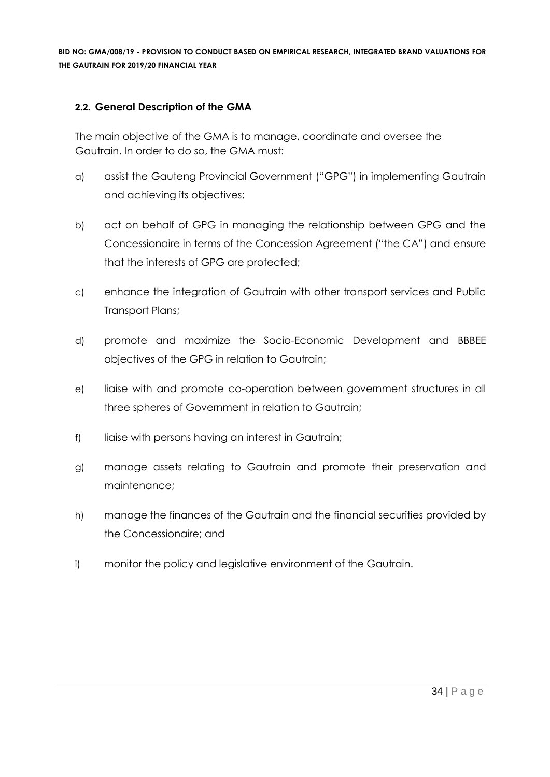#### **2.2. General Description of the GMA**

The main objective of the GMA is to manage, coordinate and oversee the Gautrain. In order to do so, the GMA must:

- a) assist the Gauteng Provincial Government ("GPG") in implementing Gautrain and achieving its objectives;
- b) act on behalf of GPG in managing the relationship between GPG and the Concessionaire in terms of the Concession Agreement ("the CA") and ensure that the interests of GPG are protected;
- c) enhance the integration of Gautrain with other transport services and Public Transport Plans;
- d) promote and maximize the Socio-Economic Development and BBBEE objectives of the GPG in relation to Gautrain;
- e) liaise with and promote co-operation between government structures in all three spheres of Government in relation to Gautrain;
- f) liaise with persons having an interest in Gautrain;
- g) manage assets relating to Gautrain and promote their preservation and maintenance;
- h) manage the finances of the Gautrain and the financial securities provided by the Concessionaire; and
- i) monitor the policy and legislative environment of the Gautrain.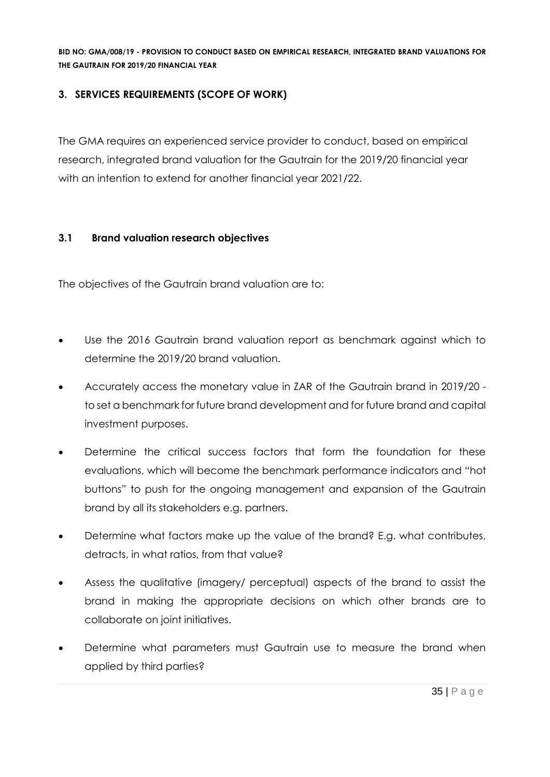### **3. SERVICES REQUIREMENTS (SCOPE OF WORK)**

The GMA requires an experienced service provider to conduct, based on empirical research, integrated brand valuation for the Gautrain for the 2019/20 financial year with an intention to extend for another financial year 2021/22.

### **3.1 Brand valuation research objectives**

The objectives of the Gautrain brand valuation are to:

- Use the 2016 Gautrain brand valuation report as benchmark against which to determine the 2019/20 brand valuation.
- Accurately access the monetary value in ZAR of the Gautrain brand in 2019/20 to set a benchmark for future brand development and for future brand and capital investment purposes.
- Determine the critical success factors that form the foundation for these evaluations, which will become the benchmark performance indicators and "hot buttons" to push for the ongoing management and expansion of the Gautrain brand by all its stakeholders e.g. partners.
- Determine what factors make up the value of the brand? E.g. what contributes, detracts, in what ratios, from that value?
- Assess the qualitative (imagery/ perceptual) aspects of the brand to assist the brand in making the appropriate decisions on which other brands are to collaborate on joint initiatives.
- Determine what parameters must Gautrain use to measure the brand when applied by third parties?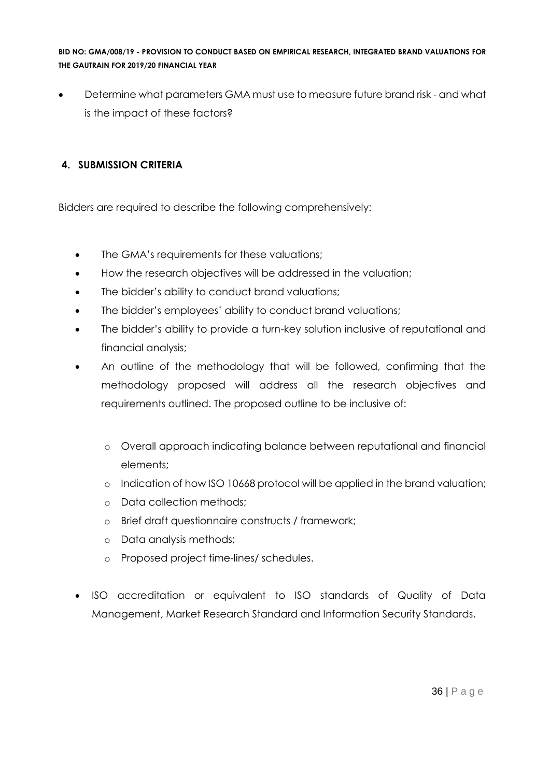• Determine what parameters GMA must use to measure future brand risk - and what is the impact of these factors?

## **4. SUBMISSION CRITERIA**

Bidders are required to describe the following comprehensively:

- The GMA's requirements for these valuations;
- How the research objectives will be addressed in the valuation;
- The bidder's ability to conduct brand valuations;
- The bidder's employees' ability to conduct brand valuations;
- The bidder's ability to provide a turn-key solution inclusive of reputational and financial analysis;
- An outline of the methodology that will be followed, confirming that the methodology proposed will address all the research objectives and requirements outlined. The proposed outline to be inclusive of:
	- o Overall approach indicating balance between reputational and financial elements;
	- o Indication of how ISO 10668 protocol will be applied in the brand valuation;
	- o Data collection methods;
	- o Brief draft questionnaire constructs / framework;
	- o Data analysis methods;
	- o Proposed project time-lines/ schedules.
- ISO accreditation or equivalent to ISO standards of Quality of Data Management, Market Research Standard and Information Security Standards.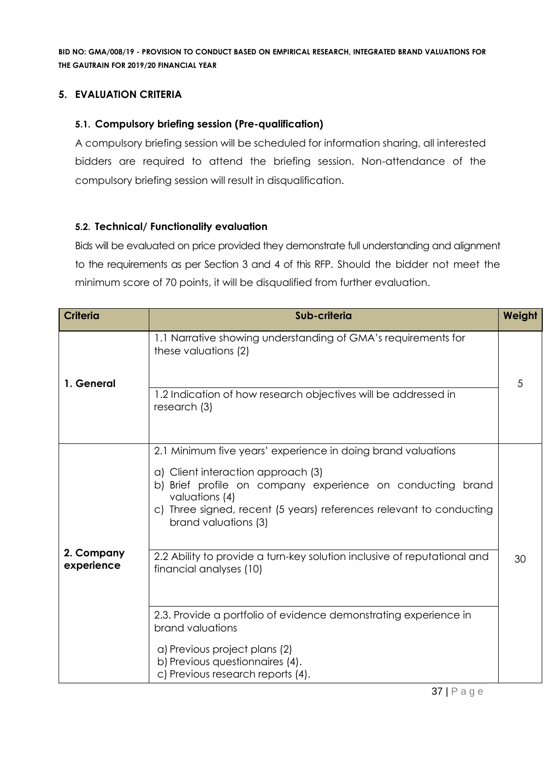#### **5. EVALUATION CRITERIA**

#### **5.1. Compulsory briefing session (Pre-qualification)**

A compulsory briefing session will be scheduled for information sharing, all interested bidders are required to attend the briefing session. Non-attendance of the compulsory briefing session will result in disqualification.

#### **5.2. Technical/ Functionality evaluation**

Bids will be evaluated on price provided they demonstrate full understanding and alignment to the requirements as per Section 3 and 4 of this RFP. Should the bidder not meet the minimum score of 70 points, it will be disqualified from further evaluation.

| <b>Criteria</b>          | Sub-criteria                                                                                                                                                                                                                                                                                                                                                                             | Weight |
|--------------------------|------------------------------------------------------------------------------------------------------------------------------------------------------------------------------------------------------------------------------------------------------------------------------------------------------------------------------------------------------------------------------------------|--------|
| 1. General               | 1.1 Narrative showing understanding of GMA's requirements for<br>these valuations (2)<br>1.2 Indication of how research objectives will be addressed in<br>research (3)                                                                                                                                                                                                                  | 5      |
| 2. Company<br>experience | 2.1 Minimum five years' experience in doing brand valuations<br>a) Client interaction approach (3)<br>b) Brief profile on company experience on conducting brand<br>valuations (4)<br>c) Three signed, recent (5 years) references relevant to conducting<br>brand valuations (3)<br>2.2 Ability to provide a turn-key solution inclusive of reputational and<br>financial analyses (10) | 30     |
|                          | 2.3. Provide a portfolio of evidence demonstrating experience in<br>brand valuations<br>a) Previous project plans (2)<br>b) Previous questionnaires (4).<br>c) Previous research reports (4).                                                                                                                                                                                            |        |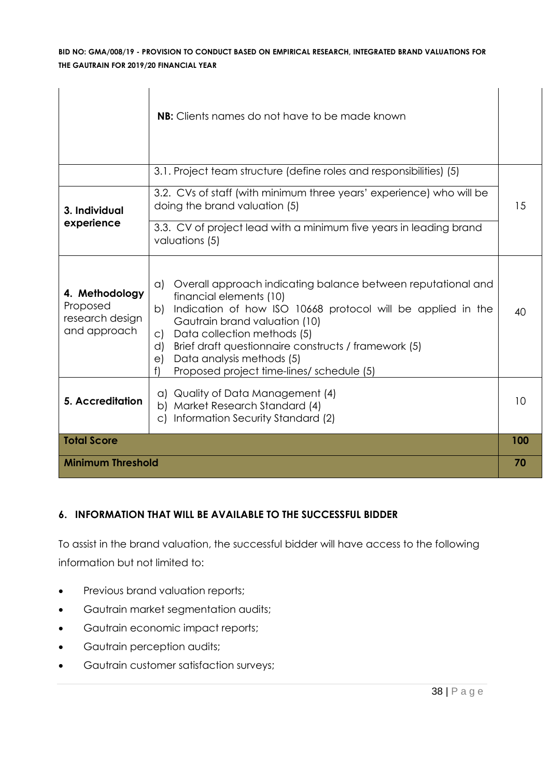|                                                               | <b>NB:</b> Clients names do not have to be made known                                                                                                                                                                                                                                                                                                                                                         |     |
|---------------------------------------------------------------|---------------------------------------------------------------------------------------------------------------------------------------------------------------------------------------------------------------------------------------------------------------------------------------------------------------------------------------------------------------------------------------------------------------|-----|
|                                                               | 3.1. Project team structure (define roles and responsibilities) (5)                                                                                                                                                                                                                                                                                                                                           |     |
| 3. Individual<br>experience                                   | 3.2. CVs of staff (with minimum three years' experience) who will be<br>doing the brand valuation (5)<br>3.3. CV of project lead with a minimum five years in leading brand<br>valuations (5)                                                                                                                                                                                                                 | 15  |
| 4. Methodology<br>Proposed<br>research design<br>and approach | Overall approach indicating balance between reputational and<br>$\alpha$ )<br>financial elements (10)<br>Indication of how ISO 10668 protocol will be applied in the<br>b)<br>Gautrain brand valuation (10)<br>Data collection methods (5)<br>$\mathsf{C}$<br>Brief draft questionnaire constructs / framework (5)<br>d)<br>Data analysis methods (5)<br>e)<br>f<br>Proposed project time-lines/ schedule (5) | 40  |
| 5. Accreditation                                              | Quality of Data Management (4)<br>a)<br>Market Research Standard (4)<br>b)<br>Information Security Standard (2)<br>$\circ$                                                                                                                                                                                                                                                                                    | 10  |
| <b>Total Score</b>                                            |                                                                                                                                                                                                                                                                                                                                                                                                               | 100 |
| <b>Minimum Threshold</b>                                      |                                                                                                                                                                                                                                                                                                                                                                                                               | 70  |

#### **6. INFORMATION THAT WILL BE AVAILABLE TO THE SUCCESSFUL BIDDER**

To assist in the brand valuation, the successful bidder will have access to the following information but not limited to:

- Previous brand valuation reports;
- Gautrain market segmentation audits;
- Gautrain economic impact reports;
- Gautrain perception audits;
- Gautrain customer satisfaction surveys;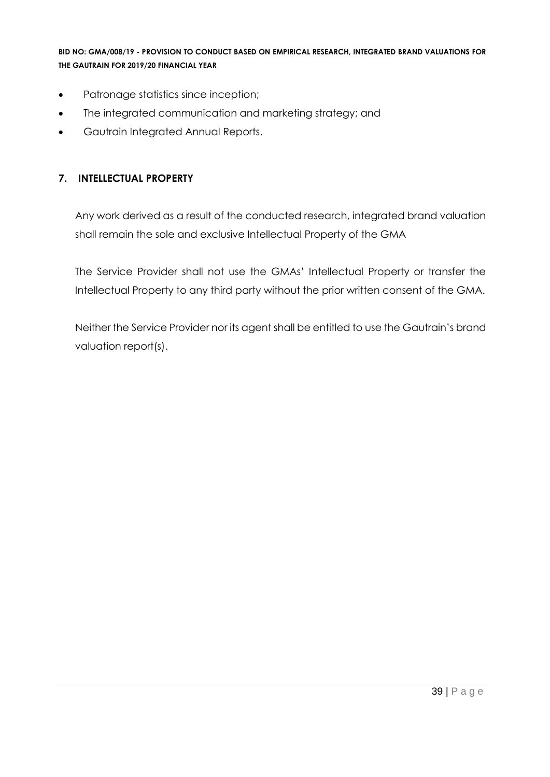- Patronage statistics since inception;
- The integrated communication and marketing strategy; and
- Gautrain Integrated Annual Reports.

#### **7. INTELLECTUAL PROPERTY**

Any work derived as a result of the conducted research, integrated brand valuation shall remain the sole and exclusive Intellectual Property of the GMA

The Service Provider shall not use the GMAs' Intellectual Property or transfer the Intellectual Property to any third party without the prior written consent of the GMA.

Neither the Service Provider nor its agent shall be entitled to use the Gautrain's brand valuation report(s).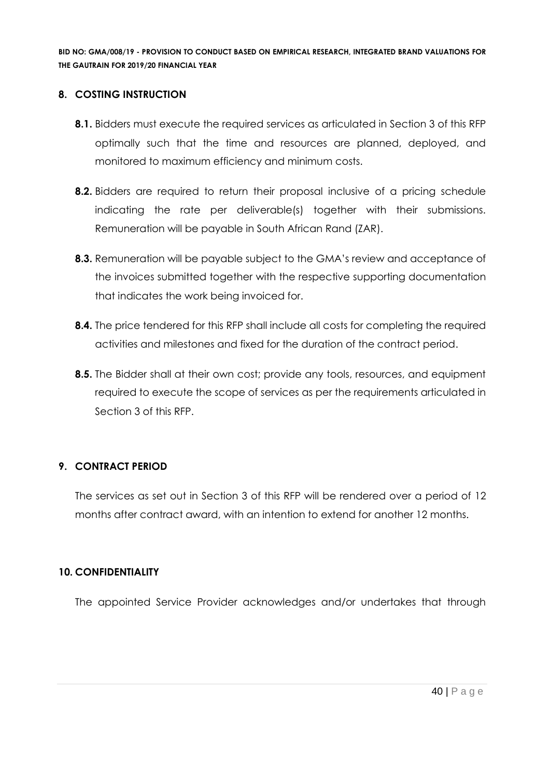#### **8. COSTING INSTRUCTION**

- **8.1.** Bidders must execute the required services as articulated in Section 3 of this RFP optimally such that the time and resources are planned, deployed, and monitored to maximum efficiency and minimum costs.
- **8.2.** Bidders are required to return their proposal inclusive of a pricing schedule indicating the rate per deliverable(s) together with their submissions. Remuneration will be payable in South African Rand (ZAR).
- **8.3.** Remuneration will be payable subject to the GMA's review and acceptance of the invoices submitted together with the respective supporting documentation that indicates the work being invoiced for.
- **8.4.** The price tendered for this RFP shall include all costs for completing the required activities and milestones and fixed for the duration of the contract period.
- **8.5.** The Bidder shall at their own cost; provide any tools, resources, and equipment required to execute the scope of services as per the requirements articulated in Section 3 of this RFP.

#### **9. CONTRACT PERIOD**

The services as set out in Section 3 of this RFP will be rendered over a period of 12 months after contract award, with an intention to extend for another 12 months.

#### **10. CONFIDENTIALITY**

The appointed Service Provider acknowledges and/or undertakes that through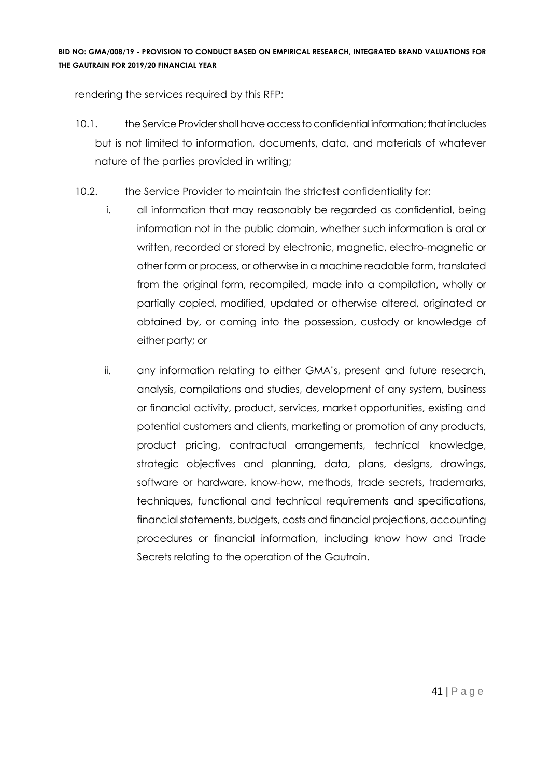rendering the services required by this RFP:

- 10.1. the Service Provider shall have access to confidential information; that includes but is not limited to information, documents, data, and materials of whatever nature of the parties provided in writing;
- 10.2. the Service Provider to maintain the strictest confidentiality for:
	- i. all information that may reasonably be regarded as confidential, being information not in the public domain, whether such information is oral or written, recorded or stored by electronic, magnetic, electro-magnetic or other form or process, or otherwise in a machine readable form, translated from the original form, recompiled, made into a compilation, wholly or partially copied, modified, updated or otherwise altered, originated or obtained by, or coming into the possession, custody or knowledge of either party; or
	- ii. any information relating to either GMA's, present and future research, analysis, compilations and studies, development of any system, business or financial activity, product, services, market opportunities, existing and potential customers and clients, marketing or promotion of any products, product pricing, contractual arrangements, technical knowledge, strategic objectives and planning, data, plans, designs, drawings, software or hardware, know-how, methods, trade secrets, trademarks, techniques, functional and technical requirements and specifications, financial statements, budgets, costs and financial projections, accounting procedures or financial information, including know how and Trade Secrets relating to the operation of the Gautrain.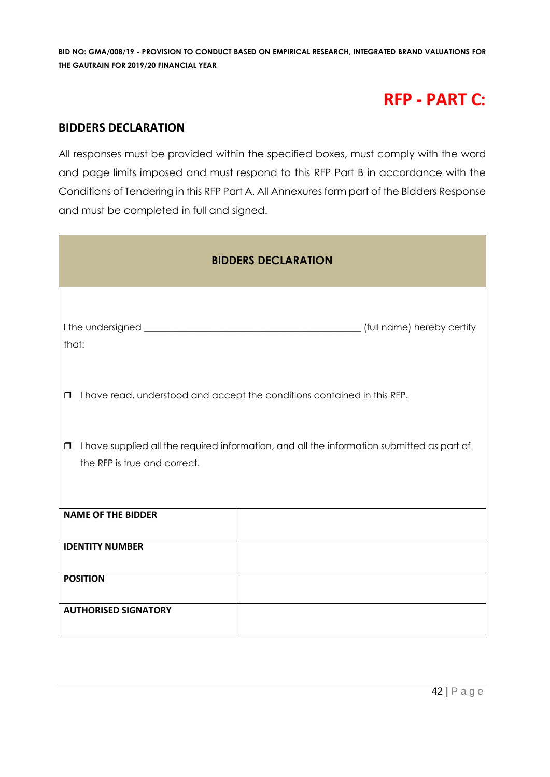# **RFP - PART C:**

#### **BIDDERS DECLARATION**

All responses must be provided within the specified boxes, must comply with the word and page limits imposed and must respond to this RFP Part B in accordance with the Conditions of Tendering in this RFP Part A. All Annexures form part of the Bidders Response and must be completed in full and signed.

| <b>BIDDERS DECLARATION</b>                                                                                                           |                                                                          |  |  |  |
|--------------------------------------------------------------------------------------------------------------------------------------|--------------------------------------------------------------------------|--|--|--|
| that:                                                                                                                                |                                                                          |  |  |  |
| $\Box$                                                                                                                               | I have read, understood and accept the conditions contained in this RFP. |  |  |  |
| I have supplied all the required information, and all the information submitted as part of<br>$\Box$<br>the RFP is true and correct. |                                                                          |  |  |  |
| <b>NAME OF THE BIDDER</b>                                                                                                            |                                                                          |  |  |  |
| <b>IDENTITY NUMBER</b>                                                                                                               |                                                                          |  |  |  |
| <b>POSITION</b>                                                                                                                      |                                                                          |  |  |  |
| <b>AUTHORISED SIGNATORY</b>                                                                                                          |                                                                          |  |  |  |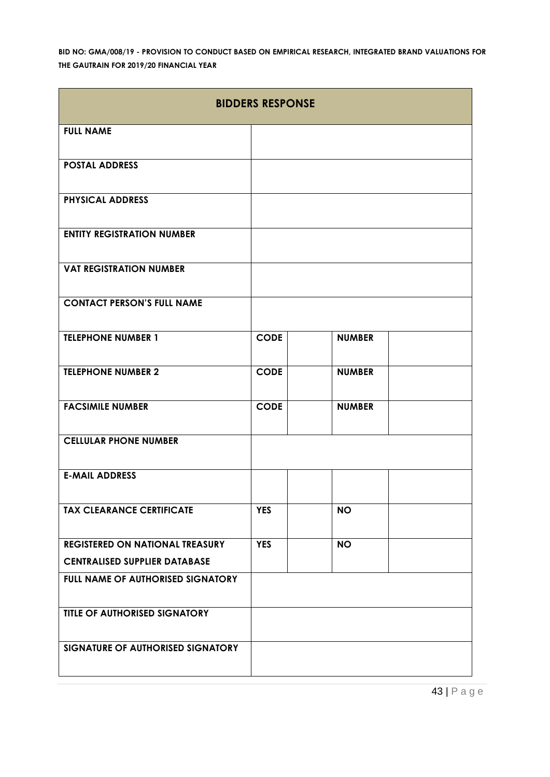| <b>BIDDERS RESPONSE</b>                |             |               |  |  |  |
|----------------------------------------|-------------|---------------|--|--|--|
| <b>FULL NAME</b>                       |             |               |  |  |  |
| <b>POSTAL ADDRESS</b>                  |             |               |  |  |  |
| <b>PHYSICAL ADDRESS</b>                |             |               |  |  |  |
| <b>ENTITY REGISTRATION NUMBER</b>      |             |               |  |  |  |
| <b>VAT REGISTRATION NUMBER</b>         |             |               |  |  |  |
| <b>CONTACT PERSON'S FULL NAME</b>      |             |               |  |  |  |
| <b>TELEPHONE NUMBER 1</b>              | <b>CODE</b> | <b>NUMBER</b> |  |  |  |
| <b>TELEPHONE NUMBER 2</b>              | <b>CODE</b> | <b>NUMBER</b> |  |  |  |
| <b>FACSIMILE NUMBER</b>                | <b>CODE</b> | <b>NUMBER</b> |  |  |  |
| <b>CELLULAR PHONE NUMBER</b>           |             |               |  |  |  |
| <b>E-MAIL ADDRESS</b>                  |             |               |  |  |  |
| <b>TAX CLEARANCE CERTIFICATE</b>       | <b>YES</b>  | <b>NO</b>     |  |  |  |
| <b>REGISTERED ON NATIONAL TREASURY</b> | <b>YES</b>  | <b>NO</b>     |  |  |  |
| <b>CENTRALISED SUPPLIER DATABASE</b>   |             |               |  |  |  |
| FULL NAME OF AUTHORISED SIGNATORY      |             |               |  |  |  |
| TITLE OF AUTHORISED SIGNATORY          |             |               |  |  |  |
| SIGNATURE OF AUTHORISED SIGNATORY      |             |               |  |  |  |

43 | P a g e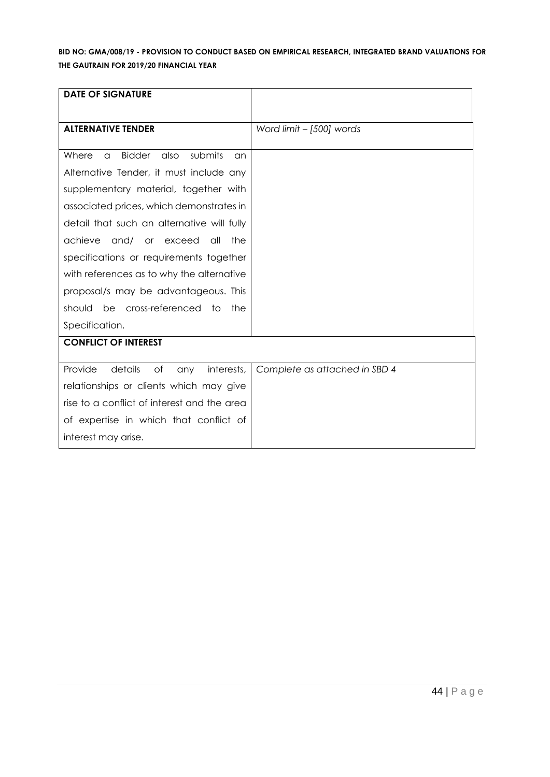| <b>DATE OF SIGNATURE</b>                             |                               |
|------------------------------------------------------|-------------------------------|
|                                                      |                               |
| <b>ALTERNATIVE TENDER</b>                            | Word limit - [500] words      |
|                                                      |                               |
| <b>Bidder</b><br>submits<br>Where<br>also<br>a<br>an |                               |
| Alternative Tender, it must include any              |                               |
| supplementary material, together with                |                               |
| associated prices, which demonstrates in             |                               |
| detail that such an alternative will fully           |                               |
| achieve<br>and/<br>the<br>or exceed<br>all           |                               |
| specifications or requirements together              |                               |
| with references as to why the alternative            |                               |
| proposal/s may be advantageous. This                 |                               |
| be cross-referenced to<br>should<br>the              |                               |
| Specification.                                       |                               |
| <b>CONFLICT OF INTEREST</b>                          |                               |
|                                                      |                               |
| Provide<br>details<br>of<br>interests,<br>any        | Complete as attached in SBD 4 |
| relationships or clients which may give              |                               |
| rise to a conflict of interest and the area          |                               |
| of expertise in which that conflict of               |                               |
| interest may arise.                                  |                               |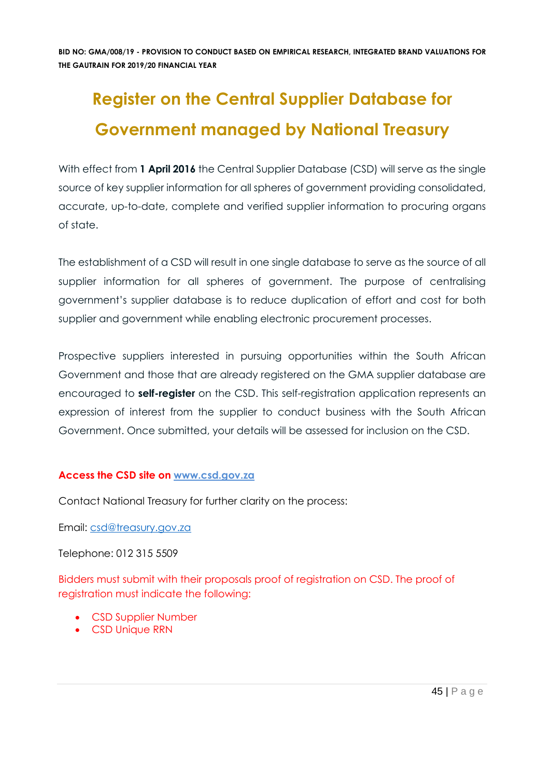# **Register on the Central Supplier Database for Government managed by National Treasury**

With effect from 1 **April 2016** the Central Supplier Database (CSD) will serve as the single source of key supplier information for all spheres of government providing consolidated, accurate, up-to-date, complete and verified supplier information to procuring organs of state.

The establishment of a CSD will result in one single database to serve as the source of all supplier information for all spheres of government. The purpose of centralising government's supplier database is to reduce duplication of effort and cost for both supplier and government while enabling electronic procurement processes.

Prospective suppliers interested in pursuing opportunities within the South African Government and those that are already registered on the GMA supplier database are encouraged to **self-register** on the CSD. This self-registration application represents an expression of interest from the supplier to conduct business with the South African Government. Once submitted, your details will be assessed for inclusion on the CSD.

#### **Access the CSD site on [www.csd.gov.za](http://www.csd.gov.za/)**

Contact National Treasury for further clarity on the process:

Email: [csd@treasury.gov.za](mailto:csd@treasury.gov.za)

Telephone: 012 315 5509

Bidders must submit with their proposals proof of registration on CSD. The proof of registration must indicate the following:

- CSD Supplier Number
- CSD Unique RRN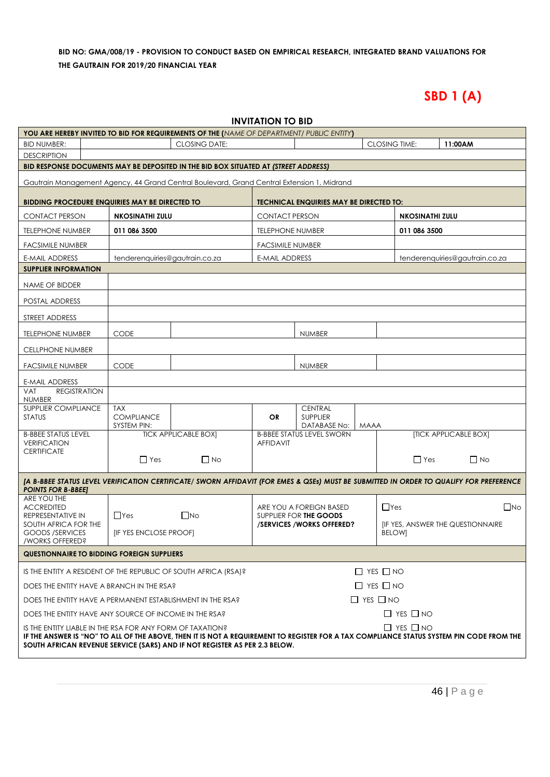# **SBD 1 (A)**

| <b>INVITATION TO BID</b>                                                                                                                                                                                                                                                                                    |                                  |                             |                         |                                                    |             |                                                          |                       |                                |
|-------------------------------------------------------------------------------------------------------------------------------------------------------------------------------------------------------------------------------------------------------------------------------------------------------------|----------------------------------|-----------------------------|-------------------------|----------------------------------------------------|-------------|----------------------------------------------------------|-----------------------|--------------------------------|
| YOU ARE HEREBY INVITED TO BID FOR REQUIREMENTS OF THE (NAME OF DEPARTMENT/ PUBLIC ENTITY)                                                                                                                                                                                                                   |                                  |                             |                         |                                                    |             |                                                          |                       |                                |
| <b>BID NUMBER:</b>                                                                                                                                                                                                                                                                                          |                                  | <b>CLOSING DATE:</b>        |                         |                                                    |             | <b>CLOSING TIME:</b>                                     | 11:00AM               |                                |
| <b>DESCRIPTION</b>                                                                                                                                                                                                                                                                                          |                                  |                             |                         |                                                    |             |                                                          |                       |                                |
| BID RESPONSE DOCUMENTS MAY BE DEPOSITED IN THE BID BOX SITUATED AT (STREET ADDRESS)                                                                                                                                                                                                                         |                                  |                             |                         |                                                    |             |                                                          |                       |                                |
| Gautrain Management Agency, 44 Grand Central Boulevard, Grand Central Extension 1, Midrand                                                                                                                                                                                                                  |                                  |                             |                         |                                                    |             |                                                          |                       |                                |
| <b>BIDDING PROCEDURE ENQUIRIES MAY BE DIRECTED TO</b>                                                                                                                                                                                                                                                       |                                  |                             |                         | <b>TECHNICAL ENQUIRIES MAY BE DIRECTED TO:</b>     |             |                                                          |                       |                                |
| <b>CONTACT PERSON</b>                                                                                                                                                                                                                                                                                       | <b>NKOSINATHI ZULU</b>           |                             | <b>CONTACT PERSON</b>   |                                                    |             | <b>NKOSINATHI ZULU</b>                                   |                       |                                |
| <b>TELEPHONE NUMBER</b>                                                                                                                                                                                                                                                                                     | 011 086 3500                     |                             | <b>TELEPHONE NUMBER</b> |                                                    |             | 011 086 3500                                             |                       |                                |
| <b>FACSIMILE NUMBER</b>                                                                                                                                                                                                                                                                                     |                                  |                             | <b>FACSIMILE NUMBER</b> |                                                    |             |                                                          |                       |                                |
| E-MAIL ADDRESS                                                                                                                                                                                                                                                                                              | tenderenquiries@gautrain.co.za   |                             | <b>E-MAIL ADDRESS</b>   |                                                    |             |                                                          |                       | tenderenquiries@gautrain.co.za |
| <b>SUPPLIER INFORMATION</b>                                                                                                                                                                                                                                                                                 |                                  |                             |                         |                                                    |             |                                                          |                       |                                |
| NAME OF BIDDER                                                                                                                                                                                                                                                                                              |                                  |                             |                         |                                                    |             |                                                          |                       |                                |
| POSTAL ADDRESS                                                                                                                                                                                                                                                                                              |                                  |                             |                         |                                                    |             |                                                          |                       |                                |
| STREET ADDRESS                                                                                                                                                                                                                                                                                              |                                  |                             |                         |                                                    |             |                                                          |                       |                                |
| TELEPHONE NUMBER                                                                                                                                                                                                                                                                                            | <b>CODE</b>                      |                             |                         | <b>NUMBER</b>                                      |             |                                                          |                       |                                |
| <b>CELLPHONE NUMBER</b>                                                                                                                                                                                                                                                                                     |                                  |                             |                         |                                                    |             |                                                          |                       |                                |
| <b>FACSIMILE NUMBER</b>                                                                                                                                                                                                                                                                                     | <b>CODE</b>                      |                             |                         | <b>NUMBER</b>                                      |             |                                                          |                       |                                |
| E-MAIL ADDRESS                                                                                                                                                                                                                                                                                              |                                  |                             |                         |                                                    |             |                                                          |                       |                                |
| <b>REGISTRATION</b><br><b>VAT</b>                                                                                                                                                                                                                                                                           |                                  |                             |                         |                                                    |             |                                                          |                       |                                |
| <b>NUMBER</b><br><b>SUPPLIER COMPLIANCE</b>                                                                                                                                                                                                                                                                 | <b>TAX</b>                       |                             |                         | <b>CENTRAL</b>                                     |             |                                                          |                       |                                |
| <b>STATUS</b>                                                                                                                                                                                                                                                                                               | <b>COMPLIANCE</b><br>SYSTEM PIN: |                             | OR                      | <b>SUPPLIER</b><br>DATABASE No:                    | <b>MAAA</b> |                                                          |                       |                                |
| <b>B-BBEE STATUS LEVEL</b>                                                                                                                                                                                                                                                                                  |                                  | <b>TICK APPLICABLE BOX]</b> |                         | <b>B-BBEE STATUS LEVEL SWORN</b>                   |             |                                                          | [TICK APPLICABLE BOX] |                                |
| <b>VERIFICATION</b><br><b>CERTIFICATE</b>                                                                                                                                                                                                                                                                   |                                  |                             | <b>AFFIDAVIT</b>        |                                                    |             |                                                          |                       |                                |
|                                                                                                                                                                                                                                                                                                             | $\Box$ Yes                       | $\Box$ No                   |                         |                                                    |             | $\Box$ Yes                                               |                       | $\Box$ No                      |
| [A B-BBEE STATUS LEVEL VERIFICATION CERTIFICATE/ SWORN AFFIDAVIT (FOR EMES & QSEs) MUST BE SUBMITTED IN ORDER TO QUALIFY FOR PREFERENCE                                                                                                                                                                     |                                  |                             |                         |                                                    |             |                                                          |                       |                                |
| <b>POINTS FOR B-BBEEJ</b><br>ARE YOU THE                                                                                                                                                                                                                                                                    |                                  |                             |                         |                                                    |             |                                                          |                       |                                |
| <b>ACCREDITED</b>                                                                                                                                                                                                                                                                                           |                                  |                             |                         | ARE YOU A FOREIGN BASED                            |             | $\Box$ Yes                                               |                       | $\square$ No                   |
| REPRESENTATIVE IN<br>SOUTH AFRICA FOR THE                                                                                                                                                                                                                                                                   | $\Box$ Yes                       | $\Box$ No                   |                         | SUPPLIER FOR THE GOODS<br>/SERVICES/WORKS OFFERED? |             | <b>IF YES, ANSWER THE QUESTIONNAIRE</b><br><b>BELOW]</b> |                       |                                |
| <b>GOODS /SERVICES</b>                                                                                                                                                                                                                                                                                      | <b>[IF YES ENCLOSE PROOF]</b>    |                             |                         |                                                    |             |                                                          |                       |                                |
| /WORKS OFFERED?<br><b>QUESTIONNAIRE TO BIDDING FOREIGN SUPPLIERS</b>                                                                                                                                                                                                                                        |                                  |                             |                         |                                                    |             |                                                          |                       |                                |
|                                                                                                                                                                                                                                                                                                             |                                  |                             |                         |                                                    |             |                                                          |                       |                                |
| $\Box$ YES $\Box$ NO<br>IS THE ENTITY A RESIDENT OF THE REPUBLIC OF SOUTH AFRICA (RSA)?                                                                                                                                                                                                                     |                                  |                             |                         |                                                    |             |                                                          |                       |                                |
| $\Box$ YES $\Box$ NO<br>DOES THE ENTITY HAVE A BRANCH IN THE RSA?                                                                                                                                                                                                                                           |                                  |                             |                         |                                                    |             |                                                          |                       |                                |
| $\Box$ YES $\Box$ NO<br>DOES THE ENTITY HAVE A PERMANENT ESTABLISHMENT IN THE RSA?                                                                                                                                                                                                                          |                                  |                             |                         |                                                    |             |                                                          |                       |                                |
| $\Box$ YES $\Box$ NO<br>DOES THE ENTITY HAVE ANY SOURCE OF INCOME IN THE RSA?                                                                                                                                                                                                                               |                                  |                             |                         |                                                    |             |                                                          |                       |                                |
| $\Box$ YES $\Box$ NO<br>IS THE ENTITY LIABLE IN THE RSA FOR ANY FORM OF TAXATION?<br>IF THE ANSWER IS "NO" TO ALL OF THE ABOVE, THEN IT IS NOT A REQUIREMENT TO REGISTER FOR A TAX COMPLIANCE STATUS SYSTEM PIN CODE FROM THE<br>SOUTH AFRICAN REVENUE SERVICE (SARS) AND IF NOT REGISTER AS PER 2.3 BELOW. |                                  |                             |                         |                                                    |             |                                                          |                       |                                |
|                                                                                                                                                                                                                                                                                                             |                                  |                             |                         |                                                    |             |                                                          |                       |                                |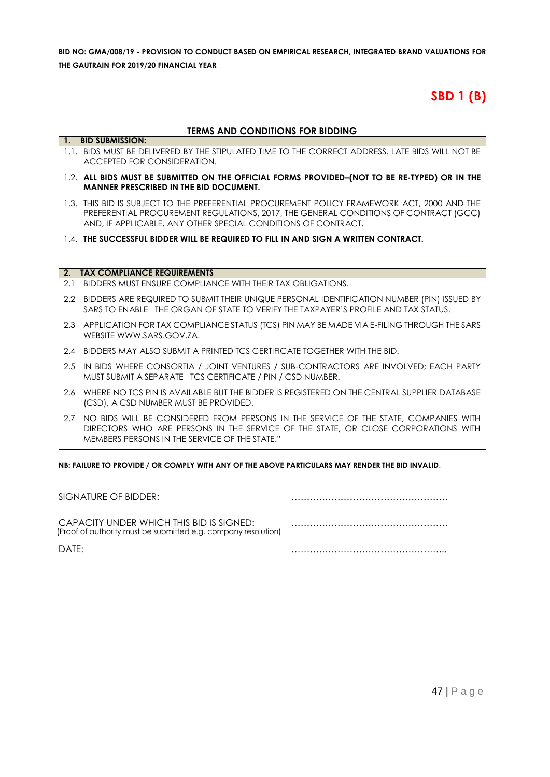# **SBD 1 (B)**

#### **TERMS AND CONDITIONS FOR BIDDING**

|     | 1. BID SUBMISSION:                                                                                                                                                                                                                                   |
|-----|------------------------------------------------------------------------------------------------------------------------------------------------------------------------------------------------------------------------------------------------------|
|     | 1.1. BIDS MUST BE DELIVERED BY THE STIPULATED TIME TO THE CORRECT ADDRESS. LATE BIDS WILL NOT BE<br>ACCEPTED FOR CONSIDERATION.                                                                                                                      |
|     | 1.2. ALL BIDS MUST BE SUBMITTED ON THE OFFICIAL FORMS PROVIDED-(NOT TO BE RE-TYPED) OR IN THE<br><b>MANNER PRESCRIBED IN THE BID DOCUMENT.</b>                                                                                                       |
|     | 1.3. THIS BID IS SUBJECT TO THE PREFERENTIAL PROCUREMENT POLICY FRAMEWORK ACT, 2000 AND THE<br>PREFERENTIAL PROCUREMENT REGULATIONS, 2017, THE GENERAL CONDITIONS OF CONTRACT (GCC)<br>AND, IF APPLICABLE, ANY OTHER SPECIAL CONDITIONS OF CONTRACT. |
|     | 1.4. THE SUCCESSFUL BIDDER WILL BE REQUIRED TO FILL IN AND SIGN A WRITTEN CONTRACT.                                                                                                                                                                  |
|     |                                                                                                                                                                                                                                                      |
| 2.  | <b>TAX COMPLIANCE REQUIREMENTS</b>                                                                                                                                                                                                                   |
| 2.1 | BIDDERS MUST ENSURE COMPLIANCE WITH THEIR TAX OBLIGATIONS.                                                                                                                                                                                           |
|     |                                                                                                                                                                                                                                                      |
|     | 2.2 BIDDERS ARE REQUIRED TO SUBMIT THEIR UNIQUE PERSONAL IDENTIFICATION NUMBER (PIN) ISSUED BY<br>SARS TO ENABLE THE ORGAN OF STATE TO VERIFY THE TAXPAYER'S PROFILE AND TAX STATUS.                                                                 |
|     | 2.3 APPLICATION FOR TAX COMPLIANCE STATUS (TCS) PIN MAY BE MADE VIA E-FILING THROUGH THE SARS<br>WEBSITE WWW.SARS.GOV.ZA.                                                                                                                            |
|     | 2.4 BIDDERS MAY ALSO SUBMIT A PRINTED TCS CERTIFICATE TOGETHER WITH THE BID.                                                                                                                                                                         |
| 2.5 | IN BIDS WHERE CONSORTIA / JOINT VENTURES / SUB-CONTRACTORS ARE INVOLVED; EACH PARTY<br>MUST SUBMIT A SEPARATE TCS CERTIFICATE / PIN / CSD NUMBER.                                                                                                    |
|     | 2.6 WHERE NO TCS PIN IS AVAILABLE BUT THE BIDDER IS REGISTERED ON THE CENTRAL SUPPLIER DATABASE<br>(CSD), A CSD NUMBER MUST BE PROVIDED.                                                                                                             |
| 2.7 | NO BIDS WILL BE CONSIDERED FROM PERSONS IN THE SERVICE OF THE STATE, COMPANIES WITH<br>DIRECTORS WHO ARE PERSONS IN THE SERVICE OF THE STATE, OR CLOSE CORPORATIONS WITH<br>MEMBERS PERSONS IN THE SERVICE OF THE STATE."                            |

**NB: FAILURE TO PROVIDE / OR COMPLY WITH ANY OF THE ABOVE PARTICULARS MAY RENDER THE BID INVALID**.

| SIGNATURE OF BIDDER:                                                                                       |  |
|------------------------------------------------------------------------------------------------------------|--|
| CAPACITY UNDER WHICH THIS BID IS SIGNED:<br>(Proof of authority must be submitted e.g. company resolution) |  |
| DATF:                                                                                                      |  |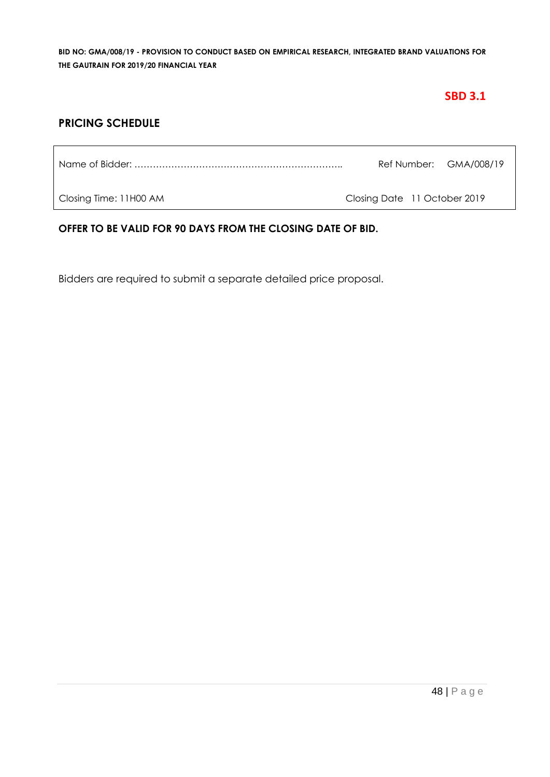# **SBD 3.1**

### **PRICING SCHEDULE**

Name of Bidder: ………………………………………………………….. Ref Number: GMA/008/19

Closing Time: 11H00 AM Closing Date 11 October 2019

#### **OFFER TO BE VALID FOR 90 DAYS FROM THE CLOSING DATE OF BID.**

Bidders are required to submit a separate detailed price proposal.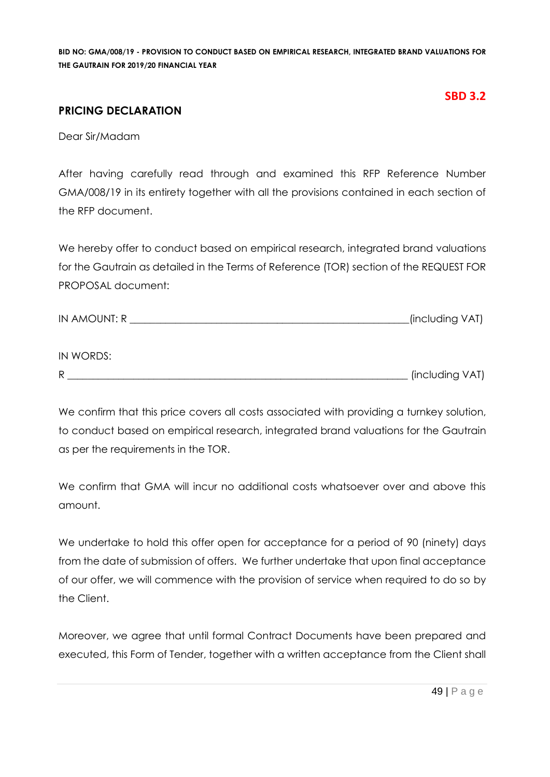#### **PRICING DECLARATION**

#### **SBD 3.2**

Dear Sir/Madam

 $ININODDC$ 

After having carefully read through and examined this RFP Reference Number GMA/008/19 in its entirety together with all the provisions contained in each section of the RFP document.

We hereby offer to conduct based on empirical research, integrated brand valuations for the Gautrain as detailed in the Terms of Reference (TOR) section of the REQUEST FOR PROPOSAL document:

| <b>IN AMOUNT: R</b> | (including VAT) |  |
|---------------------|-----------------|--|
|                     |                 |  |

| $H$ is $V$ $\cup$ $R$ $D$ $\cup$ . |                 |
|------------------------------------|-----------------|
| Ð                                  | (including VAT) |

We confirm that this price covers all costs associated with providing a turnkey solution, to conduct based on empirical research, integrated brand valuations for the Gautrain as per the requirements in the TOR.

We confirm that GMA will incur no additional costs whatsoever over and above this amount.

We undertake to hold this offer open for acceptance for a period of 90 (ninety) days from the date of submission of offers. We further undertake that upon final acceptance of our offer, we will commence with the provision of service when required to do so by the Client.

Moreover, we agree that until formal Contract Documents have been prepared and executed, this Form of Tender, together with a written acceptance from the Client shall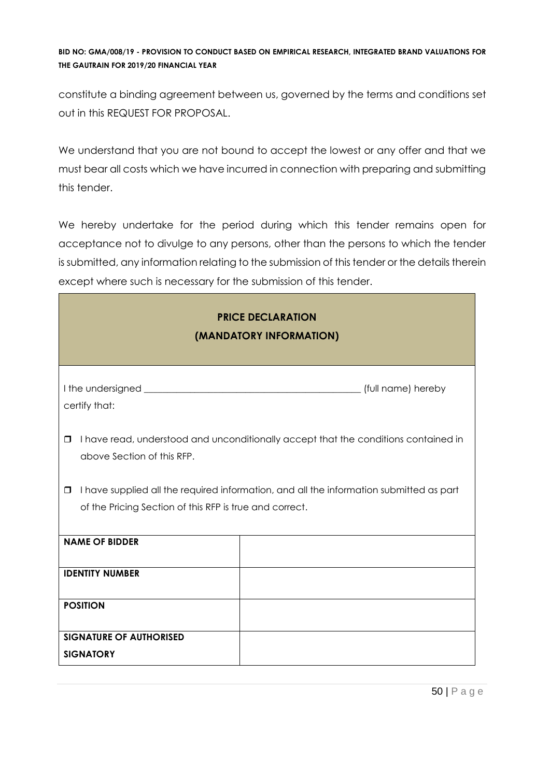constitute a binding agreement between us, governed by the terms and conditions set out in this REQUEST FOR PROPOSAL.

We understand that you are not bound to accept the lowest or any offer and that we must bear all costs which we have incurred in connection with preparing and submitting this tender.

We hereby undertake for the period during which this tender remains open for acceptance not to divulge to any persons, other than the persons to which the tender is submitted, any information relating to the submission of this tender or the details therein except where such is necessary for the submission of this tender.

| <b>PRICE DECLARATION</b><br>(MANDATORY INFORMATION)                                                                                                          |                                                                                     |  |  |  |  |
|--------------------------------------------------------------------------------------------------------------------------------------------------------------|-------------------------------------------------------------------------------------|--|--|--|--|
| certify that:                                                                                                                                                |                                                                                     |  |  |  |  |
| $\Box$<br>above Section of this RFP.                                                                                                                         | I have read, understood and unconditionally accept that the conditions contained in |  |  |  |  |
| I have supplied all the required information, and all the information submitted as part<br>$\Box$<br>of the Pricing Section of this RFP is true and correct. |                                                                                     |  |  |  |  |
| <b>NAME OF BIDDER</b>                                                                                                                                        |                                                                                     |  |  |  |  |
| <b>IDENTITY NUMBER</b>                                                                                                                                       |                                                                                     |  |  |  |  |
| <b>POSITION</b>                                                                                                                                              |                                                                                     |  |  |  |  |
| <b>SIGNATURE OF AUTHORISED</b><br><b>SIGNATORY</b>                                                                                                           |                                                                                     |  |  |  |  |

٦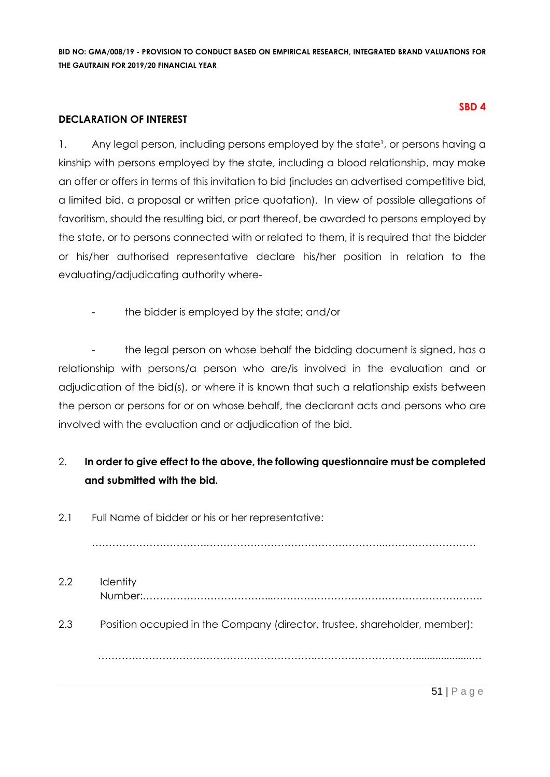#### **DECLARATION OF INTEREST**

1. Any legal person, including persons employed by the state<sup>1</sup>, or persons having a kinship with persons employed by the state, including a blood relationship, may make an offer or offers in terms of this invitation to bid (includes an advertised competitive bid, a limited bid, a proposal or written price quotation). In view of possible allegations of favoritism, should the resulting bid, or part thereof, be awarded to persons employed by the state, or to persons connected with or related to them, it is required that the bidder or his/her authorised representative declare his/her position in relation to the evaluating/adjudicating authority where-

the bidder is employed by the state; and/or

the legal person on whose behalf the bidding document is signed, has a relationship with persons/a person who are/is involved in the evaluation and or adjudication of the bid(s), or where it is known that such a relationship exists between the person or persons for or on whose behalf, the declarant acts and persons who are involved with the evaluation and or adjudication of the bid.

# 2. **In order to give effect to the above, the following questionnaire must be completed and submitted with the bid.**

2.1 Full Name of bidder or his or her representative:

…………………………….……………………………………………..………………………

2.2 Identity Number:………………………………...…………………………………………………….. 2.3 Position occupied in the Company (director, trustee, shareholder, member): ……………………………………………………….…………………………....................…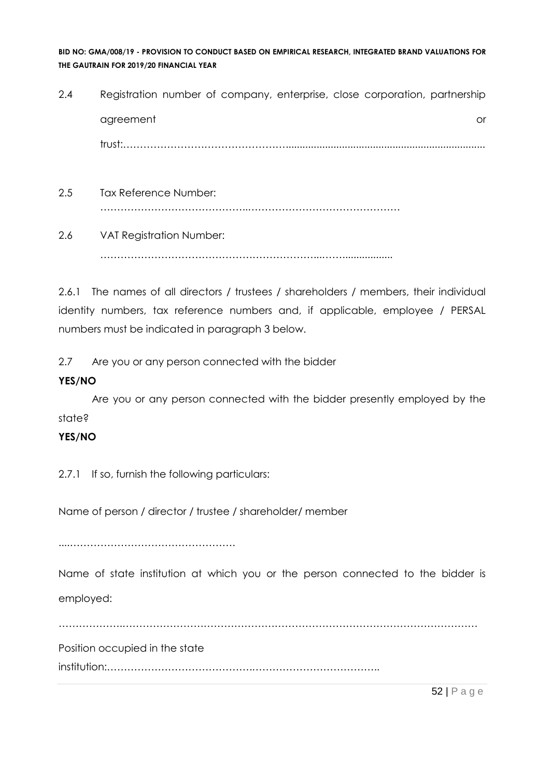2.4 Registration number of company, enterprise, close corporation, partnership agreement or and a structure or an analysis of the structure or an analysis of the structure or or  $\alpha$ trust:…………………………………………....................................................................... 2.5 Tax Reference Number:

- ……………………………………..………………………………………
- 2.6 VAT Registration Number: ………………………………………………………...……..................

2.6.1 The names of all directors / trustees / shareholders / members, their individual identity numbers, tax reference numbers and, if applicable, employee / PERSAL numbers must be indicated in paragraph 3 below.

2.7 Are you or any person connected with the bidder

#### **YES/NO**

Are you or any person connected with the bidder presently employed by the state?

#### **YES/NO**

2.7.1 If so, furnish the following particulars:

Name of person / director / trustee / shareholder/ member

....………………………………………….

Name of state institution at which you or the person connected to the bidder is employed:

……………….……………………………………………………………………………………………

Position occupied in the state

institution:…………………………………….………………………………..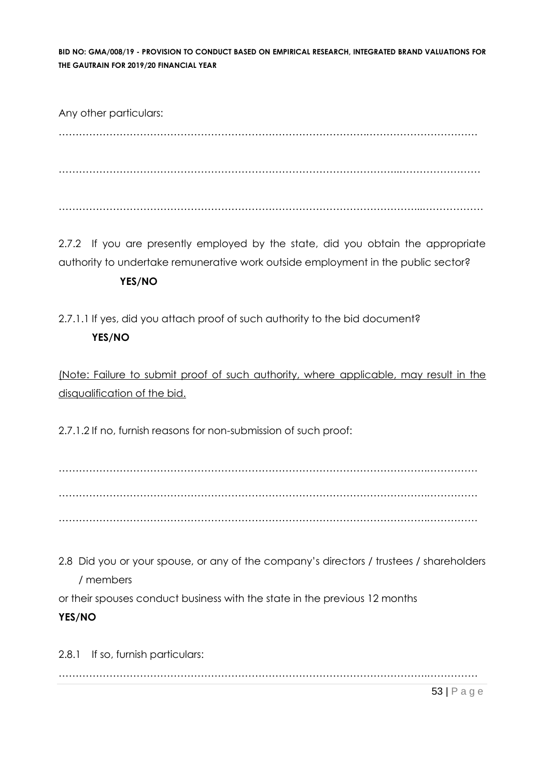Any other particulars: ……………………………………………………………………………….…………………………… ………………………………………………………………………………………..…………………… ……………………………………………………………………………………………...………………

2.7.2 If you are presently employed by the state, did you obtain the appropriate authority to undertake remunerative work outside employment in the public sector?

#### **YES/NO**

2.7.1.1 If yes, did you attach proof of such authority to the bid document? **YES/NO**

(Note: Failure to submit proof of such authority, where applicable, may result in the disqualification of the bid.

2.7.1.2 If no, furnish reasons for non-submission of such proof:

……………………………………………………………………………………………….…………… ……………………………………………………………………………………………….…………… ……………………………………………………………………………………………….……………

2.8 Did you or your spouse, or any of the company's directors / trustees / shareholders / members

or their spouses conduct business with the state in the previous 12 months

#### **YES/NO**

2.8.1 If so, furnish particulars: ……………………………………………………………………………………………….……………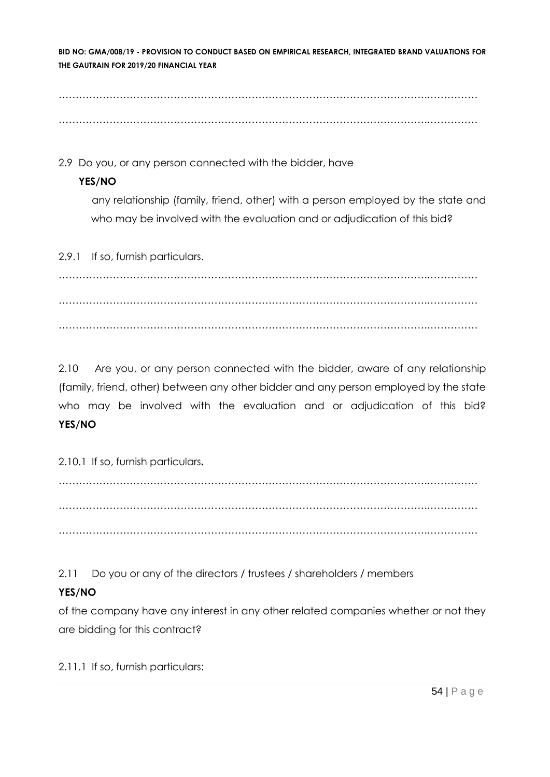……………………………………………………………………………………………….…………… ……………………………………………………………………………………………….……………

2.9 Do you, or any person connected with the bidder, have

#### **YES/NO**

any relationship (family, friend, other) with a person employed by the state and who may be involved with the evaluation and or adjudication of this bid?

2.9.1 If so, furnish particulars.

……………………………………………………………………………………………….…………… ……………………………………………………………………………………………….…………… ……………………………………………………………………………………………….……………

2.10 Are you, or any person connected with the bidder, aware of any relationship (family, friend, other) between any other bidder and any person employed by the state who may be involved with the evaluation and or adjudication of this bid? **YES/NO**

2.10.1 If so, furnish particulars**.**

……………………………………………………………………………………………….…………… ……………………………………………………………………………………………….…………… ……………………………………………………………………………………………….……………

2.11 Do you or any of the directors / trustees / shareholders / members

# **YES/NO**

of the company have any interest in any other related companies whether or not they are bidding for this contract?

2.11.1 If so, furnish particulars: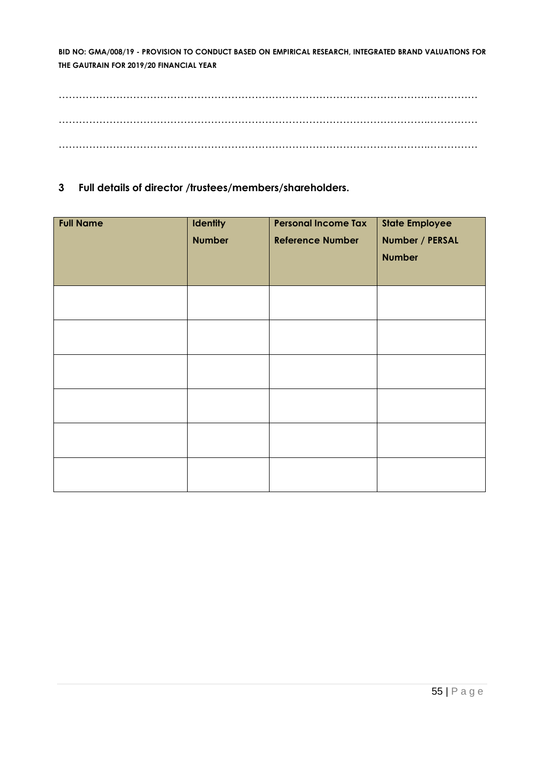……………………………………………………………………………………………….…………… ……………………………………………………………………………………………….…………… ……………………………………………………………………………………………….……………

**3 Full details of director /trustees/members/shareholders.**

| <b>Full Name</b> | <b>Identity</b><br><b>Number</b> | <b>Personal Income Tax</b><br><b>Reference Number</b> | <b>State Employee</b><br>Number / PERSAL<br><b>Number</b> |
|------------------|----------------------------------|-------------------------------------------------------|-----------------------------------------------------------|
|                  |                                  |                                                       |                                                           |
|                  |                                  |                                                       |                                                           |
|                  |                                  |                                                       |                                                           |
|                  |                                  |                                                       |                                                           |
|                  |                                  |                                                       |                                                           |
|                  |                                  |                                                       |                                                           |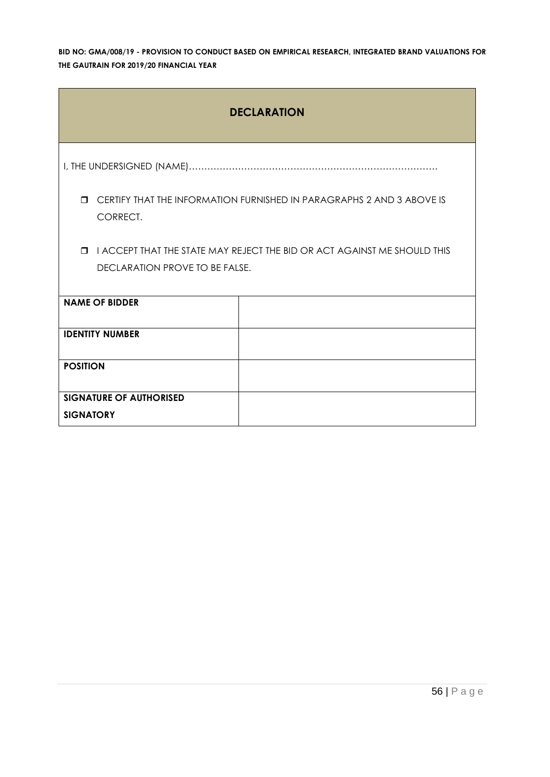| <b>DECLARATION</b>                                                                          |                                                                          |  |  |  |  |
|---------------------------------------------------------------------------------------------|--------------------------------------------------------------------------|--|--|--|--|
|                                                                                             |                                                                          |  |  |  |  |
| CERTIFY THAT THE INFORMATION FURNISHED IN PARAGRAPHS 2 AND 3 ABOVE IS<br>$\Box$<br>CORRECT. |                                                                          |  |  |  |  |
| $\Box$                                                                                      | I ACCEPT THAT THE STATE MAY REJECT THE BID OR ACT AGAINST ME SHOULD THIS |  |  |  |  |
| <b>DECLARATION PROVE TO BE FALSE.</b>                                                       |                                                                          |  |  |  |  |
| <b>NAME OF BIDDER</b>                                                                       |                                                                          |  |  |  |  |
| <b>IDENTITY NUMBER</b>                                                                      |                                                                          |  |  |  |  |
| <b>POSITION</b>                                                                             |                                                                          |  |  |  |  |
| <b>SIGNATURE OF AUTHORISED</b>                                                              |                                                                          |  |  |  |  |
| <b>SIGNATORY</b>                                                                            |                                                                          |  |  |  |  |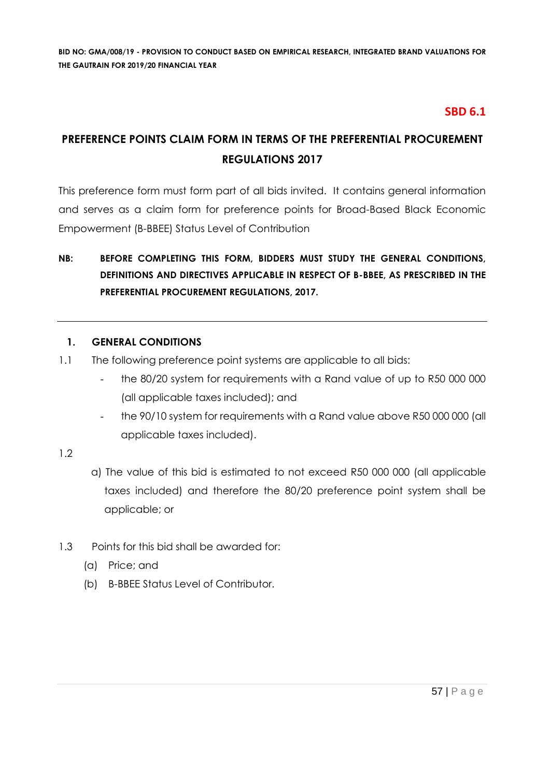### **SBD 6.1**

# **PREFERENCE POINTS CLAIM FORM IN TERMS OF THE PREFERENTIAL PROCUREMENT REGULATIONS 2017**

This preference form must form part of all bids invited. It contains general information and serves as a claim form for preference points for Broad-Based Black Economic Empowerment (B-BBEE) Status Level of Contribution

# **NB: BEFORE COMPLETING THIS FORM, BIDDERS MUST STUDY THE GENERAL CONDITIONS, DEFINITIONS AND DIRECTIVES APPLICABLE IN RESPECT OF B-BBEE, AS PRESCRIBED IN THE PREFERENTIAL PROCUREMENT REGULATIONS, 2017.**

#### **1. GENERAL CONDITIONS**

- 1.1 The following preference point systems are applicable to all bids:
	- the 80/20 system for requirements with a Rand value of up to R50 000 000 (all applicable taxes included); and
	- the 90/10 system for requirements with a Rand value above R50 000 000 (all applicable taxes included).

#### 1.2

- a) The value of this bid is estimated to not exceed R50 000 000 (all applicable taxes included) and therefore the 80/20 preference point system shall be applicable; or
- 1.3 Points for this bid shall be awarded for:
	- (a) Price; and
	- (b) B-BBEE Status Level of Contributor.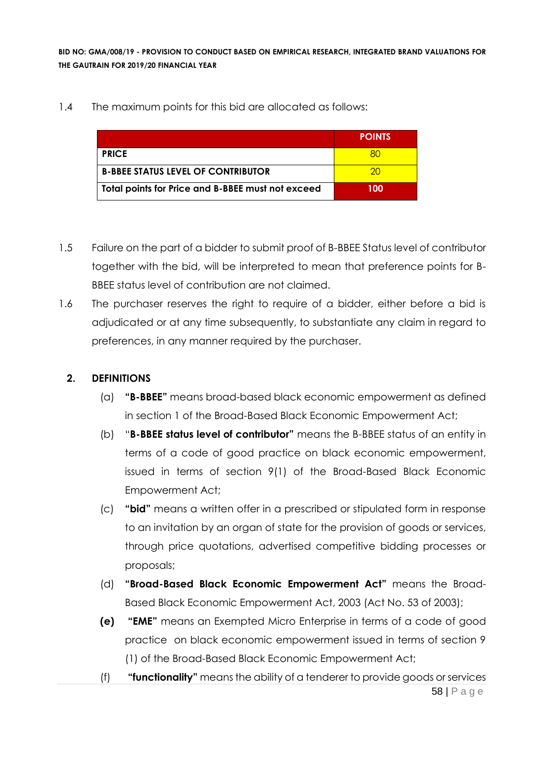#### 1.4 The maximum points for this bid are allocated as follows:

|                                                   | <b>POINTS</b> |
|---------------------------------------------------|---------------|
| <b>PRICE</b>                                      |               |
| <b>B-BBEE STATUS LEVEL OF CONTRIBUTOR</b>         | 20            |
| Total points for Price and B-BBEE must not exceed | 100           |

- 1.5 Failure on the part of a bidder to submit proof of B-BBEE Status level of contributor together with the bid, will be interpreted to mean that preference points for B-BBEE status level of contribution are not claimed.
- 1.6 The purchaser reserves the right to require of a bidder, either before a bid is adjudicated or at any time subsequently, to substantiate any claim in regard to preferences, in any manner required by the purchaser.

#### **2. DEFINITIONS**

- (a) **"B-BBEE"** means broad-based black economic empowerment as defined in section 1 of the Broad-Based Black Economic Empowerment Act;
- (b) "**B-BBEE status level of contributor"** means the B-BBEE status of an entity in terms of a code of good practice on black economic empowerment, issued in terms of section 9(1) of the Broad-Based Black Economic Empowerment Act;
- (c) **"bid"** means a written offer in a prescribed or stipulated form in response to an invitation by an organ of state for the provision of goods or services, through price quotations, advertised competitive bidding processes or proposals;
- (d) **"Broad-Based Black Economic Empowerment Act"** means the Broad-Based Black Economic Empowerment Act, 2003 (Act No. 53 of 2003);
- **(e) "EME"** means an Exempted Micro Enterprise in terms of a code of good practice on black economic empowerment issued in terms of section 9 (1) of the Broad-Based Black Economic Empowerment Act;
- 58 | P a g e (f) **"functionality"** means the ability of a tenderer to provide goods or services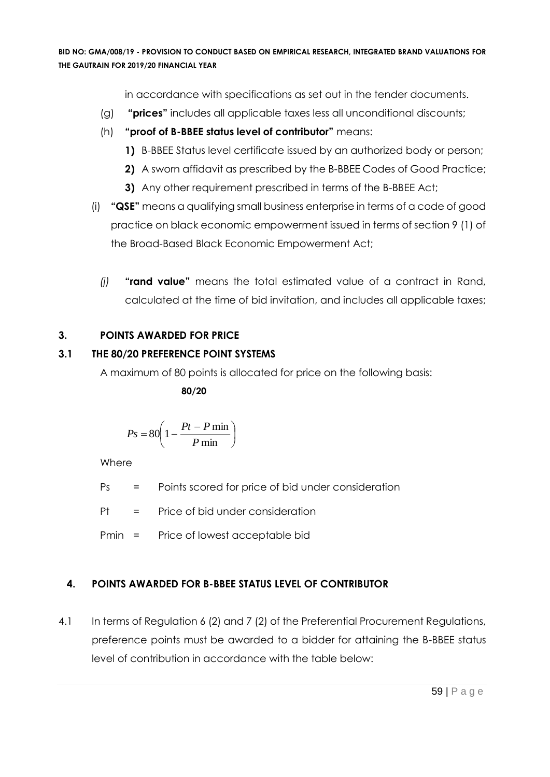in accordance with specifications as set out in the tender documents.

- (g) **"prices"** includes all applicable taxes less all unconditional discounts;
- (h) **"proof of B-BBEE status level of contributor"** means:
	- **1)** B-BBEE Status level certificate issued by an authorized body or person;
	- **2)** A sworn affidavit as prescribed by the B-BBEE Codes of Good Practice;
	- **3)** Any other requirement prescribed in terms of the B-BBEE Act;
- (i) **"QSE"** means a qualifying small business enterprise in terms of a code of good practice on black economic empowerment issued in terms of section 9 (1) of the Broad-Based Black Economic Empowerment Act;
	- *(j)* **"rand value"** means the total estimated value of a contract in Rand, calculated at the time of bid invitation, and includes all applicable taxes;

# **3. POINTS AWARDED FOR PRICE**

# **3.1 THE 80/20 PREFERENCE POINT SYSTEMS**

A maximum of 80 points is allocated for price on the following basis:

 **80/20**

$$
Ps = 80 \left( 1 - \frac{Pt - P \min P}{ \min} \right)
$$

Where

Ps = Points scored for price of bid under consideration

 $Pt = Price of bid under consideration$ 

Pmin = Price of lowest acceptable bid

# **4. POINTS AWARDED FOR B-BBEE STATUS LEVEL OF CONTRIBUTOR**

4.1 In terms of Regulation 6 (2) and 7 (2) of the Preferential Procurement Regulations, preference points must be awarded to a bidder for attaining the B-BBEE status level of contribution in accordance with the table below: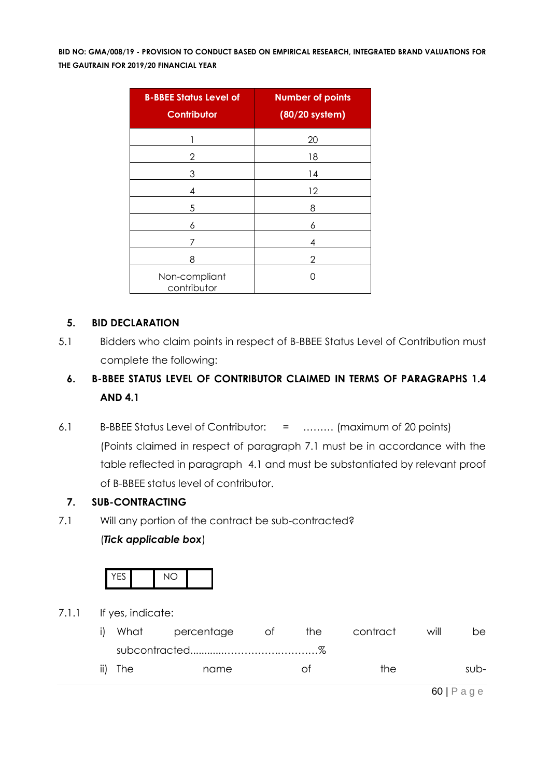| <b>B-BBEE Status Level of</b><br><b>Contributor</b> | <b>Number of points</b><br>(80/20 system) |
|-----------------------------------------------------|-------------------------------------------|
| 1                                                   | 20                                        |
| 2                                                   | 18                                        |
| 3                                                   | 14                                        |
| 4                                                   | 12                                        |
| 5                                                   | 8                                         |
| 6                                                   | 6                                         |
| 7                                                   | 4                                         |
| 8                                                   | 2                                         |
| Non-compliant<br>contributor                        |                                           |

#### **5. BID DECLARATION**

5.1 Bidders who claim points in respect of B-BBEE Status Level of Contribution must complete the following:

# **6. B-BBEE STATUS LEVEL OF CONTRIBUTOR CLAIMED IN TERMS OF PARAGRAPHS 1.4 AND 4.1**

6.1 B-BBEE Status Level of Contributor: = ……… (maximum of 20 points) (Points claimed in respect of paragraph 7.1 must be in accordance with the table reflected in paragraph 4.1 and must be substantiated by relevant proof of B-BBEE status level of contributor.

#### **7. SUB-CONTRACTING**

7.1 Will any portion of the contract be sub-contracted?

#### (*Tick applicable box*)



7.1.1 If yes, indicate:

| i) |         | What percentage | ot of | the | contract | will | be.  |
|----|---------|-----------------|-------|-----|----------|------|------|
|    |         |                 |       |     |          |      |      |
|    | ii) The | name            |       | ∩t  | the.     |      | sub- |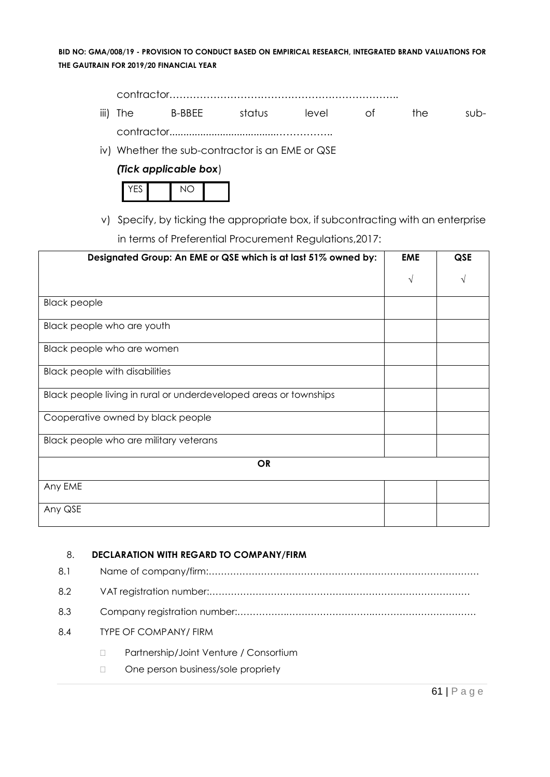contractor…………………………………………………………..

iii) The B-BBEE status level of the subcontractor......................................……………..

iv) Whether the sub-contractor is an EME or QSE

#### *(Tick applicable box*)



v) Specify, by ticking the appropriate box, if subcontracting with an enterprise in terms of Preferential Procurement Regulations,2017:

| Designated Group: An EME or QSE which is at last 51% owned by:    | <b>EME</b> | <b>QSE</b> |
|-------------------------------------------------------------------|------------|------------|
|                                                                   | $\sqrt{ }$ | V          |
| <b>Black people</b>                                               |            |            |
| Black people who are youth                                        |            |            |
| Black people who are women                                        |            |            |
| <b>Black people with disabilities</b>                             |            |            |
| Black people living in rural or underdeveloped areas or townships |            |            |
| Cooperative owned by black people                                 |            |            |
| Black people who are military veterans                            |            |            |
| <b>OR</b>                                                         |            |            |
| Any EME                                                           |            |            |
| Any QSE                                                           |            |            |

#### 8. **DECLARATION WITH REGARD TO COMPANY/FIRM**

| 8.1 |  |                                        |  |  |  |  |
|-----|--|----------------------------------------|--|--|--|--|
| 8.2 |  |                                        |  |  |  |  |
| 8.3 |  |                                        |  |  |  |  |
| 8.4 |  | <b>TYPE OF COMPANY/ FIRM</b>           |  |  |  |  |
|     |  | Partnership/Joint Venture / Consortium |  |  |  |  |
|     |  | One person business/sole propriety     |  |  |  |  |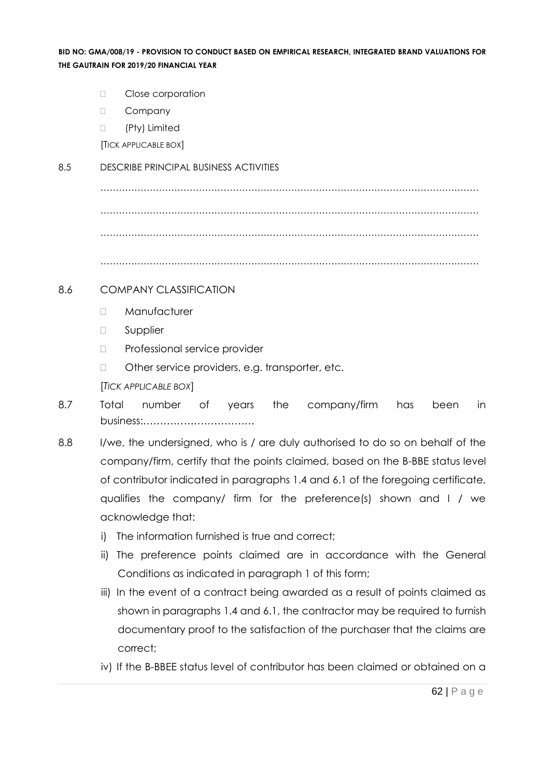- D Close corporation
- D Company
- □ (Pty) Limited

[TICK APPLICABLE BOX]

#### 8.5 DESCRIBE PRINCIPAL BUSINESS ACTIVITIES

…………………………………………………………………………………………………………… …………………………………………………………………………………………………………… ……………………………………………………………………………………………………………

……………………………………………………………………………………………………………

#### 8.6 COMPANY CLASSIFICATION

- Manufacturer
- **D** Supplier
- D Professional service provider
- □ Other service providers, e.g. transporter, etc.

[*TICK APPLICABLE BOX*]

- 8.7 Total number of years the company/firm has been in business:……………………………
- 8.8 I/we, the undersigned, who is / are duly authorised to do so on behalf of the company/firm, certify that the points claimed, based on the B-BBE status level of contributor indicated in paragraphs 1.4 and 6.1 of the foregoing certificate, qualifies the company/ firm for the preference(s) shown and I / we acknowledge that:
	- i) The information furnished is true and correct;
	- ii) The preference points claimed are in accordance with the General Conditions as indicated in paragraph 1 of this form;
	- iii) In the event of a contract being awarded as a result of points claimed as shown in paragraphs 1.4 and 6.1, the contractor may be required to furnish documentary proof to the satisfaction of the purchaser that the claims are correct;
	- iv) If the B-BBEE status level of contributor has been claimed or obtained on a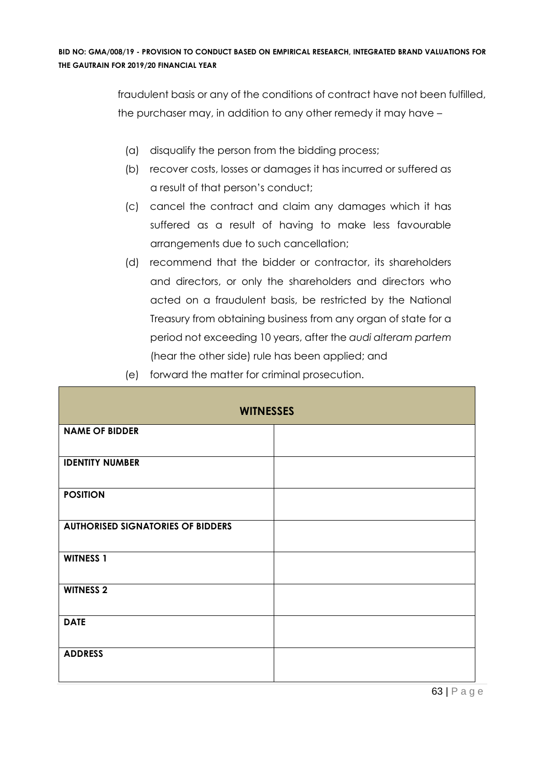fraudulent basis or any of the conditions of contract have not been fulfilled, the purchaser may, in addition to any other remedy it may have –

- (a) disqualify the person from the bidding process;
- (b) recover costs, losses or damages it has incurred or suffered as a result of that person's conduct;
- (c) cancel the contract and claim any damages which it has suffered as a result of having to make less favourable arrangements due to such cancellation;
- (d) recommend that the bidder or contractor, its shareholders and directors, or only the shareholders and directors who acted on a fraudulent basis, be restricted by the National Treasury from obtaining business from any organ of state for a period not exceeding 10 years, after the *audi alteram partem* (hear the other side) rule has been applied; and
- (e) forward the matter for criminal prosecution.

| <b>WITNESSES</b>                         |  |  |  |
|------------------------------------------|--|--|--|
| <b>NAME OF BIDDER</b>                    |  |  |  |
| <b>IDENTITY NUMBER</b>                   |  |  |  |
| <b>POSITION</b>                          |  |  |  |
| <b>AUTHORISED SIGNATORIES OF BIDDERS</b> |  |  |  |
| <b>WITNESS 1</b>                         |  |  |  |
| <b>WITNESS 2</b>                         |  |  |  |
| <b>DATE</b>                              |  |  |  |
| <b>ADDRESS</b>                           |  |  |  |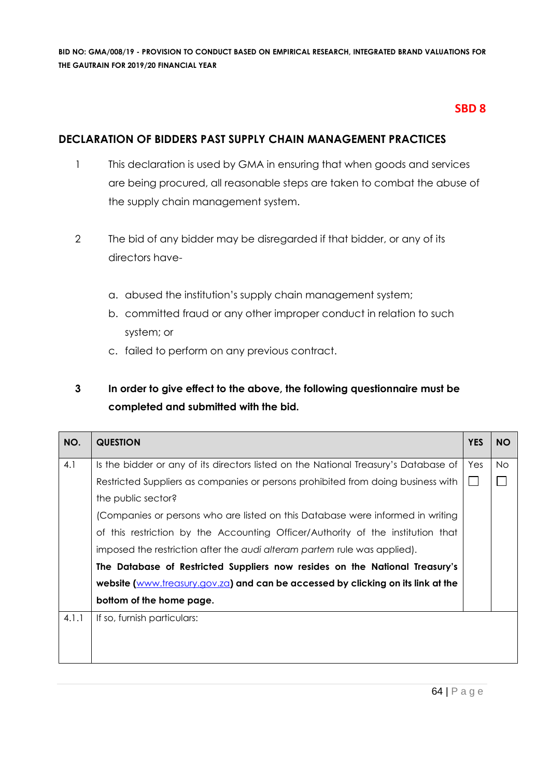#### **SBD 8**

#### **DECLARATION OF BIDDERS PAST SUPPLY CHAIN MANAGEMENT PRACTICES**

- 1 This declaration is used by GMA in ensuring that when goods and services are being procured, all reasonable steps are taken to combat the abuse of the supply chain management system.
- 2 The bid of any bidder may be disregarded if that bidder, or any of its directors have
	- a. abused the institution's supply chain management system;
	- b. committed fraud or any other improper conduct in relation to such system; or
	- c. failed to perform on any previous contract.

# **3 In order to give effect to the above, the following questionnaire must be completed and submitted with the bid.**

| NO.   | <b>QUESTION</b>                                                                     | <b>YES</b> | <b>NO</b> |
|-------|-------------------------------------------------------------------------------------|------------|-----------|
| 4.1   | Is the bidder or any of its directors listed on the National Treasury's Database of | Yes        | <b>No</b> |
|       | Restricted Suppliers as companies or persons prohibited from doing business with    |            |           |
|       | the public sector?                                                                  |            |           |
|       | (Companies or persons who are listed on this Database were informed in writing      |            |           |
|       | of this restriction by the Accounting Officer/Authority of the institution that     |            |           |
|       | imposed the restriction after the audi alteram partem rule was applied).            |            |           |
|       | The Database of Restricted Suppliers now resides on the National Treasury's         |            |           |
|       | website (www.treasury.gov.za) and can be accessed by clicking on its link at the    |            |           |
|       | bottom of the home page.                                                            |            |           |
| 4.1.1 | If so, furnish particulars:                                                         |            |           |
|       |                                                                                     |            |           |
|       |                                                                                     |            |           |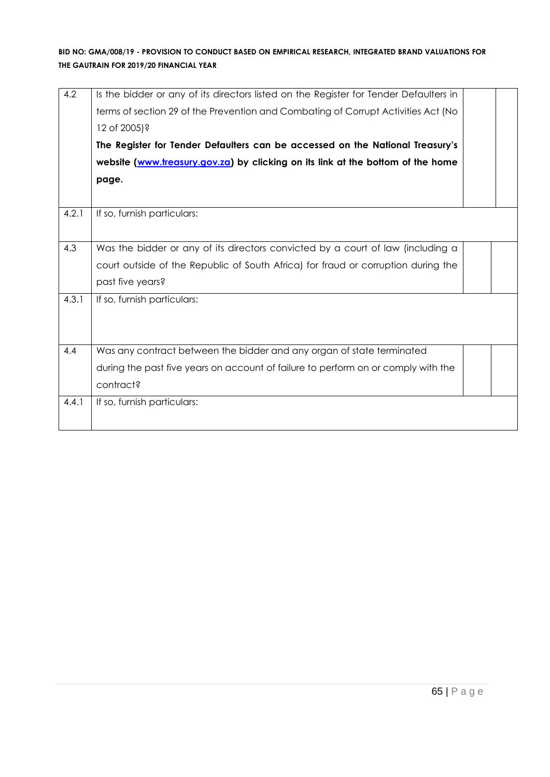| 4.2   | Is the bidder or any of its directors listed on the Register for Tender Defaulters in<br>terms of section 29 of the Prevention and Combating of Corrupt Activities Act (No<br>12 of 2005)?<br>The Register for Tender Defaulters can be accessed on the National Treasury's<br>website (www.treasury.gov.za) by clicking on its link at the bottom of the home<br>page. |  |
|-------|-------------------------------------------------------------------------------------------------------------------------------------------------------------------------------------------------------------------------------------------------------------------------------------------------------------------------------------------------------------------------|--|
| 4.2.1 | If so, furnish particulars:                                                                                                                                                                                                                                                                                                                                             |  |
| 4.3   | Was the bidder or any of its directors convicted by a court of law (including a<br>court outside of the Republic of South Africa) for fraud or corruption during the<br>past five years?                                                                                                                                                                                |  |
| 4.3.1 | If so, furnish particulars:                                                                                                                                                                                                                                                                                                                                             |  |
| 4.4   | Was any contract between the bidder and any organ of state terminated<br>during the past five years on account of failure to perform on or comply with the<br>contract?                                                                                                                                                                                                 |  |
| 4.4.1 | If so, furnish particulars:                                                                                                                                                                                                                                                                                                                                             |  |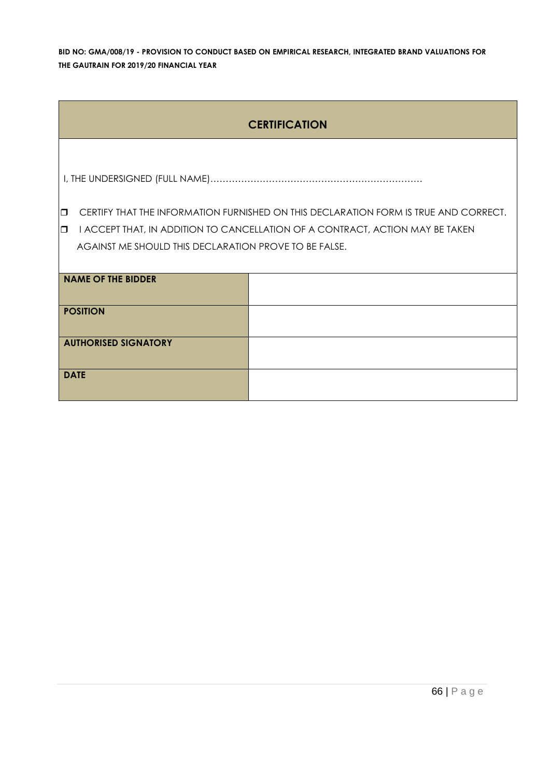|                             | <b>CERTIFICATION</b>                                  |                                                                                      |  |  |  |  |  |  |
|-----------------------------|-------------------------------------------------------|--------------------------------------------------------------------------------------|--|--|--|--|--|--|
|                             |                                                       |                                                                                      |  |  |  |  |  |  |
|                             |                                                       |                                                                                      |  |  |  |  |  |  |
| $\Box$                      |                                                       | CERTIFY THAT THE INFORMATION FURNISHED ON THIS DECLARATION FORM IS TRUE AND CORRECT. |  |  |  |  |  |  |
| $\Box$                      |                                                       | I ACCEPT THAT, IN ADDITION TO CANCELLATION OF A CONTRACT, ACTION MAY BE TAKEN        |  |  |  |  |  |  |
|                             | AGAINST ME SHOULD THIS DECLARATION PROVE TO BE FALSE. |                                                                                      |  |  |  |  |  |  |
|                             |                                                       |                                                                                      |  |  |  |  |  |  |
|                             | <b>NAME OF THE BIDDER</b>                             |                                                                                      |  |  |  |  |  |  |
|                             |                                                       |                                                                                      |  |  |  |  |  |  |
|                             | <b>POSITION</b>                                       |                                                                                      |  |  |  |  |  |  |
| <b>AUTHORISED SIGNATORY</b> |                                                       |                                                                                      |  |  |  |  |  |  |
| <b>DATE</b>                 |                                                       |                                                                                      |  |  |  |  |  |  |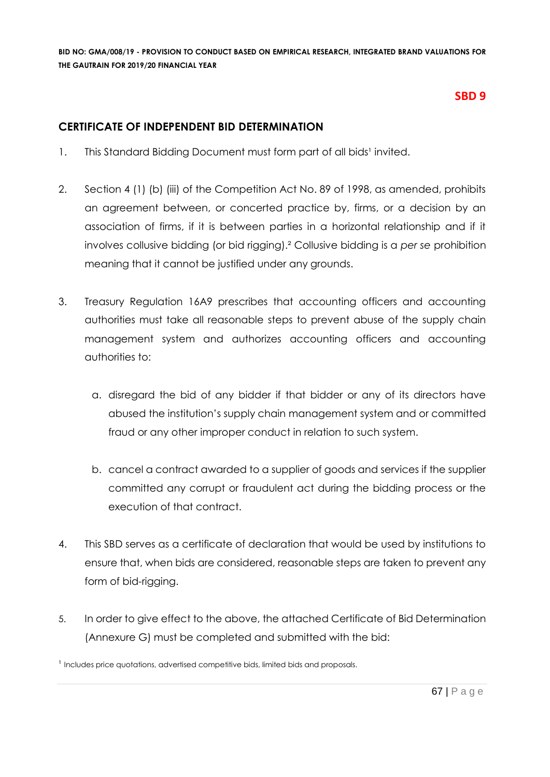#### **SBD 9**

#### **CERTIFICATE OF INDEPENDENT BID DETERMINATION**

- 1. This Standard Bidding Document must form part of all bids<sup>1</sup> invited.
- 2. Section 4 (1) (b) (iii) of the Competition Act No. 89 of 1998, as amended, prohibits an agreement between, or concerted practice by, firms, or a decision by an association of firms, if it is between parties in a horizontal relationship and if it involves collusive bidding (or bid rigging).² Collusive bidding is a *per se* prohibition meaning that it cannot be justified under any grounds.
- 3. Treasury Regulation 16A9 prescribes that accounting officers and accounting authorities must take all reasonable steps to prevent abuse of the supply chain management system and authorizes accounting officers and accounting authorities to:
	- a. disregard the bid of any bidder if that bidder or any of its directors have abused the institution's supply chain management system and or committed fraud or any other improper conduct in relation to such system.
	- b. cancel a contract awarded to a supplier of goods and services if the supplier committed any corrupt or fraudulent act during the bidding process or the execution of that contract.
- 4. This SBD serves as a certificate of declaration that would be used by institutions to ensure that, when bids are considered, reasonable steps are taken to prevent any form of bid-rigging.
- 5. In order to give effect to the above, the attached Certificate of Bid Determination (Annexure G) must be completed and submitted with the bid:

<sup>&</sup>lt;sup>1</sup> Includes price quotations, advertised competitive bids, limited bids and proposals.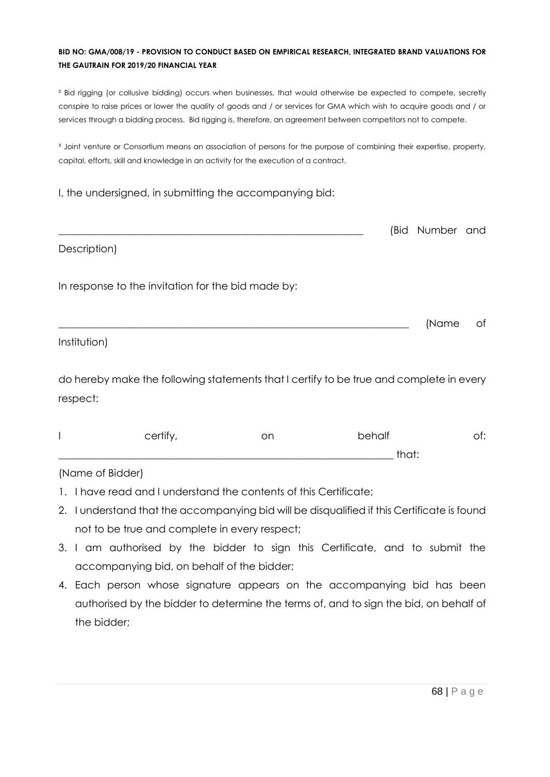² Bid rigging (or collusive bidding) occurs when businesses, that would otherwise be expected to compete, secretly conspire to raise prices or lower the quality of goods and / or services for GMA which wish to acquire goods and / or services through a bidding process. Bid rigging is, therefore, an agreement between competitors not to compete.

<sup>3</sup> Joint venture or Consortium means an association of persons for the purpose of combining their expertise, property, capital, efforts, skill and knowledge in an activity for the execution of a contract.

#### I, the undersigned, in submitting the accompanying bid:

|                                                    | (Bid Number and |    |
|----------------------------------------------------|-----------------|----|
| Description)                                       |                 |    |
| In response to the invitation for the bid made by: |                 |    |
|                                                    | (Name           | of |
| Institution)                                       |                 |    |

do hereby make the following statements that I certify to be true and complete in every respect:

| certify | on | behalf   | .<br>◡. |
|---------|----|----------|---------|
|         |    | +∽∼+<br> |         |

#### (Name of Bidder)

- 1. I have read and I understand the contents of this Certificate;
- 2. I understand that the accompanying bid will be disqualified if this Certificate is found not to be true and complete in every respect;
- 3. I am authorised by the bidder to sign this Certificate, and to submit the accompanying bid, on behalf of the bidder;
- 4. Each person whose signature appears on the accompanying bid has been authorised by the bidder to determine the terms of, and to sign the bid, on behalf of the bidder;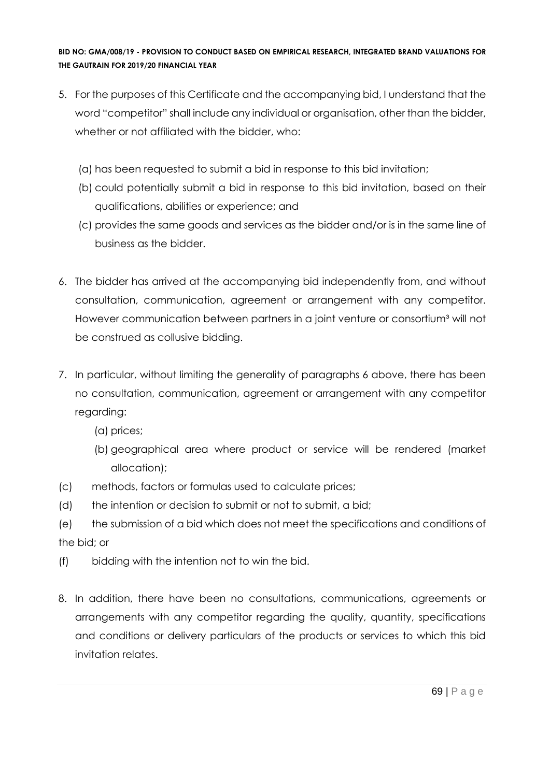- 5. For the purposes of this Certificate and the accompanying bid, I understand that the word "competitor" shall include any individual or organisation, other than the bidder, whether or not affiliated with the bidder, who:
	- (a) has been requested to submit a bid in response to this bid invitation;
	- (b) could potentially submit a bid in response to this bid invitation, based on their qualifications, abilities or experience; and
	- (c) provides the same goods and services as the bidder and/or is in the same line of business as the bidder.
- 6. The bidder has arrived at the accompanying bid independently from, and without consultation, communication, agreement or arrangement with any competitor. However communication between partners in a joint venture or consortium<sup>3</sup> will not be construed as collusive bidding.
- 7. In particular, without limiting the generality of paragraphs 6 above, there has been no consultation, communication, agreement or arrangement with any competitor regarding:
	- (a) prices;
	- (b) geographical area where product or service will be rendered (market allocation);
- (c) methods, factors or formulas used to calculate prices;
- (d) the intention or decision to submit or not to submit, a bid;
- (e) the submission of a bid which does not meet the specifications and conditions of the bid; or
- (f) bidding with the intention not to win the bid.
- 8. In addition, there have been no consultations, communications, agreements or arrangements with any competitor regarding the quality, quantity, specifications and conditions or delivery particulars of the products or services to which this bid invitation relates.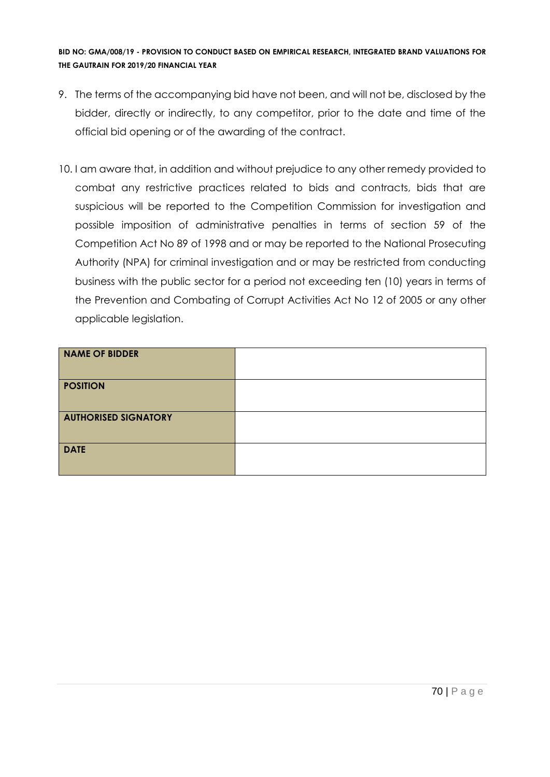- 9. The terms of the accompanying bid have not been, and will not be, disclosed by the bidder, directly or indirectly, to any competitor, prior to the date and time of the official bid opening or of the awarding of the contract.
- 10. I am aware that, in addition and without prejudice to any other remedy provided to combat any restrictive practices related to bids and contracts, bids that are suspicious will be reported to the Competition Commission for investigation and possible imposition of administrative penalties in terms of section 59 of the Competition Act No 89 of 1998 and or may be reported to the National Prosecuting Authority (NPA) for criminal investigation and or may be restricted from conducting business with the public sector for a period not exceeding ten (10) years in terms of the Prevention and Combating of Corrupt Activities Act No 12 of 2005 or any other applicable legislation.

| <b>NAME OF BIDDER</b>       |  |
|-----------------------------|--|
| <b>POSITION</b>             |  |
| <b>AUTHORISED SIGNATORY</b> |  |
| <b>DATE</b>                 |  |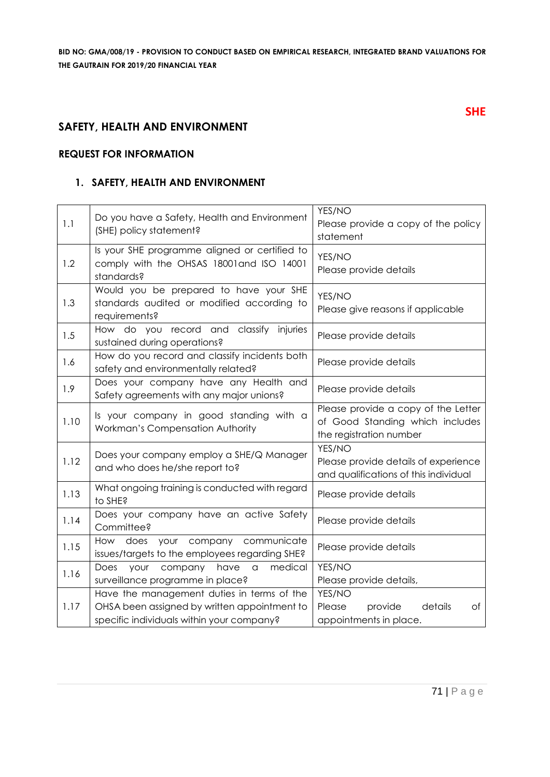#### **SAFETY, HEALTH AND ENVIRONMENT**

#### **REQUEST FOR INFORMATION**

#### **1. SAFETY, HEALTH AND ENVIRONMENT**

| 1.1  | Do you have a Safety, Health and Environment<br>(SHE) policy statement?                                                                 | YES/NO<br>Please provide a copy of the policy<br>statement                                        |
|------|-----------------------------------------------------------------------------------------------------------------------------------------|---------------------------------------------------------------------------------------------------|
| 1.2  | Is your SHE programme aligned or certified to<br>comply with the OHSAS 18001and ISO 14001<br>standards?                                 | YES/NO<br>Please provide details                                                                  |
| 1.3  | Would you be prepared to have your SHE<br>standards audited or modified according to<br>requirements?                                   | YES/NO<br>Please give reasons if applicable                                                       |
| 1.5  | How do you record and classify injuries<br>sustained during operations?                                                                 | Please provide details                                                                            |
| 1.6  | How do you record and classify incidents both<br>safety and environmentally related?                                                    | Please provide details                                                                            |
| 1.9  | Does your company have any Health and<br>Safety agreements with any major unions?                                                       | Please provide details                                                                            |
| 1.10 | Is your company in good standing with a<br>Workman's Compensation Authority                                                             | Please provide a copy of the Letter<br>of Good Standing which includes<br>the registration number |
| 1.12 | Does your company employ a SHE/Q Manager<br>and who does he/she report to?                                                              | YES/NO<br>Please provide details of experience<br>and qualifications of this individual           |
| 1.13 | What ongoing training is conducted with regard<br>to SHE?                                                                               | Please provide details                                                                            |
| 1.14 | Does your company have an active Safety<br>Committee?                                                                                   | Please provide details                                                                            |
| 1.15 | your company communicate<br>How does<br>issues/targets to the employees regarding SHE?                                                  | Please provide details                                                                            |
| 1.16 | have<br>medical<br>Does<br>your<br>company<br>$\hbox{\tt\small C}$<br>surveillance programme in place?                                  | YES/NO<br>Please provide details,                                                                 |
| 1.17 | Have the management duties in terms of the<br>OHSA been assigned by written appointment to<br>specific individuals within your company? | YES/NO<br>Please<br>details<br>provide<br>Оf<br>appointments in place.                            |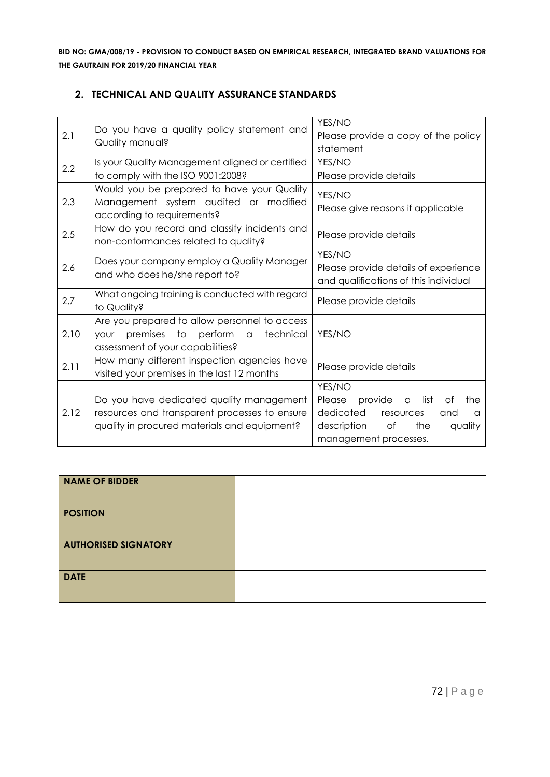#### **2. TECHNICAL AND QUALITY ASSURANCE STANDARDS**

| 2.1  | Do you have a quality policy statement and<br>Quality manual?                                                                             | YES/NO<br>Please provide a copy of the policy<br>statement                                                                                                  |
|------|-------------------------------------------------------------------------------------------------------------------------------------------|-------------------------------------------------------------------------------------------------------------------------------------------------------------|
| 2.2  | Is your Quality Management aligned or certified<br>to comply with the ISO 9001:2008?                                                      | YES/NO<br>Please provide details                                                                                                                            |
| 2.3  | Would you be prepared to have your Quality<br>Management system audited or modified<br>according to requirements?                         | YES/NO<br>Please give reasons if applicable                                                                                                                 |
| 2.5  | How do you record and classify incidents and<br>non-conformances related to quality?                                                      | Please provide details                                                                                                                                      |
| 2.6  | Does your company employ a Quality Manager<br>and who does he/she report to?                                                              | YES/NO<br>Please provide details of experience<br>and qualifications of this individual                                                                     |
| 2.7  | What ongoing training is conducted with regard<br>to Quality?                                                                             | Please provide details                                                                                                                                      |
| 2.10 | Are you prepared to allow personnel to access<br>premises to<br>perform a<br>technical<br><b>your</b><br>assessment of your capabilities? | YES/NO                                                                                                                                                      |
| 2.11 | How many different inspection agencies have<br>visited your premises in the last 12 months                                                | Please provide details                                                                                                                                      |
| 2.12 | Do you have dedicated quality management<br>resources and transparent processes to ensure<br>quality in procured materials and equipment? | YES/NO<br>Please<br>provide<br>list<br>the<br>Οf<br>a<br>dedicated<br>resources<br>and<br>a<br>description<br>Оf<br>the<br>quality<br>management processes. |

| <b>NAME OF BIDDER</b>       |  |
|-----------------------------|--|
| <b>POSITION</b>             |  |
| <b>AUTHORISED SIGNATORY</b> |  |
| <b>DATE</b>                 |  |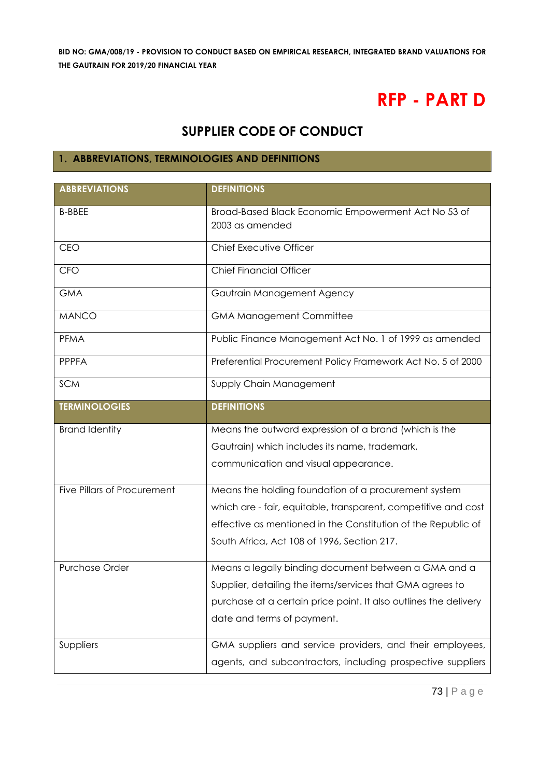# **RFP - PART D**

# **SUPPLIER CODE OF CONDUCT**

# **1. ABBREVIATIONS, TERMINOLOGIES AND DEFINITIONS**

| <b>ABBREVIATIONS</b>               | <b>DEFINITIONS</b>                                               |  |
|------------------------------------|------------------------------------------------------------------|--|
| <b>B-BBEE</b>                      | Broad-Based Black Economic Empowerment Act No 53 of              |  |
|                                    | 2003 as amended                                                  |  |
| CEO                                | Chief Executive Officer                                          |  |
| <b>CFO</b>                         | <b>Chief Financial Officer</b>                                   |  |
| <b>GMA</b>                         | Gautrain Management Agency                                       |  |
| <b>MANCO</b>                       | <b>GMA Management Committee</b>                                  |  |
| PFMA                               | Public Finance Management Act No. 1 of 1999 as amended           |  |
| <b>PPPFA</b>                       | Preferential Procurement Policy Framework Act No. 5 of 2000      |  |
| <b>SCM</b>                         | Supply Chain Management                                          |  |
| <b>TERMINOLOGIES</b>               | <b>DEFINITIONS</b>                                               |  |
| <b>Brand Identity</b>              | Means the outward expression of a brand (which is the            |  |
|                                    | Gautrain) which includes its name, trademark,                    |  |
|                                    | communication and visual appearance.                             |  |
| <b>Five Pillars of Procurement</b> | Means the holding foundation of a procurement system             |  |
|                                    | which are - fair, equitable, transparent, competitive and cost   |  |
|                                    | effective as mentioned in the Constitution of the Republic of    |  |
|                                    | South Africa, Act 108 of 1996, Section 217.                      |  |
| Purchase Order                     | Means a legally binding document between a GMA and a             |  |
|                                    | Supplier, detailing the items/services that GMA agrees to        |  |
|                                    | purchase at a certain price point. It also outlines the delivery |  |
|                                    | date and terms of payment.                                       |  |
| Suppliers                          | GMA suppliers and service providers, and their employees,        |  |
|                                    | agents, and subcontractors, including prospective suppliers      |  |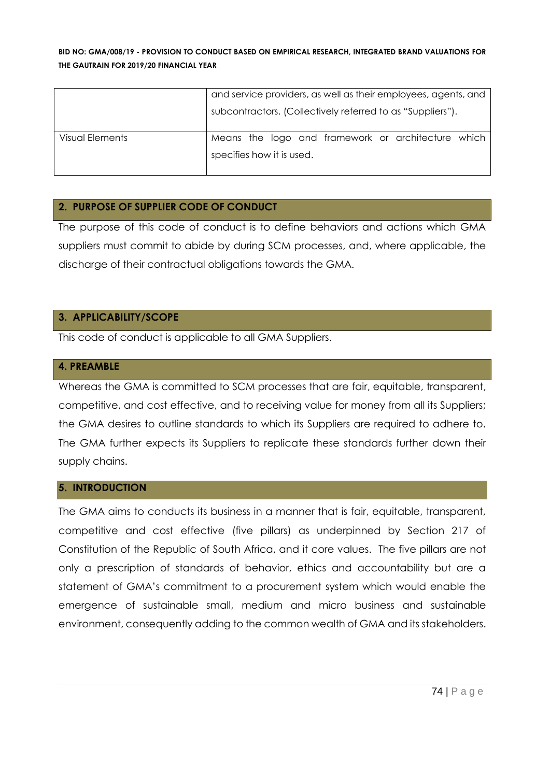|                 | and service providers, as well as their employees, agents, and |  |  |
|-----------------|----------------------------------------------------------------|--|--|
|                 | subcontractors. (Collectively referred to as "Suppliers").     |  |  |
| Visual Elements | Means the logo and framework or architecture which             |  |  |
|                 | specifies how it is used.                                      |  |  |

#### **2. PURPOSE OF SUPPLIER CODE OF CONDUCT**

The purpose of this code of conduct is to define behaviors and actions which GMA suppliers must commit to abide by during SCM processes, and, where applicable, the discharge of their contractual obligations towards the GMA.

#### **3. APPLICABILITY/SCOPE**

This code of conduct is applicable to all GMA Suppliers.

#### **4. PREAMBLE**

Whereas the GMA is committed to SCM processes that are fair, equitable, transparent, competitive, and cost effective, and to receiving value for money from all its Suppliers; the GMA desires to outline standards to which its Suppliers are required to adhere to. The GMA further expects its Suppliers to replicate these standards further down their supply chains.

# **5. INTRODUCTION**

The GMA aims to conducts its business in a manner that is fair, equitable, transparent, competitive and cost effective (five pillars) as underpinned by Section 217 of Constitution of the Republic of South Africa, and it core values. The five pillars are not only a prescription of standards of behavior, ethics and accountability but are a statement of GMA's commitment to a procurement system which would enable the emergence of sustainable small, medium and micro business and sustainable environment, consequently adding to the common wealth of GMA and its stakeholders.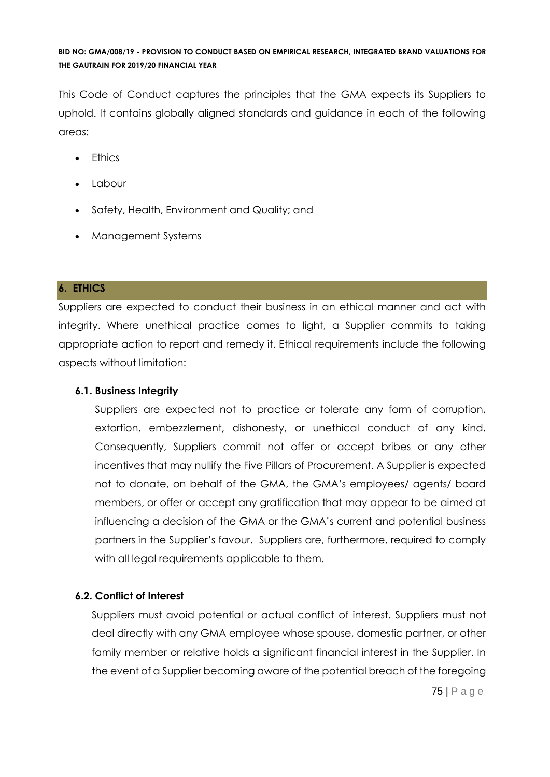This Code of Conduct captures the principles that the GMA expects its Suppliers to uphold. It contains globally aligned standards and guidance in each of the following areas:

- Ethics
- Labour
- Safety, Health, Environment and Quality; and
- Management Systems

# **6. ETHICS**

Suppliers are expected to conduct their business in an ethical manner and act with integrity. Where unethical practice comes to light, a Supplier commits to taking appropriate action to report and remedy it. Ethical requirements include the following aspects without limitation:

# **6.1. Business Integrity**

Suppliers are expected not to practice or tolerate any form of corruption, extortion, embezzlement, dishonesty, or unethical conduct of any kind. Consequently, Suppliers commit not offer or accept bribes or any other incentives that may nullify the Five Pillars of Procurement. A Supplier is expected not to donate, on behalf of the GMA, the GMA's employees/ agents/ board members, or offer or accept any gratification that may appear to be aimed at influencing a decision of the GMA or the GMA's current and potential business partners in the Supplier's favour. Suppliers are, furthermore, required to comply with all legal requirements applicable to them.

# **6.2. Conflict of Interest**

Suppliers must avoid potential or actual conflict of interest. Suppliers must not deal directly with any GMA employee whose spouse, domestic partner, or other family member or relative holds a significant financial interest in the Supplier. In the event of a Supplier becoming aware of the potential breach of the foregoing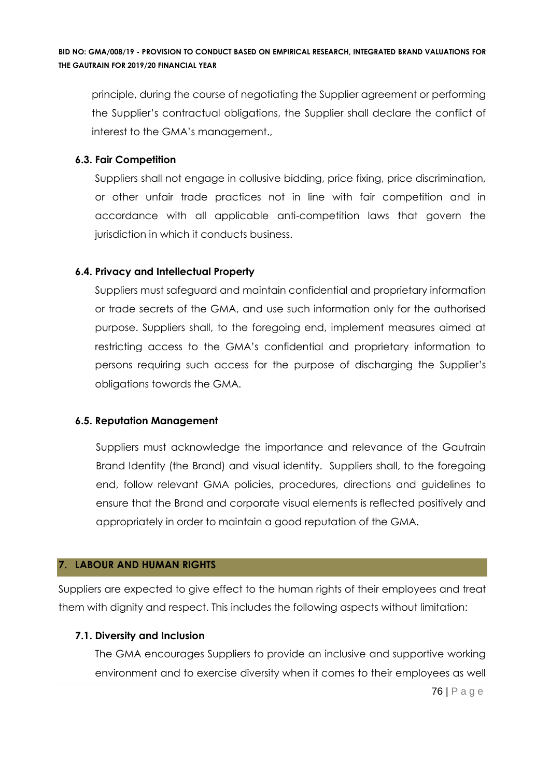principle, during the course of negotiating the Supplier agreement or performing the Supplier's contractual obligations, the Supplier shall declare the conflict of interest to the GMA's management.,

# **6.3. Fair Competition**

Suppliers shall not engage in collusive bidding, price fixing, price discrimination, or other unfair trade practices not in line with fair competition and in accordance with all applicable anti-competition laws that govern the jurisdiction in which it conducts business.

# **6.4. Privacy and Intellectual Property**

Suppliers must safeguard and maintain confidential and proprietary information or trade secrets of the GMA, and use such information only for the authorised purpose. Suppliers shall, to the foregoing end, implement measures aimed at restricting access to the GMA's confidential and proprietary information to persons requiring such access for the purpose of discharging the Supplier's obligations towards the GMA.

# **6.5. Reputation Management**

Suppliers must acknowledge the importance and relevance of the Gautrain Brand Identity (the Brand) and visual identity. Suppliers shall, to the foregoing end, follow relevant GMA policies, procedures, directions and guidelines to ensure that the Brand and corporate visual elements is reflected positively and appropriately in order to maintain a good reputation of the GMA.

# **7. LABOUR AND HUMAN RIGHTS**

Suppliers are expected to give effect to the human rights of their employees and treat them with dignity and respect. This includes the following aspects without limitation:

# **7.1. Diversity and Inclusion**

The GMA encourages Suppliers to provide an inclusive and supportive working environment and to exercise diversity when it comes to their employees as well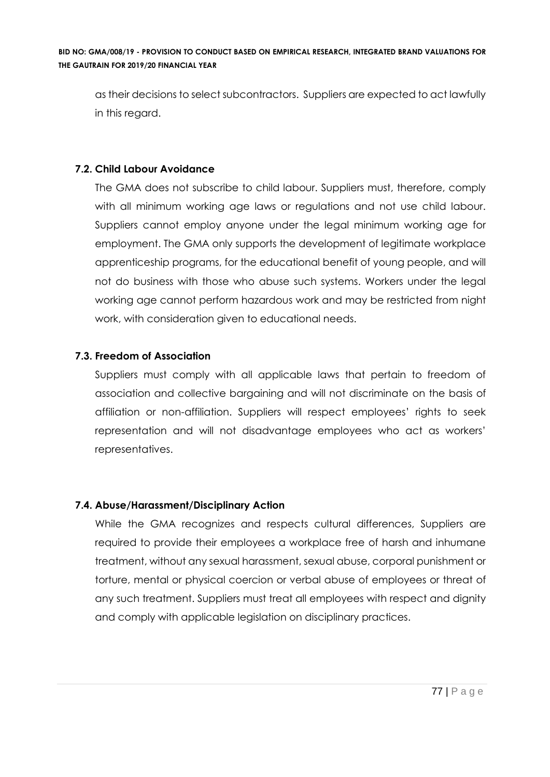as their decisions to select subcontractors. Suppliers are expected to act lawfully in this regard.

# **7.2. Child Labour Avoidance**

The GMA does not subscribe to child labour. Suppliers must, therefore, comply with all minimum working age laws or regulations and not use child labour. Suppliers cannot employ anyone under the legal minimum working age for employment. The GMA only supports the development of legitimate workplace apprenticeship programs, for the educational benefit of young people, and will not do business with those who abuse such systems. Workers under the legal working age cannot perform hazardous work and may be restricted from night work, with consideration given to educational needs.

# **7.3. Freedom of Association**

Suppliers must comply with all applicable laws that pertain to freedom of association and collective bargaining and will not discriminate on the basis of affiliation or non-affiliation. Suppliers will respect employees' rights to seek representation and will not disadvantage employees who act as workers' representatives.

# **7.4. Abuse/Harassment/Disciplinary Action**

While the GMA recognizes and respects cultural differences, Suppliers are required to provide their employees a workplace free of harsh and inhumane treatment, without any sexual harassment, sexual abuse, corporal punishment or torture, mental or physical coercion or verbal abuse of employees or threat of any such treatment. Suppliers must treat all employees with respect and dignity and comply with applicable legislation on disciplinary practices.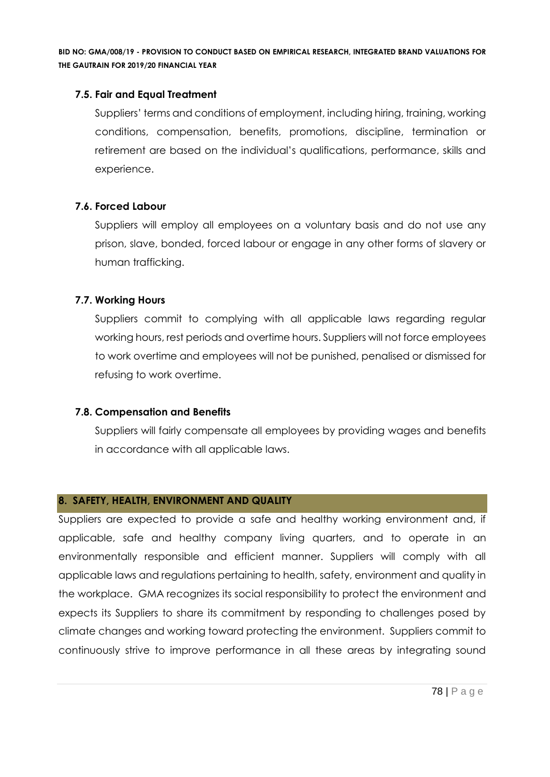#### **7.5. Fair and Equal Treatment**

Suppliers' terms and conditions of employment, including hiring, training, working conditions, compensation, benefits, promotions, discipline, termination or retirement are based on the individual's qualifications, performance, skills and experience.

#### **7.6. Forced Labour**

Suppliers will employ all employees on a voluntary basis and do not use any prison, slave, bonded, forced labour or engage in any other forms of slavery or human trafficking.

# **7.7. Working Hours**

Suppliers commit to complying with all applicable laws regarding regular working hours, rest periods and overtime hours. Suppliers will not force employees to work overtime and employees will not be punished, penalised or dismissed for refusing to work overtime.

# **7.8. Compensation and Benefits**

Suppliers will fairly compensate all employees by providing wages and benefits in accordance with all applicable laws.

#### **8. SAFETY, HEALTH, ENVIRONMENT AND QUALITY**

Suppliers are expected to provide a safe and healthy working environment and, if applicable, safe and healthy company living quarters, and to operate in an environmentally responsible and efficient manner. Suppliers will comply with all applicable laws and regulations pertaining to health, safety, environment and quality in the workplace. GMA recognizes its social responsibility to protect the environment and expects its Suppliers to share its commitment by responding to challenges posed by climate changes and working toward protecting the environment. Suppliers commit to continuously strive to improve performance in all these areas by integrating sound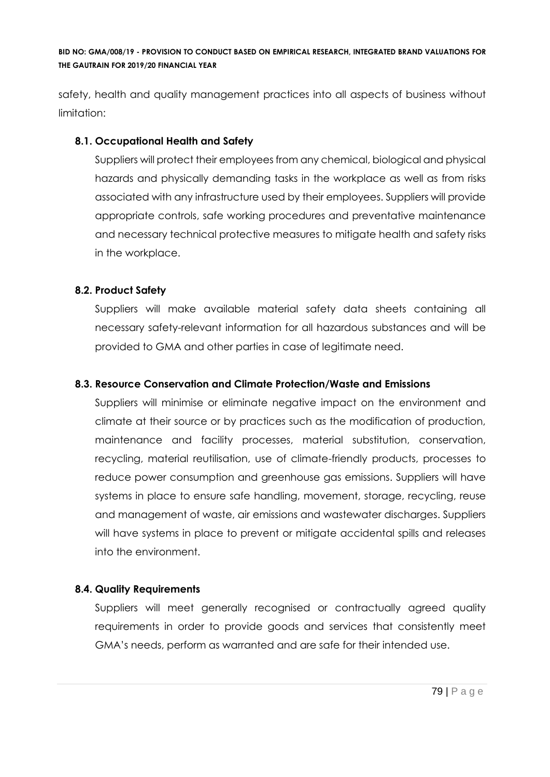safety, health and quality management practices into all aspects of business without limitation:

# **8.1. Occupational Health and Safety**

Suppliers will protect their employees from any chemical, biological and physical hazards and physically demanding tasks in the workplace as well as from risks associated with any infrastructure used by their employees. Suppliers will provide appropriate controls, safe working procedures and preventative maintenance and necessary technical protective measures to mitigate health and safety risks in the workplace.

# **8.2. Product Safety**

Suppliers will make available material safety data sheets containing all necessary safety-relevant information for all hazardous substances and will be provided to GMA and other parties in case of legitimate need.

# **8.3. Resource Conservation and Climate Protection/Waste and Emissions**

Suppliers will minimise or eliminate negative impact on the environment and climate at their source or by practices such as the modification of production, maintenance and facility processes, material substitution, conservation, recycling, material reutilisation, use of climate-friendly products, processes to reduce power consumption and greenhouse gas emissions. Suppliers will have systems in place to ensure safe handling, movement, storage, recycling, reuse and management of waste, air emissions and wastewater discharges. Suppliers will have systems in place to prevent or mitigate accidental spills and releases into the environment.

# **8.4. Quality Requirements**

Suppliers will meet generally recognised or contractually agreed quality requirements in order to provide goods and services that consistently meet GMA's needs, perform as warranted and are safe for their intended use.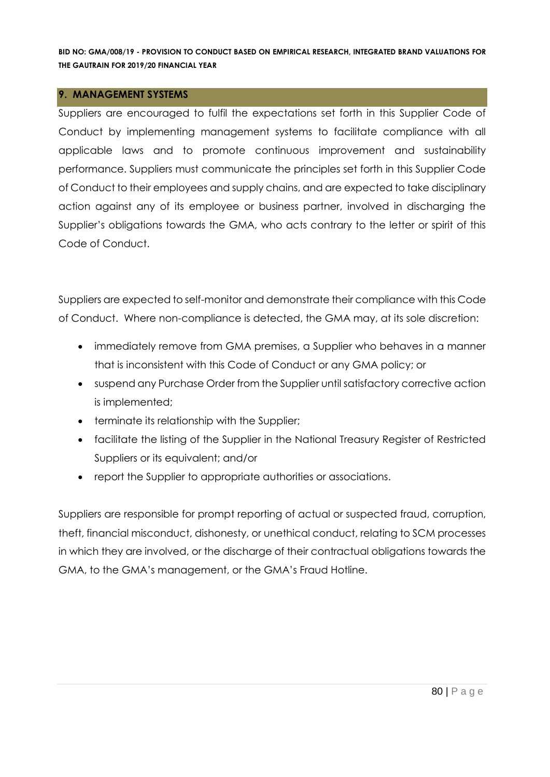#### **9. MANAGEMENT SYSTEMS**

Suppliers are encouraged to fulfil the expectations set forth in this Supplier Code of Conduct by implementing management systems to facilitate compliance with all applicable laws and to promote continuous improvement and sustainability performance. Suppliers must communicate the principles set forth in this Supplier Code of Conduct to their employees and supply chains, and are expected to take disciplinary action against any of its employee or business partner, involved in discharging the Supplier's obligations towards the GMA, who acts contrary to the letter or spirit of this Code of Conduct.

Suppliers are expected to self-monitor and demonstrate their compliance with this Code of Conduct. Where non-compliance is detected, the GMA may, at its sole discretion:

- immediately remove from GMA premises, a Supplier who behaves in a manner that is inconsistent with this Code of Conduct or any GMA policy; or
- suspend any Purchase Order from the Supplier until satisfactory corrective action is implemented;
- terminate its relationship with the Supplier;
- facilitate the listing of the Supplier in the National Treasury Register of Restricted Suppliers or its equivalent; and/or
- report the Supplier to appropriate authorities or associations.

Suppliers are responsible for prompt reporting of actual or suspected fraud, corruption, theft, financial misconduct, dishonesty, or unethical conduct, relating to SCM processes in which they are involved, or the discharge of their contractual obligations towards the GMA, to the GMA's management, or the GMA's Fraud Hotline.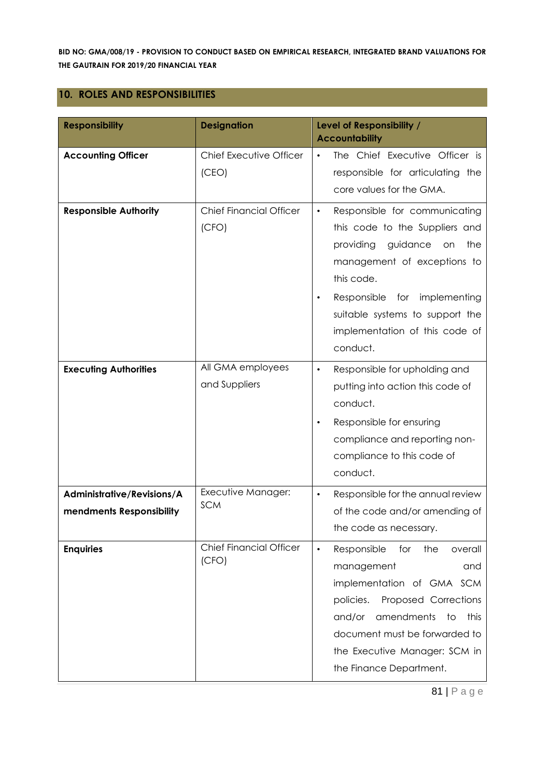#### **10. ROLES AND RESPONSIBILITIES**

| <b>Responsibility</b>                                  | <b>Designation</b>                      | Level of Responsibility /<br><b>Accountability</b>                                                                                                                                                                                                                                  |
|--------------------------------------------------------|-----------------------------------------|-------------------------------------------------------------------------------------------------------------------------------------------------------------------------------------------------------------------------------------------------------------------------------------|
| <b>Accounting Officer</b>                              | Chief Executive Officer<br>(CEO)        | The Chief Executive Officer is<br>$\bullet$<br>responsible for articulating the<br>core values for the GMA.                                                                                                                                                                         |
| <b>Responsible Authority</b>                           | <b>Chief Financial Officer</b><br>(CFO) | Responsible for communicating<br>$\bullet$<br>this code to the Suppliers and<br>providing<br>guidance<br>the<br>on<br>management of exceptions to<br>this code.<br>Responsible<br>for implementing<br>suitable systems to support the<br>implementation of this code of<br>conduct. |
| <b>Executing Authorities</b>                           | All GMA employees<br>and Suppliers      | Responsible for upholding and<br>$\bullet$<br>putting into action this code of<br>conduct.<br>Responsible for ensuring<br>$\bullet$<br>compliance and reporting non-<br>compliance to this code of<br>conduct.                                                                      |
| Administrative/Revisions/A<br>mendments Responsibility | Executive Manager:<br><b>SCM</b>        | Responsible for the annual review<br>$\bullet$<br>of the code and/or amending of<br>the code as necessary.                                                                                                                                                                          |
| <b>Enquiries</b>                                       | <b>Chief Financial Officer</b><br>(CFO) | Responsible<br>for<br>the<br>overall<br>$\bullet$<br>management<br>and<br>implementation of GMA SCM<br>policies.<br>Proposed Corrections<br>amendments<br>and/or<br>to<br>this<br>document must be forwarded to<br>the Executive Manager: SCM in<br>the Finance Department.         |